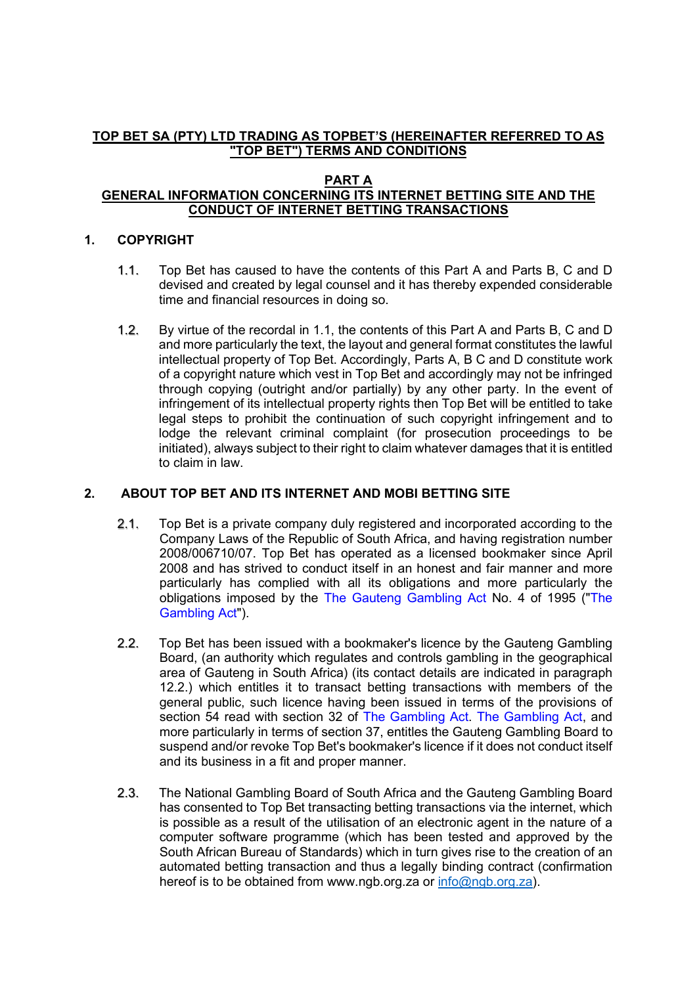# **TOP BET SA (PTY) LTD TRADING AS TOPBET'S (HEREINAFTER REFERRED TO AS "TOP BET") TERMS AND CONDITIONS**

#### **PART A GENERAL INFORMATION CONCERNING ITS INTERNET BETTING SITE AND THE CONDUCT OF INTERNET BETTING TRANSACTIONS**

# **1. COPYRIGHT**

- 1.1. Top Bet has caused to have the contents of this Part A and Parts B, C and D devised and created by legal counsel and it has thereby expended considerable time and financial resources in doing so.
- 1.2. By virtue of the recordal in 1.1, the contents of this Part A and Parts B, C and D and more particularly the text, the layout and general format constitutes the lawful intellectual property of Top Bet. Accordingly, Parts A, B C and D constitute work of a copyright nature which vest in Top Bet and accordingly may not be infringed through copying (outright and/or partially) by any other party. In the event of infringement of its intellectual property rights then Top Bet will be entitled to take legal steps to prohibit the continuation of such copyright infringement and to lodge the relevant criminal complaint (for prosecution proceedings to be initiated), always subject to their right to claim whatever damages that it is entitled to claim in law.

# **2. ABOUT TOP BET AND ITS INTERNET AND MOBI BETTING SITE**

- 2.1. Top Bet is a private company duly registered and incorporated according to the Company Laws of the Republic of South Africa, and having registration number 2008/006710/07. Top Bet has operated as a licensed bookmaker since April 2008 and has strived to conduct itself in an honest and fair manner and more particularly has complied with all its obligations and more particularly the obligations imposed by the The Gauteng Gambling Act No. 4 of 1995 ("The Gambling Act").
- 2.2. Top Bet has been issued with a bookmaker's licence by the Gauteng Gambling Board, (an authority which regulates and controls gambling in the geographical area of Gauteng in South Africa) (its contact details are indicated in paragraph 12.2.) which entitles it to transact betting transactions with members of the general public, such licence having been issued in terms of the provisions of section 54 read with section 32 of The Gambling Act. The Gambling Act, and more particularly in terms of section 37, entitles the Gauteng Gambling Board to suspend and/or revoke Top Bet's bookmaker's licence if it does not conduct itself and its business in a fit and proper manner.
- 2.3. The National Gambling Board of South Africa and the Gauteng Gambling Board has consented to Top Bet transacting betting transactions via the internet, which is possible as a result of the utilisation of an electronic agent in the nature of a computer software programme (which has been tested and approved by the South African Bureau of Standards) which in turn gives rise to the creation of an automated betting transaction and thus a legally binding contract (confirmation hereof is to be obtained from www.ngb.org.za or [info@ngb.org.za\)](mailto:info@ngb.org.za).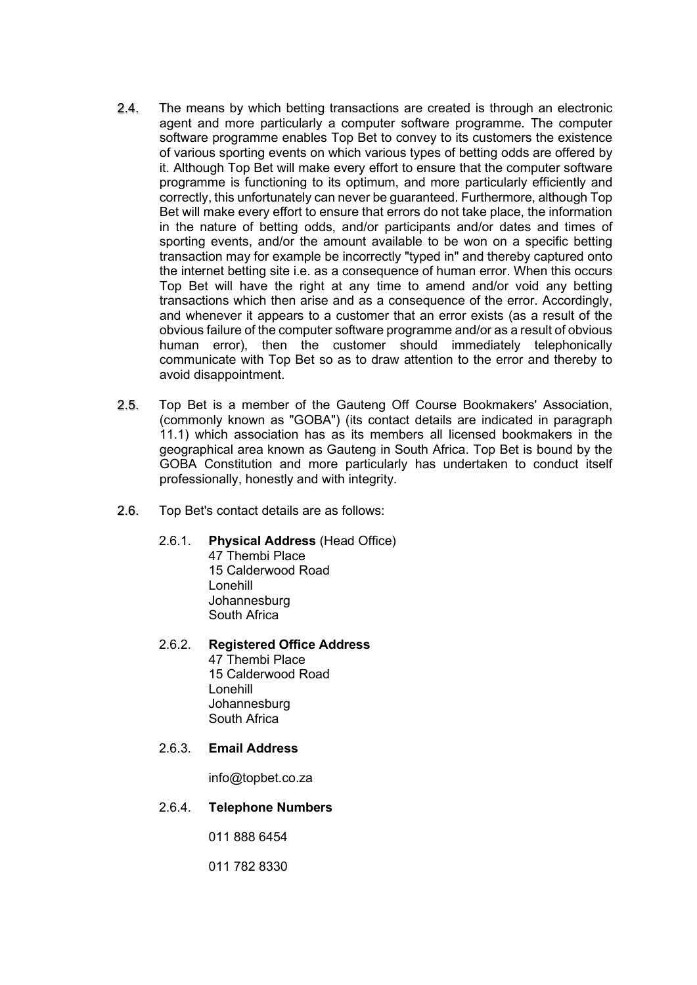- 2.4. The means by which betting transactions are created is through an electronic agent and more particularly a computer software programme. The computer software programme enables Top Bet to convey to its customers the existence of various sporting events on which various types of betting odds are offered by it. Although Top Bet will make every effort to ensure that the computer software programme is functioning to its optimum, and more particularly efficiently and correctly, this unfortunately can never be guaranteed. Furthermore, although Top Bet will make every effort to ensure that errors do not take place, the information in the nature of betting odds, and/or participants and/or dates and times of sporting events, and/or the amount available to be won on a specific betting transaction may for example be incorrectly "typed in" and thereby captured onto the internet betting site i.e. as a consequence of human error. When this occurs Top Bet will have the right at any time to amend and/or void any betting transactions which then arise and as a consequence of the error. Accordingly, and whenever it appears to a customer that an error exists (as a result of the obvious failure of the computer software programme and/or as a result of obvious human error), then the customer should immediately telephonically communicate with Top Bet so as to draw attention to the error and thereby to avoid disappointment.
- 2.5. Top Bet is a member of the Gauteng Off Course Bookmakers' Association, (commonly known as "GOBA") (its contact details are indicated in paragraph 11.1) which association has as its members all licensed bookmakers in the geographical area known as Gauteng in South Africa. Top Bet is bound by the GOBA Constitution and more particularly has undertaken to conduct itself professionally, honestly and with integrity.
- 2.6. Top Bet's contact details are as follows:
	- 2.6.1. **Physical Address** (Head Office)
		- 47 Thembi Place 15 Calderwood Road Lonehill Johannesburg South Africa
	- 2.6.2. **Registered Office Address** 47 Thembi Place 15 Calderwood Road Lonehill **Johannesburg** South Africa

### 2.6.3. **Email Address**

info@topbet.co.za

2.6.4. **Telephone Numbers**

011 888 6454

011 782 8330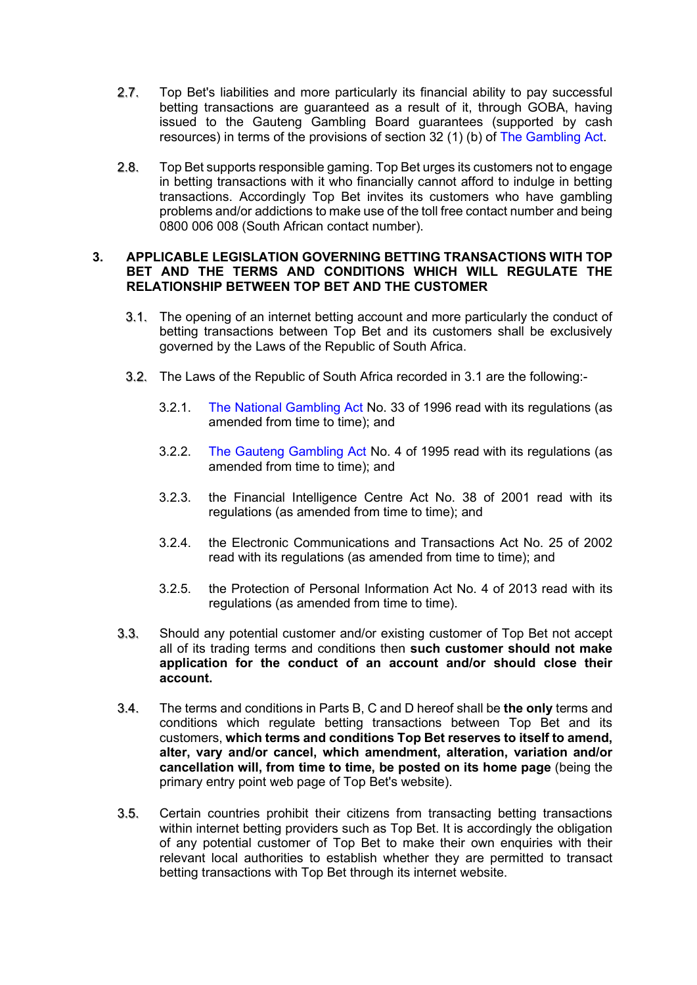- 2.7. Top Bet's liabilities and more particularly its financial ability to pay successful betting transactions are guaranteed as a result of it, through GOBA, having issued to the Gauteng Gambling Board guarantees (supported by cash resources) in terms of the provisions of section 32 (1) (b) of The Gambling Act.
- 2.8. Top Bet supports responsible gaming. Top Bet urges its customers not to engage in betting transactions with it who financially cannot afford to indulge in betting transactions. Accordingly Top Bet invites its customers who have gambling problems and/or addictions to make use of the toll free contact number and being 0800 006 008 (South African contact number).

#### **3. APPLICABLE LEGISLATION GOVERNING BETTING TRANSACTIONS WITH TOP BET AND THE TERMS AND CONDITIONS WHICH WILL REGULATE THE RELATIONSHIP BETWEEN TOP BET AND THE CUSTOMER**

- 3.1. The opening of an internet betting account and more particularly the conduct of betting transactions between Top Bet and its customers shall be exclusively governed by the Laws of the Republic of South Africa.
- 3.2. The Laws of the Republic of South Africa recorded in 3.1 are the following:-
	- 3.2.1. The National Gambling Act No. 33 of 1996 read with its regulations (as amended from time to time); and
	- 3.2.2. The Gauteng Gambling Act No. 4 of 1995 read with its regulations (as amended from time to time); and
	- 3.2.3. the Financial Intelligence Centre Act No. 38 of 2001 read with its regulations (as amended from time to time); and
	- 3.2.4. the Electronic Communications and Transactions Act No. 25 of 2002 read with its regulations (as amended from time to time); and
	- 3.2.5. the Protection of Personal Information Act No. 4 of 2013 read with its regulations (as amended from time to time).
- 3.3. Should any potential customer and/or existing customer of Top Bet not accept all of its trading terms and conditions then **such customer should not make application for the conduct of an account and/or should close their account.**
- 3.4. The terms and conditions in Parts B, C and D hereof shall be **the only** terms and conditions which regulate betting transactions between Top Bet and its customers, **which terms and conditions Top Bet reserves to itself to amend, alter, vary and/or cancel, which amendment, alteration, variation and/or cancellation will, from time to time, be posted on its home page** (being the primary entry point web page of Top Bet's website).
- 3.5. Certain countries prohibit their citizens from transacting betting transactions within internet betting providers such as Top Bet. It is accordingly the obligation of any potential customer of Top Bet to make their own enquiries with their relevant local authorities to establish whether they are permitted to transact betting transactions with Top Bet through its internet website.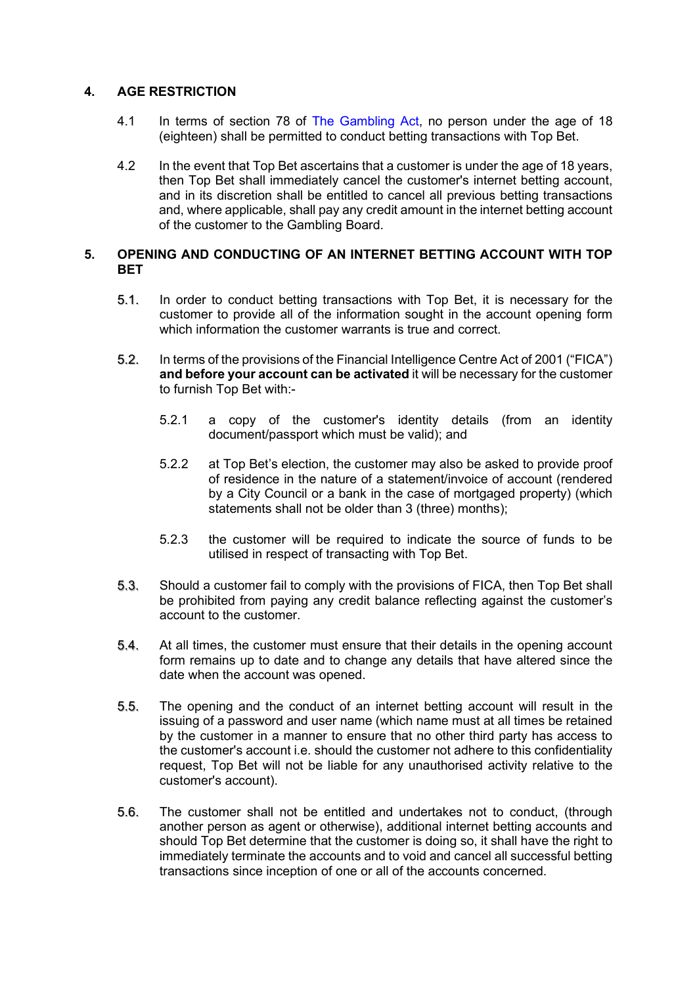# **4. AGE RESTRICTION**

- 4.1 In terms of section 78 of The Gambling Act, no person under the age of 18 (eighteen) shall be permitted to conduct betting transactions with Top Bet.
- 4.2 In the event that Top Bet ascertains that a customer is under the age of 18 years, then Top Bet shall immediately cancel the customer's internet betting account, and in its discretion shall be entitled to cancel all previous betting transactions and, where applicable, shall pay any credit amount in the internet betting account of the customer to the Gambling Board.

# **5. OPENING AND CONDUCTING OF AN INTERNET BETTING ACCOUNT WITH TOP BET**

- 5.1. In order to conduct betting transactions with Top Bet, it is necessary for the customer to provide all of the information sought in the account opening form which information the customer warrants is true and correct.
- 5.2. In terms of the provisions of the Financial Intelligence Centre Act of 2001 ("FICA") **and before your account can be activated** it will be necessary for the customer to furnish Top Bet with:-
	- 5.2.1 a copy of the customer's identity details (from an identity document/passport which must be valid); and
	- 5.2.2 at Top Bet's election, the customer may also be asked to provide proof of residence in the nature of a statement/invoice of account (rendered by a City Council or a bank in the case of mortgaged property) (which statements shall not be older than 3 (three) months);
	- 5.2.3 the customer will be required to indicate the source of funds to be utilised in respect of transacting with Top Bet.
- 5.3. Should a customer fail to comply with the provisions of FICA, then Top Bet shall be prohibited from paying any credit balance reflecting against the customer's account to the customer.
- 5.4. At all times, the customer must ensure that their details in the opening account form remains up to date and to change any details that have altered since the date when the account was opened.
- 5.5. The opening and the conduct of an internet betting account will result in the issuing of a password and user name (which name must at all times be retained by the customer in a manner to ensure that no other third party has access to the customer's account i.e. should the customer not adhere to this confidentiality request, Top Bet will not be liable for any unauthorised activity relative to the customer's account).
- 5.6. The customer shall not be entitled and undertakes not to conduct, (through another person as agent or otherwise), additional internet betting accounts and should Top Bet determine that the customer is doing so, it shall have the right to immediately terminate the accounts and to void and cancel all successful betting transactions since inception of one or all of the accounts concerned.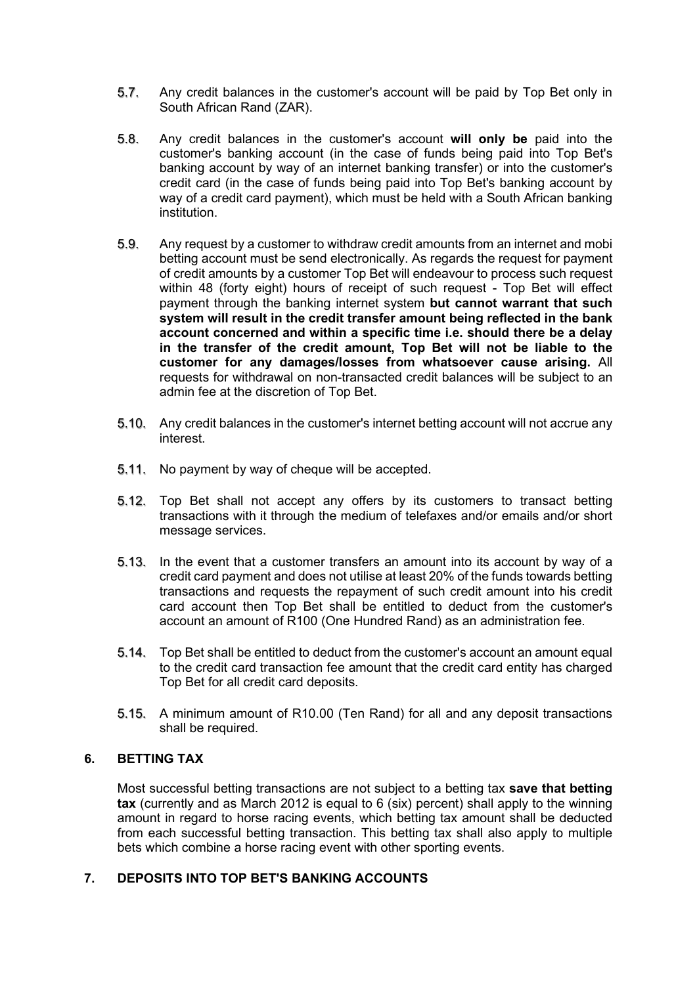- 5.7. Any credit balances in the customer's account will be paid by Top Bet only in South African Rand (ZAR).
- 5.8. Any credit balances in the customer's account **will only be** paid into the customer's banking account (in the case of funds being paid into Top Bet's banking account by way of an internet banking transfer) or into the customer's credit card (in the case of funds being paid into Top Bet's banking account by way of a credit card payment), which must be held with a South African banking institution.
- 5.9. Any request by a customer to withdraw credit amounts from an internet and mobi betting account must be send electronically. As regards the request for payment of credit amounts by a customer Top Bet will endeavour to process such request within 48 (forty eight) hours of receipt of such request - Top Bet will effect payment through the banking internet system **but cannot warrant that such system will result in the credit transfer amount being reflected in the bank account concerned and within a specific time i.e. should there be a delay in the transfer of the credit amount, Top Bet will not be liable to the customer for any damages/losses from whatsoever cause arising.** All requests for withdrawal on non-transacted credit balances will be subject to an admin fee at the discretion of Top Bet.
- 5.10. Any credit balances in the customer's internet betting account will not accrue any interest.
- 5.11. No payment by way of cheque will be accepted.
- 5.12. Top Bet shall not accept any offers by its customers to transact betting transactions with it through the medium of telefaxes and/or emails and/or short message services.
- 5.13. In the event that a customer transfers an amount into its account by way of a credit card payment and does not utilise at least 20% of the funds towards betting transactions and requests the repayment of such credit amount into his credit card account then Top Bet shall be entitled to deduct from the customer's account an amount of R100 (One Hundred Rand) as an administration fee.
- 5.14. Top Bet shall be entitled to deduct from the customer's account an amount equal to the credit card transaction fee amount that the credit card entity has charged Top Bet for all credit card deposits.
- 5.15. A minimum amount of R10.00 (Ten Rand) for all and any deposit transactions shall be required.

## **6. BETTING TAX**

Most successful betting transactions are not subject to a betting tax **save that betting tax** (currently and as March 2012 is equal to 6 (six) percent) shall apply to the winning amount in regard to horse racing events, which betting tax amount shall be deducted from each successful betting transaction. This betting tax shall also apply to multiple bets which combine a horse racing event with other sporting events.

# **7. DEPOSITS INTO TOP BET'S BANKING ACCOUNTS**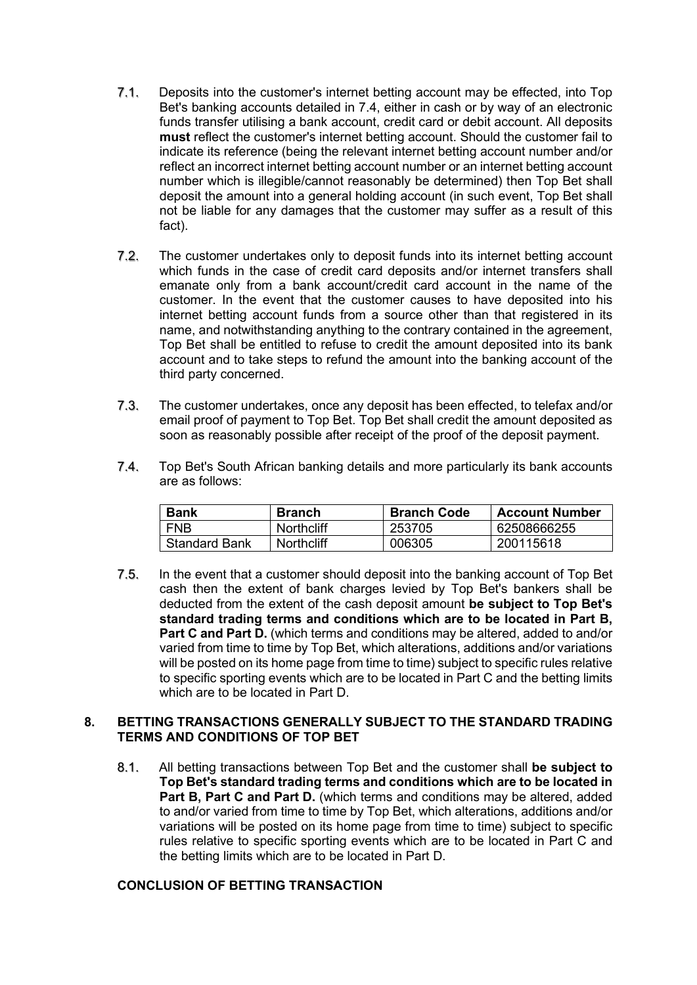- 7.1. Deposits into the customer's internet betting account may be effected, into Top Bet's banking accounts detailed in 7.4, either in cash or by way of an electronic funds transfer utilising a bank account, credit card or debit account. All deposits **must** reflect the customer's internet betting account. Should the customer fail to indicate its reference (being the relevant internet betting account number and/or reflect an incorrect internet betting account number or an internet betting account number which is illegible/cannot reasonably be determined) then Top Bet shall deposit the amount into a general holding account (in such event, Top Bet shall not be liable for any damages that the customer may suffer as a result of this fact).
- 7.2. The customer undertakes only to deposit funds into its internet betting account which funds in the case of credit card deposits and/or internet transfers shall emanate only from a bank account/credit card account in the name of the customer. In the event that the customer causes to have deposited into his internet betting account funds from a source other than that registered in its name, and notwithstanding anything to the contrary contained in the agreement, Top Bet shall be entitled to refuse to credit the amount deposited into its bank account and to take steps to refund the amount into the banking account of the third party concerned.
- 7.3. The customer undertakes, once any deposit has been effected, to telefax and/or email proof of payment to Top Bet. Top Bet shall credit the amount deposited as soon as reasonably possible after receipt of the proof of the deposit payment.
- 7.4. Top Bet's South African banking details and more particularly its bank accounts are as follows:

| <b>Bank</b>          | <b>Branch</b>     | <b>Branch Code</b> | <b>Account Number</b> |
|----------------------|-------------------|--------------------|-----------------------|
| <b>FNB</b>           | <b>Northcliff</b> | 253705             | 62508666255           |
| <b>Standard Bank</b> | <b>Northcliff</b> | 006305             | 200115618             |

7.5. In the event that a customer should deposit into the banking account of Top Bet cash then the extent of bank charges levied by Top Bet's bankers shall be deducted from the extent of the cash deposit amount **be subject to Top Bet's standard trading terms and conditions which are to be located in Part B, Part C and Part D.** (which terms and conditions may be altered, added to and/or varied from time to time by Top Bet, which alterations, additions and/or variations will be posted on its home page from time to time) subject to specific rules relative to specific sporting events which are to be located in Part C and the betting limits which are to be located in Part D.

#### **8. BETTING TRANSACTIONS GENERALLY SUBJECT TO THE STANDARD TRADING TERMS AND CONDITIONS OF TOP BET**

8.1. All betting transactions between Top Bet and the customer shall **be subject to Top Bet's standard trading terms and conditions which are to be located in Part B, Part C and Part D.** (which terms and conditions may be altered, added to and/or varied from time to time by Top Bet, which alterations, additions and/or variations will be posted on its home page from time to time) subject to specific rules relative to specific sporting events which are to be located in Part C and the betting limits which are to be located in Part D.

#### **CONCLUSION OF BETTING TRANSACTION**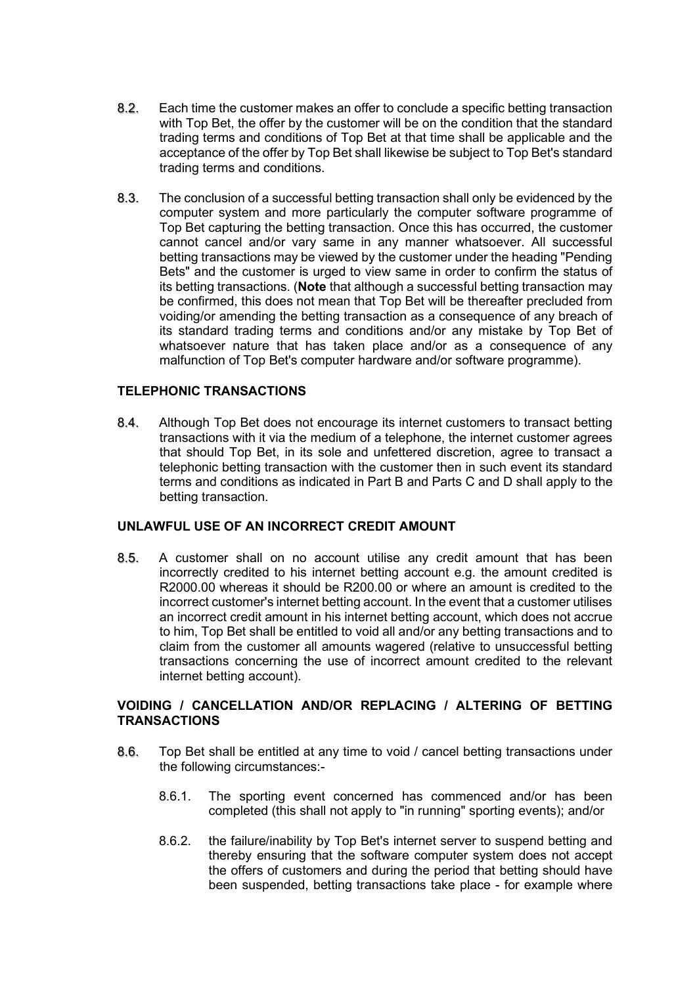- 8.2. Each time the customer makes an offer to conclude a specific betting transaction with Top Bet, the offer by the customer will be on the condition that the standard trading terms and conditions of Top Bet at that time shall be applicable and the acceptance of the offer by Top Bet shall likewise be subject to Top Bet's standard trading terms and conditions.
- 8.3. The conclusion of a successful betting transaction shall only be evidenced by the computer system and more particularly the computer software programme of Top Bet capturing the betting transaction. Once this has occurred, the customer cannot cancel and/or vary same in any manner whatsoever. All successful betting transactions may be viewed by the customer under the heading "Pending Bets" and the customer is urged to view same in order to confirm the status of its betting transactions. (**Note** that although a successful betting transaction may be confirmed, this does not mean that Top Bet will be thereafter precluded from voiding/or amending the betting transaction as a consequence of any breach of its standard trading terms and conditions and/or any mistake by Top Bet of whatsoever nature that has taken place and/or as a consequence of any malfunction of Top Bet's computer hardware and/or software programme).

## **TELEPHONIC TRANSACTIONS**

8.4. Although Top Bet does not encourage its internet customers to transact betting transactions with it via the medium of a telephone, the internet customer agrees that should Top Bet, in its sole and unfettered discretion, agree to transact a telephonic betting transaction with the customer then in such event its standard terms and conditions as indicated in Part B and Parts C and D shall apply to the betting transaction.

## **UNLAWFUL USE OF AN INCORRECT CREDIT AMOUNT**

8.5. A customer shall on no account utilise any credit amount that has been incorrectly credited to his internet betting account e.g. the amount credited is R2000.00 whereas it should be R200.00 or where an amount is credited to the incorrect customer's internet betting account. In the event that a customer utilises an incorrect credit amount in his internet betting account, which does not accrue to him, Top Bet shall be entitled to void all and/or any betting transactions and to claim from the customer all amounts wagered (relative to unsuccessful betting transactions concerning the use of incorrect amount credited to the relevant internet betting account).

# **VOIDING / CANCELLATION AND/OR REPLACING / ALTERING OF BETTING TRANSACTIONS**

- 8.6. Top Bet shall be entitled at any time to void / cancel betting transactions under the following circumstances:-
	- 8.6.1. The sporting event concerned has commenced and/or has been completed (this shall not apply to "in running" sporting events); and/or
	- 8.6.2. the failure/inability by Top Bet's internet server to suspend betting and thereby ensuring that the software computer system does not accept the offers of customers and during the period that betting should have been suspended, betting transactions take place - for example where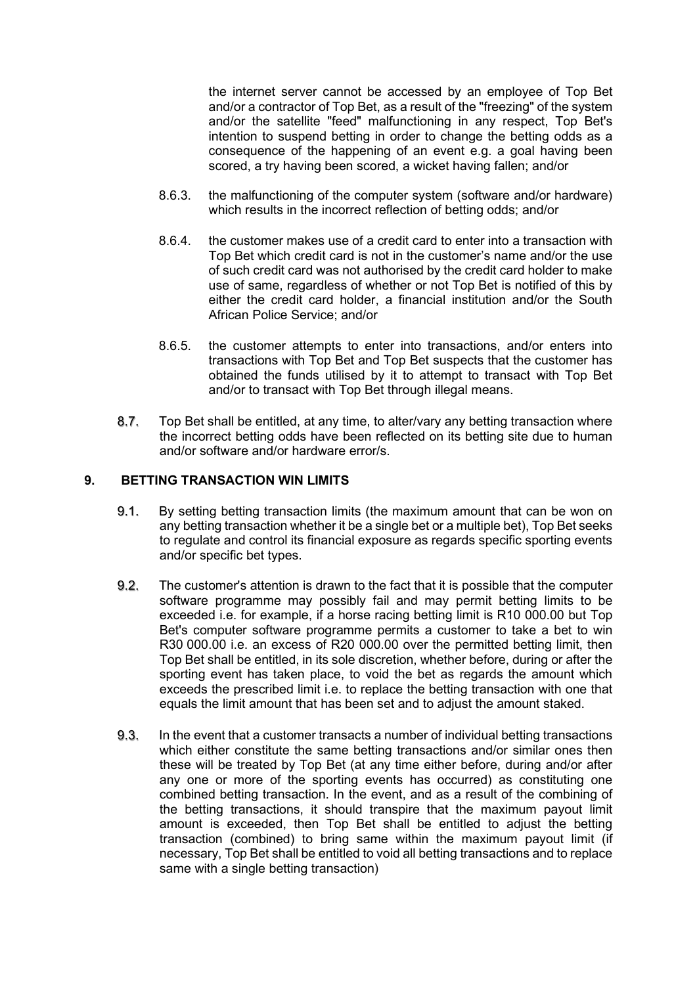the internet server cannot be accessed by an employee of Top Bet and/or a contractor of Top Bet, as a result of the "freezing" of the system and/or the satellite "feed" malfunctioning in any respect, Top Bet's intention to suspend betting in order to change the betting odds as a consequence of the happening of an event e.g. a goal having been scored, a try having been scored, a wicket having fallen; and/or

- 8.6.3. the malfunctioning of the computer system (software and/or hardware) which results in the incorrect reflection of betting odds; and/or
- 8.6.4. the customer makes use of a credit card to enter into a transaction with Top Bet which credit card is not in the customer's name and/or the use of such credit card was not authorised by the credit card holder to make use of same, regardless of whether or not Top Bet is notified of this by either the credit card holder, a financial institution and/or the South African Police Service; and/or
- 8.6.5. the customer attempts to enter into transactions, and/or enters into transactions with Top Bet and Top Bet suspects that the customer has obtained the funds utilised by it to attempt to transact with Top Bet and/or to transact with Top Bet through illegal means.
- 8.7. Top Bet shall be entitled, at any time, to alter/vary any betting transaction where the incorrect betting odds have been reflected on its betting site due to human and/or software and/or hardware error/s.

## **9. BETTING TRANSACTION WIN LIMITS**

- 9.1. By setting betting transaction limits (the maximum amount that can be won on any betting transaction whether it be a single bet or a multiple bet), Top Bet seeks to regulate and control its financial exposure as regards specific sporting events and/or specific bet types.
- 9.2. The customer's attention is drawn to the fact that it is possible that the computer software programme may possibly fail and may permit betting limits to be exceeded i.e. for example, if a horse racing betting limit is R10 000.00 but Top Bet's computer software programme permits a customer to take a bet to win R30 000.00 i.e. an excess of R20 000.00 over the permitted betting limit, then Top Bet shall be entitled, in its sole discretion, whether before, during or after the sporting event has taken place, to void the bet as regards the amount which exceeds the prescribed limit i.e. to replace the betting transaction with one that equals the limit amount that has been set and to adjust the amount staked.
- 9.3. In the event that a customer transacts a number of individual betting transactions which either constitute the same betting transactions and/or similar ones then these will be treated by Top Bet (at any time either before, during and/or after any one or more of the sporting events has occurred) as constituting one combined betting transaction. In the event, and as a result of the combining of the betting transactions, it should transpire that the maximum payout limit amount is exceeded, then Top Bet shall be entitled to adjust the betting transaction (combined) to bring same within the maximum payout limit (if necessary, Top Bet shall be entitled to void all betting transactions and to replace same with a single betting transaction)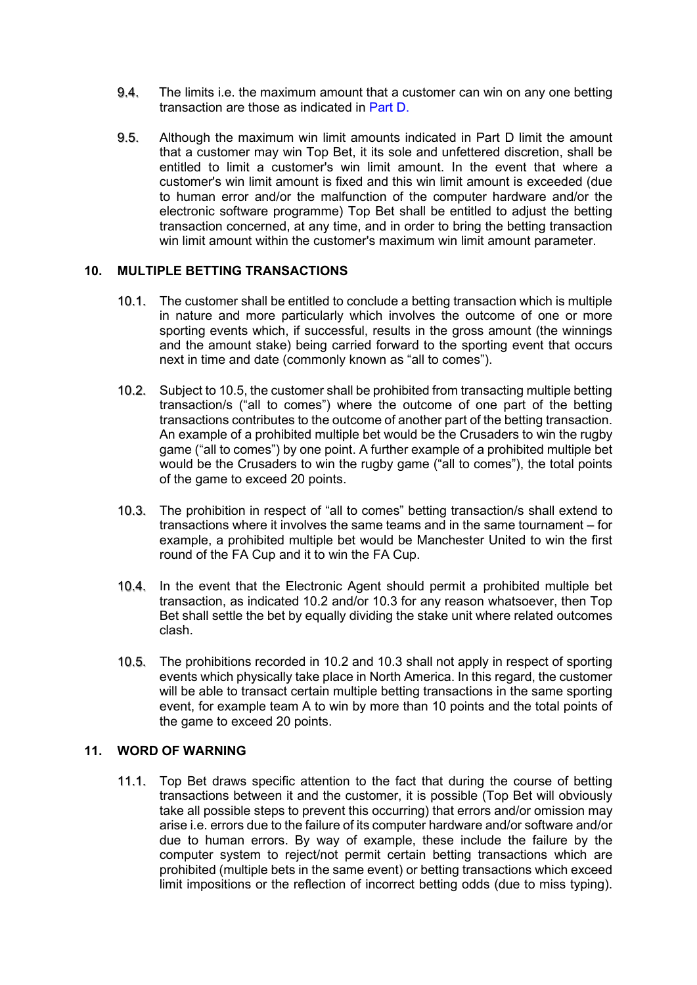- 9.4. The limits i.e. the maximum amount that a customer can win on any one betting transaction are those as indicated in Part D.
- 9.5. Although the maximum win limit amounts indicated in Part D limit the amount that a customer may win Top Bet, it its sole and unfettered discretion, shall be entitled to limit a customer's win limit amount. In the event that where a customer's win limit amount is fixed and this win limit amount is exceeded (due to human error and/or the malfunction of the computer hardware and/or the electronic software programme) Top Bet shall be entitled to adjust the betting transaction concerned, at any time, and in order to bring the betting transaction win limit amount within the customer's maximum win limit amount parameter.

#### **10. MULTIPLE BETTING TRANSACTIONS**

- 10.1. The customer shall be entitled to conclude a betting transaction which is multiple in nature and more particularly which involves the outcome of one or more sporting events which, if successful, results in the gross amount (the winnings and the amount stake) being carried forward to the sporting event that occurs next in time and date (commonly known as "all to comes").
- 10.2. Subject to 10.5, the customer shall be prohibited from transacting multiple betting transaction/s ("all to comes") where the outcome of one part of the betting transactions contributes to the outcome of another part of the betting transaction. An example of a prohibited multiple bet would be the Crusaders to win the rugby game ("all to comes") by one point. A further example of a prohibited multiple bet would be the Crusaders to win the rugby game ("all to comes"), the total points of the game to exceed 20 points.
- 10.3. The prohibition in respect of "all to comes" betting transaction/s shall extend to transactions where it involves the same teams and in the same tournament – for example, a prohibited multiple bet would be Manchester United to win the first round of the FA Cup and it to win the FA Cup.
- 10.4. In the event that the Electronic Agent should permit a prohibited multiple bet transaction, as indicated 10.2 and/or 10.3 for any reason whatsoever, then Top Bet shall settle the bet by equally dividing the stake unit where related outcomes clash.
- 10.5. The prohibitions recorded in 10.2 and 10.3 shall not apply in respect of sporting events which physically take place in North America. In this regard, the customer will be able to transact certain multiple betting transactions in the same sporting event, for example team A to win by more than 10 points and the total points of the game to exceed 20 points.

#### **11. WORD OF WARNING**

11.1. Top Bet draws specific attention to the fact that during the course of betting transactions between it and the customer, it is possible (Top Bet will obviously take all possible steps to prevent this occurring) that errors and/or omission may arise i.e. errors due to the failure of its computer hardware and/or software and/or due to human errors. By way of example, these include the failure by the computer system to reject/not permit certain betting transactions which are prohibited (multiple bets in the same event) or betting transactions which exceed limit impositions or the reflection of incorrect betting odds (due to miss typing).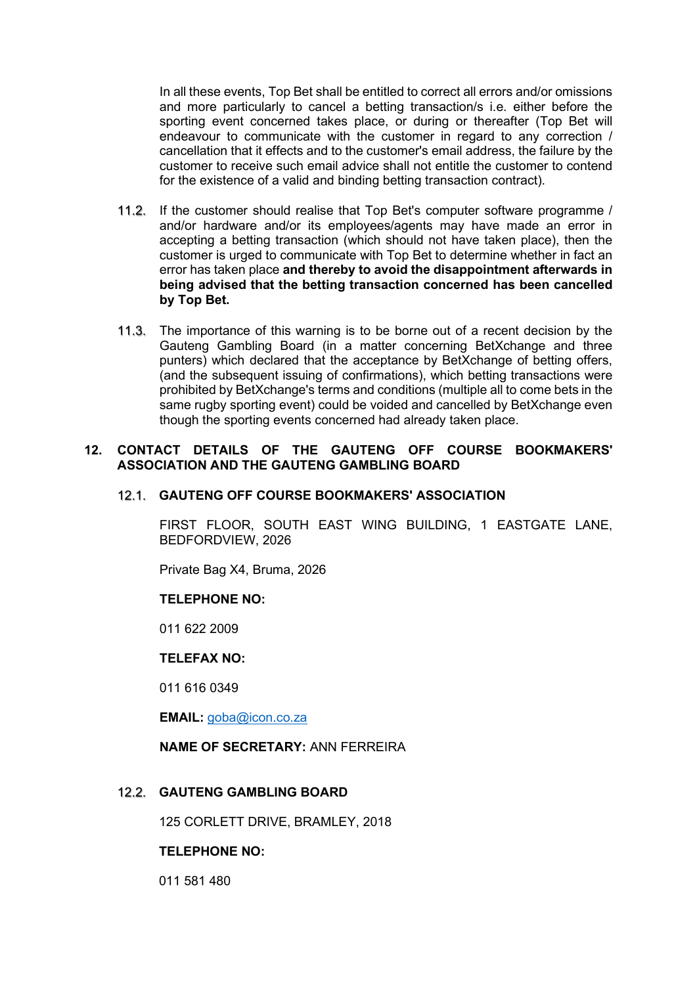In all these events, Top Bet shall be entitled to correct all errors and/or omissions and more particularly to cancel a betting transaction/s i.e. either before the sporting event concerned takes place, or during or thereafter (Top Bet will endeavour to communicate with the customer in regard to any correction / cancellation that it effects and to the customer's email address, the failure by the customer to receive such email advice shall not entitle the customer to contend for the existence of a valid and binding betting transaction contract).

- 11.2. If the customer should realise that Top Bet's computer software programme / and/or hardware and/or its employees/agents may have made an error in accepting a betting transaction (which should not have taken place), then the customer is urged to communicate with Top Bet to determine whether in fact an error has taken place **and thereby to avoid the disappointment afterwards in being advised that the betting transaction concerned has been cancelled by Top Bet.**
- 11.3. The importance of this warning is to be borne out of a recent decision by the Gauteng Gambling Board (in a matter concerning BetXchange and three punters) which declared that the acceptance by BetXchange of betting offers, (and the subsequent issuing of confirmations), which betting transactions were prohibited by BetXchange's terms and conditions (multiple all to come bets in the same rugby sporting event) could be voided and cancelled by BetXchange even though the sporting events concerned had already taken place.

#### **12. CONTACT DETAILS OF THE GAUTENG OFF COURSE BOOKMAKERS' ASSOCIATION AND THE GAUTENG GAMBLING BOARD**

## 12.1. **GAUTENG OFF COURSE BOOKMAKERS' ASSOCIATION**

FIRST FLOOR, SOUTH EAST WING BUILDING, 1 EASTGATE LANE, BEDFORDVIEW, 2026

Private Bag X4, Bruma, 2026

#### **TELEPHONE NO:**

011 622 2009

#### **TELEFAX NO:**

011 616 0349

**EMAIL:** [goba@icon.co.za](mailto:goba@icon.co.za)

#### **NAME OF SECRETARY:** ANN FERREIRA

#### 12.2. **GAUTENG GAMBLING BOARD**

125 CORLETT DRIVE, BRAMLEY, 2018

#### **TELEPHONE NO:**

011 581 480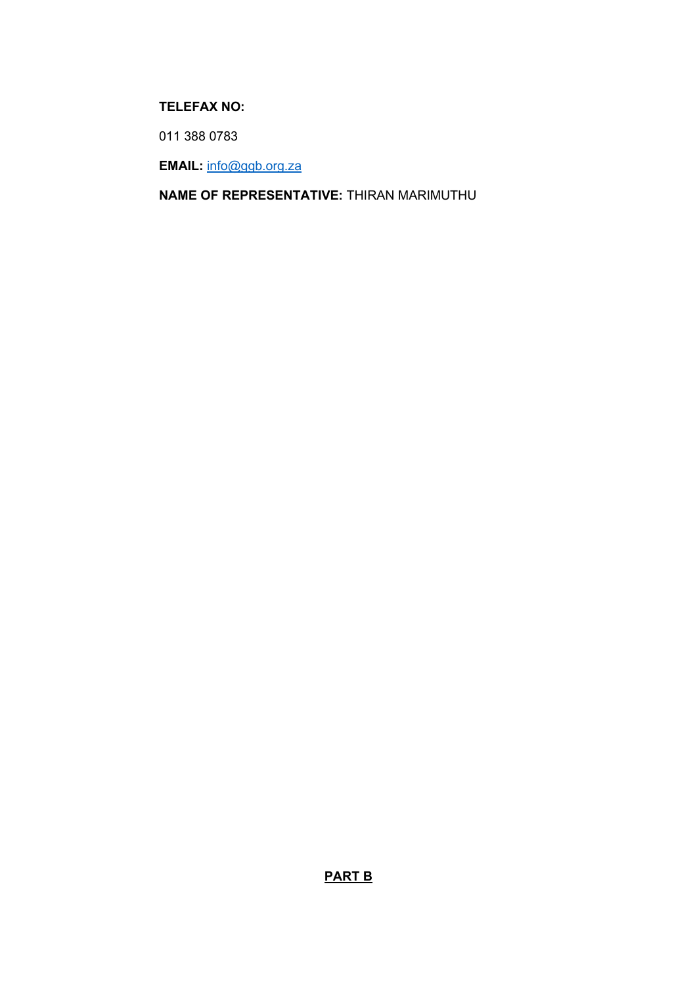# **TELEFAX NO:**

011 388 0783

**EMAIL:** [info@ggb.org.za](mailto:info@ggb.org.za)

**NAME OF REPRESENTATIVE:** THIRAN MARIMUTHU

**PART B**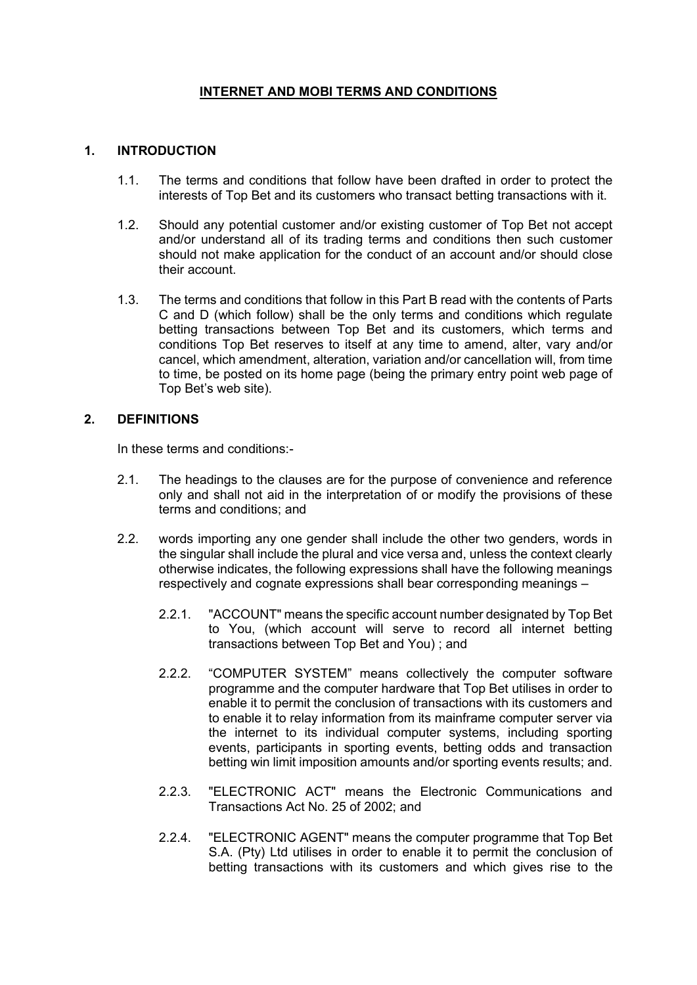# **INTERNET AND MOBI TERMS AND CONDITIONS**

# **1. INTRODUCTION**

- 1.1. The terms and conditions that follow have been drafted in order to protect the interests of Top Bet and its customers who transact betting transactions with it.
- 1.2. Should any potential customer and/or existing customer of Top Bet not accept and/or understand all of its trading terms and conditions then such customer should not make application for the conduct of an account and/or should close their account.
- 1.3. The terms and conditions that follow in this Part B read with the contents of Parts C and D (which follow) shall be the only terms and conditions which regulate betting transactions between Top Bet and its customers, which terms and conditions Top Bet reserves to itself at any time to amend, alter, vary and/or cancel, which amendment, alteration, variation and/or cancellation will, from time to time, be posted on its home page (being the primary entry point web page of Top Bet's web site).

#### **2. DEFINITIONS**

In these terms and conditions:-

- 2.1. The headings to the clauses are for the purpose of convenience and reference only and shall not aid in the interpretation of or modify the provisions of these terms and conditions; and
- 2.2. words importing any one gender shall include the other two genders, words in the singular shall include the plural and vice versa and, unless the context clearly otherwise indicates, the following expressions shall have the following meanings respectively and cognate expressions shall bear corresponding meanings –
	- 2.2.1. "ACCOUNT" means the specific account number designated by Top Bet to You, (which account will serve to record all internet betting transactions between Top Bet and You) ; and
	- 2.2.2. "COMPUTER SYSTEM" means collectively the computer software programme and the computer hardware that Top Bet utilises in order to enable it to permit the conclusion of transactions with its customers and to enable it to relay information from its mainframe computer server via the internet to its individual computer systems, including sporting events, participants in sporting events, betting odds and transaction betting win limit imposition amounts and/or sporting events results; and.
	- 2.2.3. "ELECTRONIC ACT" means the Electronic Communications and Transactions Act No. 25 of 2002; and
	- 2.2.4. "ELECTRONIC AGENT" means the computer programme that Top Bet S.A. (Pty) Ltd utilises in order to enable it to permit the conclusion of betting transactions with its customers and which gives rise to the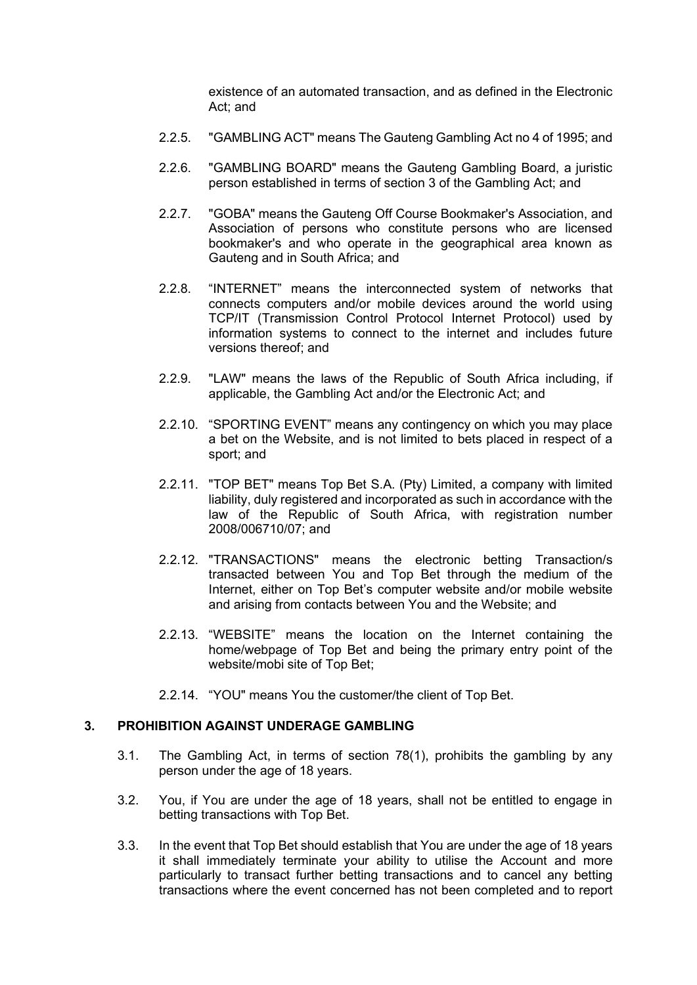existence of an automated transaction, and as defined in the Electronic Act; and

- 2.2.5. "GAMBLING ACT" means The Gauteng Gambling Act no 4 of 1995; and
- 2.2.6. "GAMBLING BOARD" means the Gauteng Gambling Board, a juristic person established in terms of section 3 of the Gambling Act; and
- 2.2.7. "GOBA" means the Gauteng Off Course Bookmaker's Association, and Association of persons who constitute persons who are licensed bookmaker's and who operate in the geographical area known as Gauteng and in South Africa; and
- 2.2.8. "INTERNET" means the interconnected system of networks that connects computers and/or mobile devices around the world using TCP/IT (Transmission Control Protocol Internet Protocol) used by information systems to connect to the internet and includes future versions thereof; and
- 2.2.9. "LAW" means the laws of the Republic of South Africa including, if applicable, the Gambling Act and/or the Electronic Act; and
- 2.2.10. "SPORTING EVENT" means any contingency on which you may place a bet on the Website, and is not limited to bets placed in respect of a sport; and
- 2.2.11. "TOP BET" means Top Bet S.A. (Pty) Limited, a company with limited liability, duly registered and incorporated as such in accordance with the law of the Republic of South Africa, with registration number 2008/006710/07; and
- 2.2.12. "TRANSACTIONS" means the electronic betting Transaction/s transacted between You and Top Bet through the medium of the Internet, either on Top Bet's computer website and/or mobile website and arising from contacts between You and the Website; and
- 2.2.13. "WEBSITE" means the location on the Internet containing the home/webpage of Top Bet and being the primary entry point of the website/mobi site of Top Bet;
- 2.2.14. "YOU" means You the customer/the client of Top Bet.

#### **3. PROHIBITION AGAINST UNDERAGE GAMBLING**

- 3.1. The Gambling Act, in terms of section 78(1), prohibits the gambling by any person under the age of 18 years.
- 3.2. You, if You are under the age of 18 years, shall not be entitled to engage in betting transactions with Top Bet.
- 3.3. In the event that Top Bet should establish that You are under the age of 18 years it shall immediately terminate your ability to utilise the Account and more particularly to transact further betting transactions and to cancel any betting transactions where the event concerned has not been completed and to report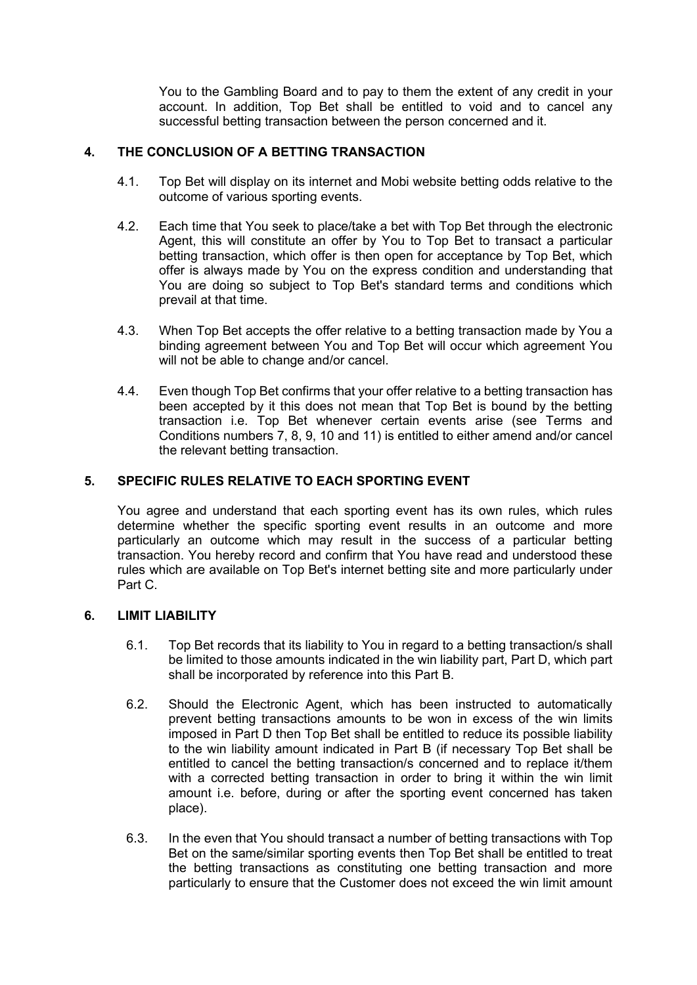You to the Gambling Board and to pay to them the extent of any credit in your account. In addition, Top Bet shall be entitled to void and to cancel any successful betting transaction between the person concerned and it.

# **4. THE CONCLUSION OF A BETTING TRANSACTION**

- 4.1. Top Bet will display on its internet and Mobi website betting odds relative to the outcome of various sporting events.
- 4.2. Each time that You seek to place/take a bet with Top Bet through the electronic Agent, this will constitute an offer by You to Top Bet to transact a particular betting transaction, which offer is then open for acceptance by Top Bet, which offer is always made by You on the express condition and understanding that You are doing so subject to Top Bet's standard terms and conditions which prevail at that time.
- 4.3. When Top Bet accepts the offer relative to a betting transaction made by You a binding agreement between You and Top Bet will occur which agreement You will not be able to change and/or cancel.
- 4.4. Even though Top Bet confirms that your offer relative to a betting transaction has been accepted by it this does not mean that Top Bet is bound by the betting transaction i.e. Top Bet whenever certain events arise (see Terms and Conditions numbers 7, 8, 9, 10 and 11) is entitled to either amend and/or cancel the relevant betting transaction.

# **5. SPECIFIC RULES RELATIVE TO EACH SPORTING EVENT**

You agree and understand that each sporting event has its own rules, which rules determine whether the specific sporting event results in an outcome and more particularly an outcome which may result in the success of a particular betting transaction. You hereby record and confirm that You have read and understood these rules which are available on Top Bet's internet betting site and more particularly under Part C.

## **6. LIMIT LIABILITY**

- 6.1. Top Bet records that its liability to You in regard to a betting transaction/s shall be limited to those amounts indicated in the win liability part, Part D, which part shall be incorporated by reference into this Part B.
- 6.2. Should the Electronic Agent, which has been instructed to automatically prevent betting transactions amounts to be won in excess of the win limits imposed in Part D then Top Bet shall be entitled to reduce its possible liability to the win liability amount indicated in Part B (if necessary Top Bet shall be entitled to cancel the betting transaction/s concerned and to replace it/them with a corrected betting transaction in order to bring it within the win limit amount i.e. before, during or after the sporting event concerned has taken place).
- 6.3. In the even that You should transact a number of betting transactions with Top Bet on the same/similar sporting events then Top Bet shall be entitled to treat the betting transactions as constituting one betting transaction and more particularly to ensure that the Customer does not exceed the win limit amount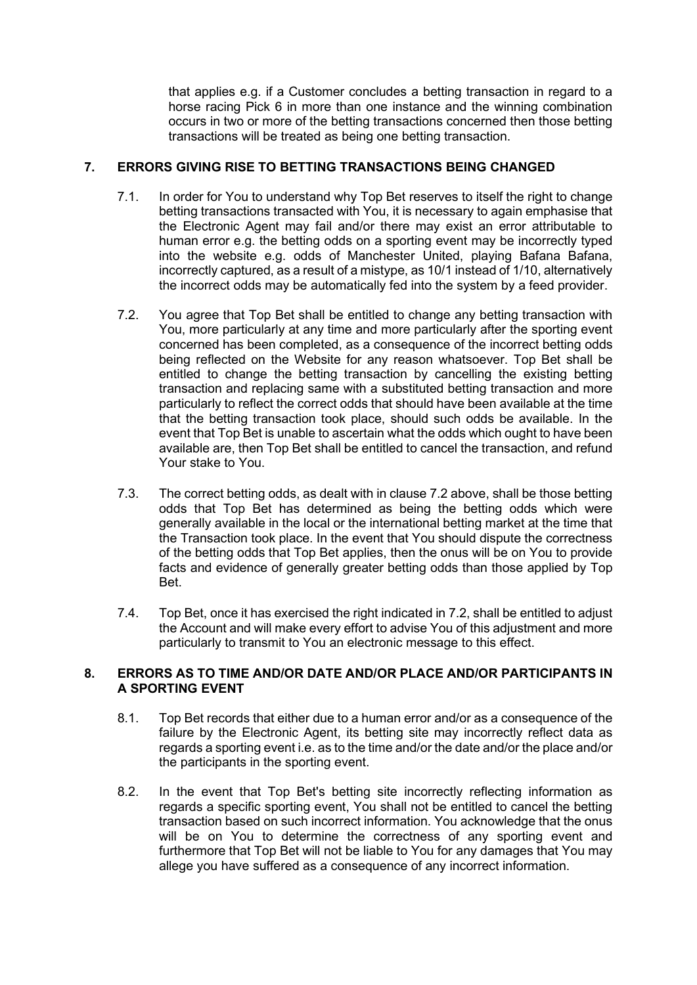that applies e.g. if a Customer concludes a betting transaction in regard to a horse racing Pick 6 in more than one instance and the winning combination occurs in two or more of the betting transactions concerned then those betting transactions will be treated as being one betting transaction.

# **7. ERRORS GIVING RISE TO BETTING TRANSACTIONS BEING CHANGED**

- 7.1. In order for You to understand why Top Bet reserves to itself the right to change betting transactions transacted with You, it is necessary to again emphasise that the Electronic Agent may fail and/or there may exist an error attributable to human error e.g. the betting odds on a sporting event may be incorrectly typed into the website e.g. odds of Manchester United, playing Bafana Bafana, incorrectly captured, as a result of a mistype, as 10/1 instead of 1/10, alternatively the incorrect odds may be automatically fed into the system by a feed provider.
- 7.2. You agree that Top Bet shall be entitled to change any betting transaction with You, more particularly at any time and more particularly after the sporting event concerned has been completed, as a consequence of the incorrect betting odds being reflected on the Website for any reason whatsoever. Top Bet shall be entitled to change the betting transaction by cancelling the existing betting transaction and replacing same with a substituted betting transaction and more particularly to reflect the correct odds that should have been available at the time that the betting transaction took place, should such odds be available. In the event that Top Bet is unable to ascertain what the odds which ought to have been available are, then Top Bet shall be entitled to cancel the transaction, and refund Your stake to You.
- 7.3. The correct betting odds, as dealt with in clause 7.2 above, shall be those betting odds that Top Bet has determined as being the betting odds which were generally available in the local or the international betting market at the time that the Transaction took place. In the event that You should dispute the correctness of the betting odds that Top Bet applies, then the onus will be on You to provide facts and evidence of generally greater betting odds than those applied by Top Bet.
- 7.4. Top Bet, once it has exercised the right indicated in 7.2, shall be entitled to adjust the Account and will make every effort to advise You of this adjustment and more particularly to transmit to You an electronic message to this effect.

## **8. ERRORS AS TO TIME AND/OR DATE AND/OR PLACE AND/OR PARTICIPANTS IN A SPORTING EVENT**

- 8.1. Top Bet records that either due to a human error and/or as a consequence of the failure by the Electronic Agent, its betting site may incorrectly reflect data as regards a sporting event i.e. as to the time and/or the date and/or the place and/or the participants in the sporting event.
- 8.2. In the event that Top Bet's betting site incorrectly reflecting information as regards a specific sporting event, You shall not be entitled to cancel the betting transaction based on such incorrect information. You acknowledge that the onus will be on You to determine the correctness of any sporting event and furthermore that Top Bet will not be liable to You for any damages that You may allege you have suffered as a consequence of any incorrect information.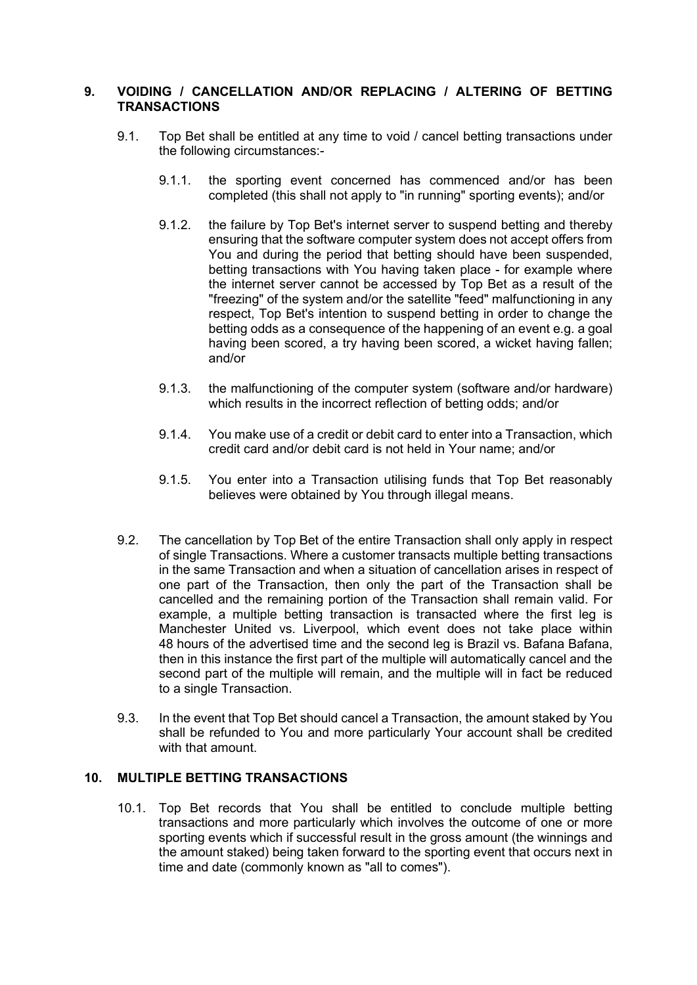# **9. VOIDING / CANCELLATION AND/OR REPLACING / ALTERING OF BETTING TRANSACTIONS**

- 9.1. Top Bet shall be entitled at any time to void / cancel betting transactions under the following circumstances:-
	- 9.1.1. the sporting event concerned has commenced and/or has been completed (this shall not apply to "in running" sporting events); and/or
	- 9.1.2. the failure by Top Bet's internet server to suspend betting and thereby ensuring that the software computer system does not accept offers from You and during the period that betting should have been suspended, betting transactions with You having taken place - for example where the internet server cannot be accessed by Top Bet as a result of the "freezing" of the system and/or the satellite "feed" malfunctioning in any respect, Top Bet's intention to suspend betting in order to change the betting odds as a consequence of the happening of an event e.g. a goal having been scored, a try having been scored, a wicket having fallen; and/or
	- 9.1.3. the malfunctioning of the computer system (software and/or hardware) which results in the incorrect reflection of betting odds; and/or
	- 9.1.4. You make use of a credit or debit card to enter into a Transaction, which credit card and/or debit card is not held in Your name; and/or
	- 9.1.5. You enter into a Transaction utilising funds that Top Bet reasonably believes were obtained by You through illegal means.
- 9.2. The cancellation by Top Bet of the entire Transaction shall only apply in respect of single Transactions. Where a customer transacts multiple betting transactions in the same Transaction and when a situation of cancellation arises in respect of one part of the Transaction, then only the part of the Transaction shall be cancelled and the remaining portion of the Transaction shall remain valid. For example, a multiple betting transaction is transacted where the first leg is Manchester United vs. Liverpool, which event does not take place within 48 hours of the advertised time and the second leg is Brazil vs. Bafana Bafana, then in this instance the first part of the multiple will automatically cancel and the second part of the multiple will remain, and the multiple will in fact be reduced to a single Transaction.
- 9.3. In the event that Top Bet should cancel a Transaction, the amount staked by You shall be refunded to You and more particularly Your account shall be credited with that amount.

# **10. MULTIPLE BETTING TRANSACTIONS**

10.1. Top Bet records that You shall be entitled to conclude multiple betting transactions and more particularly which involves the outcome of one or more sporting events which if successful result in the gross amount (the winnings and the amount staked) being taken forward to the sporting event that occurs next in time and date (commonly known as "all to comes").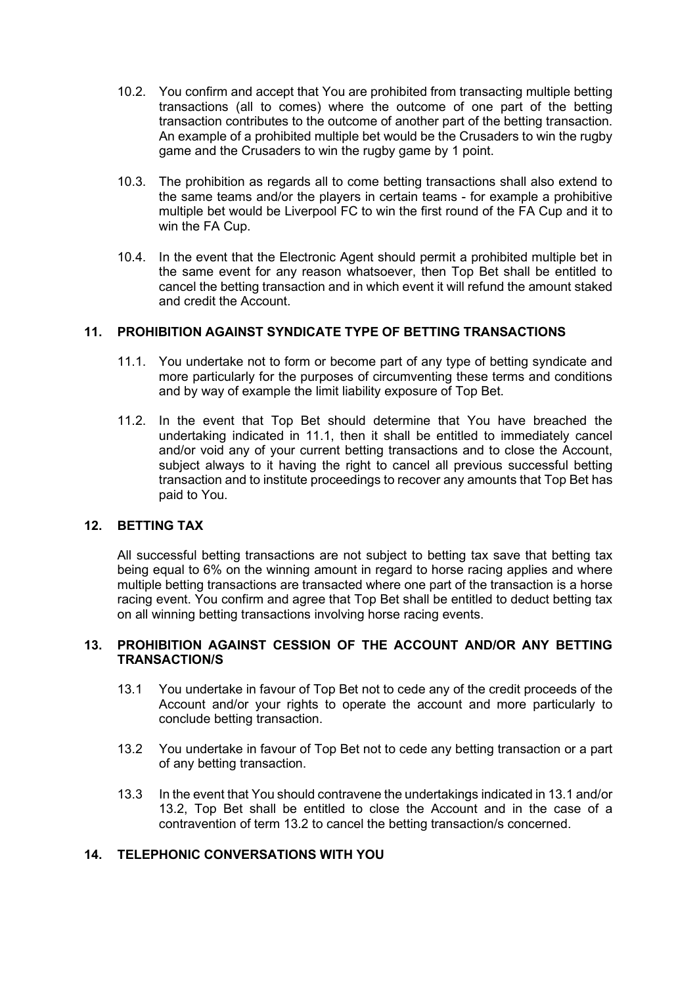- 10.2. You confirm and accept that You are prohibited from transacting multiple betting transactions (all to comes) where the outcome of one part of the betting transaction contributes to the outcome of another part of the betting transaction. An example of a prohibited multiple bet would be the Crusaders to win the rugby game and the Crusaders to win the rugby game by 1 point.
- 10.3. The prohibition as regards all to come betting transactions shall also extend to the same teams and/or the players in certain teams - for example a prohibitive multiple bet would be Liverpool FC to win the first round of the FA Cup and it to win the FA Cup.
- 10.4. In the event that the Electronic Agent should permit a prohibited multiple bet in the same event for any reason whatsoever, then Top Bet shall be entitled to cancel the betting transaction and in which event it will refund the amount staked and credit the Account.

## **11. PROHIBITION AGAINST SYNDICATE TYPE OF BETTING TRANSACTIONS**

- 11.1. You undertake not to form or become part of any type of betting syndicate and more particularly for the purposes of circumventing these terms and conditions and by way of example the limit liability exposure of Top Bet.
- 11.2. In the event that Top Bet should determine that You have breached the undertaking indicated in 11.1, then it shall be entitled to immediately cancel and/or void any of your current betting transactions and to close the Account, subject always to it having the right to cancel all previous successful betting transaction and to institute proceedings to recover any amounts that Top Bet has paid to You.

## **12. BETTING TAX**

All successful betting transactions are not subject to betting tax save that betting tax being equal to 6% on the winning amount in regard to horse racing applies and where multiple betting transactions are transacted where one part of the transaction is a horse racing event. You confirm and agree that Top Bet shall be entitled to deduct betting tax on all winning betting transactions involving horse racing events.

#### **13. PROHIBITION AGAINST CESSION OF THE ACCOUNT AND/OR ANY BETTING TRANSACTION/S**

- 13.1 You undertake in favour of Top Bet not to cede any of the credit proceeds of the Account and/or your rights to operate the account and more particularly to conclude betting transaction.
- 13.2 You undertake in favour of Top Bet not to cede any betting transaction or a part of any betting transaction.
- 13.3 In the event that You should contravene the undertakings indicated in 13.1 and/or 13.2, Top Bet shall be entitled to close the Account and in the case of a contravention of term 13.2 to cancel the betting transaction/s concerned.

# **14. TELEPHONIC CONVERSATIONS WITH YOU**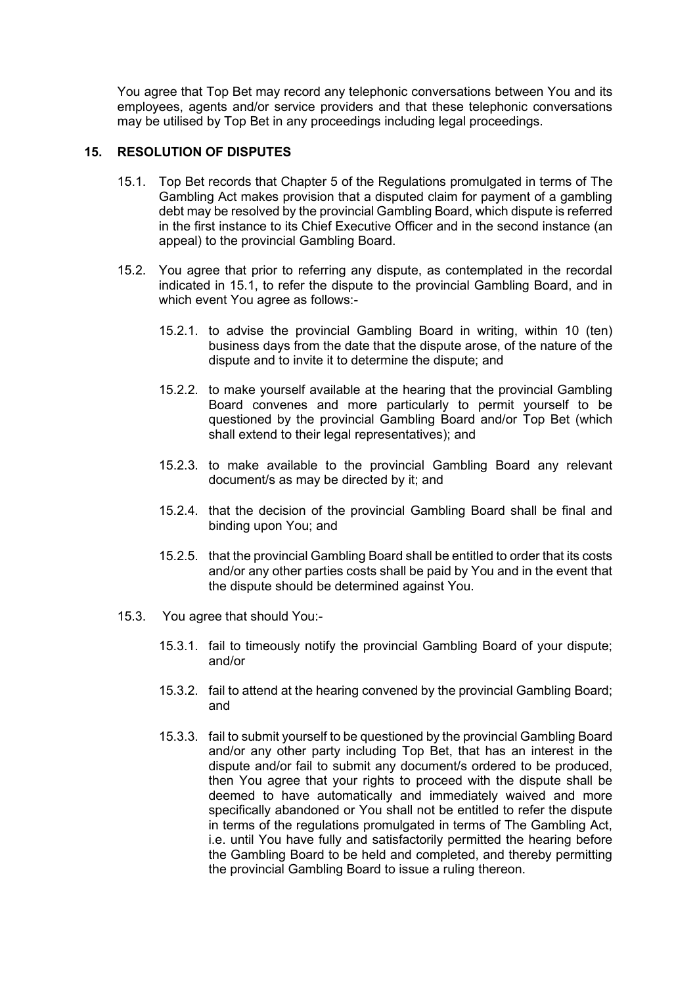You agree that Top Bet may record any telephonic conversations between You and its employees, agents and/or service providers and that these telephonic conversations may be utilised by Top Bet in any proceedings including legal proceedings.

#### **15. RESOLUTION OF DISPUTES**

- 15.1. Top Bet records that Chapter 5 of the Regulations promulgated in terms of The Gambling Act makes provision that a disputed claim for payment of a gambling debt may be resolved by the provincial Gambling Board, which dispute is referred in the first instance to its Chief Executive Officer and in the second instance (an appeal) to the provincial Gambling Board.
- 15.2. You agree that prior to referring any dispute, as contemplated in the recordal indicated in 15.1, to refer the dispute to the provincial Gambling Board, and in which event You agree as follows:-
	- 15.2.1. to advise the provincial Gambling Board in writing, within 10 (ten) business days from the date that the dispute arose, of the nature of the dispute and to invite it to determine the dispute; and
	- 15.2.2. to make yourself available at the hearing that the provincial Gambling Board convenes and more particularly to permit yourself to be questioned by the provincial Gambling Board and/or Top Bet (which shall extend to their legal representatives); and
	- 15.2.3. to make available to the provincial Gambling Board any relevant document/s as may be directed by it; and
	- 15.2.4. that the decision of the provincial Gambling Board shall be final and binding upon You; and
	- 15.2.5. that the provincial Gambling Board shall be entitled to order that its costs and/or any other parties costs shall be paid by You and in the event that the dispute should be determined against You.
- 15.3. You agree that should You:-
	- 15.3.1. fail to timeously notify the provincial Gambling Board of your dispute; and/or
	- 15.3.2. fail to attend at the hearing convened by the provincial Gambling Board; and
	- 15.3.3. fail to submit yourself to be questioned by the provincial Gambling Board and/or any other party including Top Bet, that has an interest in the dispute and/or fail to submit any document/s ordered to be produced, then You agree that your rights to proceed with the dispute shall be deemed to have automatically and immediately waived and more specifically abandoned or You shall not be entitled to refer the dispute in terms of the regulations promulgated in terms of The Gambling Act, i.e. until You have fully and satisfactorily permitted the hearing before the Gambling Board to be held and completed, and thereby permitting the provincial Gambling Board to issue a ruling thereon.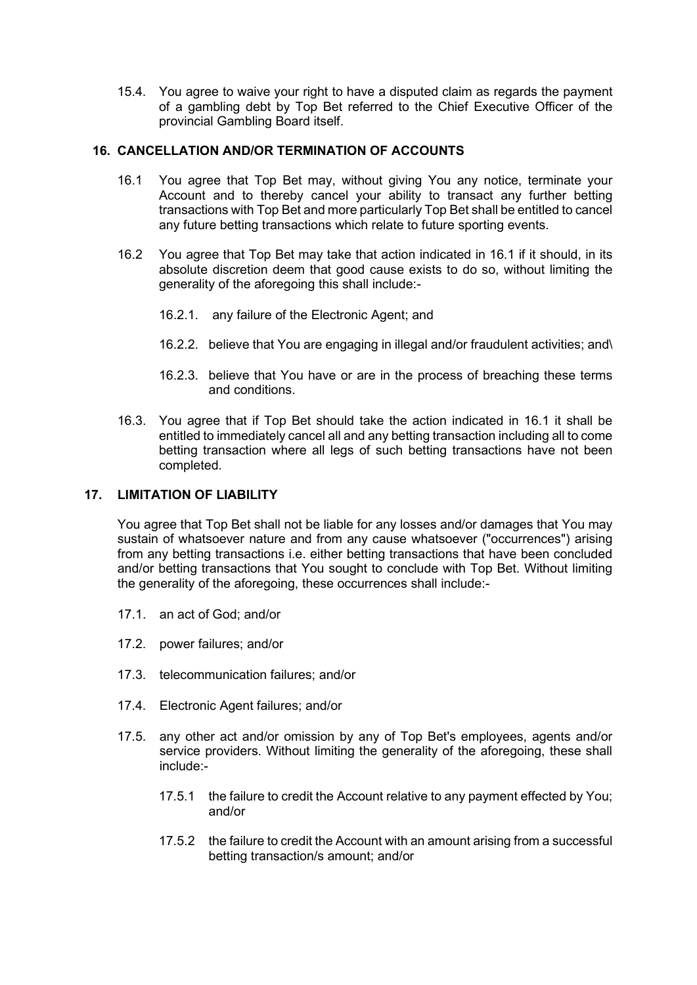15.4. You agree to waive your right to have a disputed claim as regards the payment of a gambling debt by Top Bet referred to the Chief Executive Officer of the provincial Gambling Board itself.

## **16. CANCELLATION AND/OR TERMINATION OF ACCOUNTS**

- 16.1 You agree that Top Bet may, without giving You any notice, terminate your Account and to thereby cancel your ability to transact any further betting transactions with Top Bet and more particularly Top Bet shall be entitled to cancel any future betting transactions which relate to future sporting events.
- 16.2 You agree that Top Bet may take that action indicated in 16.1 if it should, in its absolute discretion deem that good cause exists to do so, without limiting the generality of the aforegoing this shall include:-
	- 16.2.1. any failure of the Electronic Agent; and
	- 16.2.2. believe that You are engaging in illegal and/or fraudulent activities; and\
	- 16.2.3. believe that You have or are in the process of breaching these terms and conditions.
- 16.3. You agree that if Top Bet should take the action indicated in 16.1 it shall be entitled to immediately cancel all and any betting transaction including all to come betting transaction where all legs of such betting transactions have not been completed.

# **17. LIMITATION OF LIABILITY**

You agree that Top Bet shall not be liable for any losses and/or damages that You may sustain of whatsoever nature and from any cause whatsoever ("occurrences") arising from any betting transactions i.e. either betting transactions that have been concluded and/or betting transactions that You sought to conclude with Top Bet. Without limiting the generality of the aforegoing, these occurrences shall include:-

- 17.1. an act of God; and/or
- 17.2. power failures; and/or
- 17.3. telecommunication failures; and/or
- 17.4. Electronic Agent failures; and/or
- 17.5. any other act and/or omission by any of Top Bet's employees, agents and/or service providers. Without limiting the generality of the aforegoing, these shall include:-
	- 17.5.1 the failure to credit the Account relative to any payment effected by You; and/or
	- 17.5.2 the failure to credit the Account with an amount arising from a successful betting transaction/s amount; and/or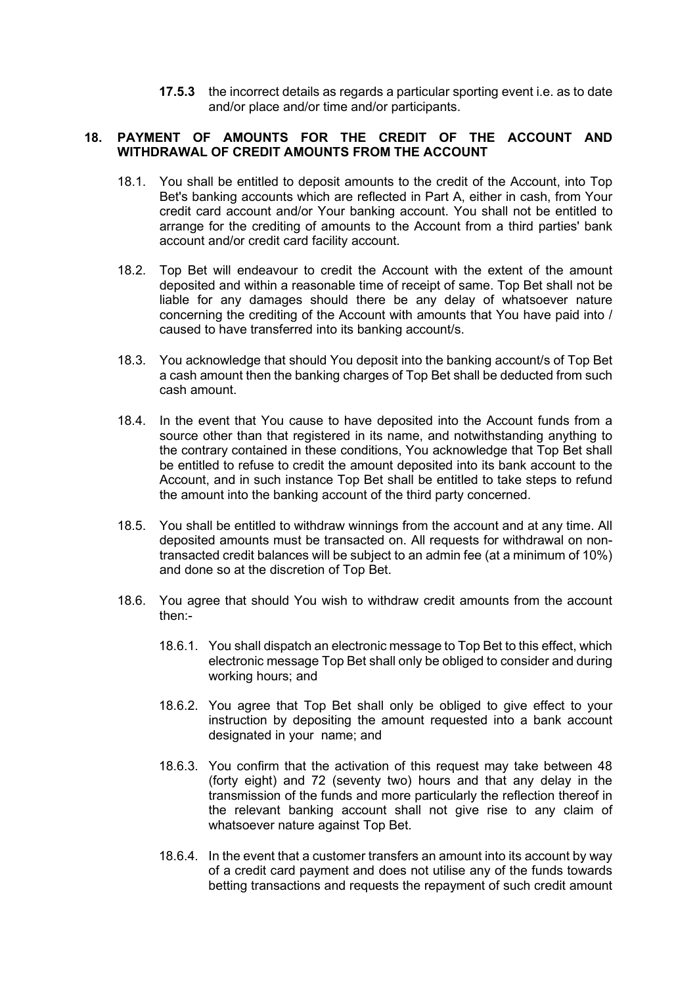**17.5.3** the incorrect details as regards a particular sporting event i.e. as to date and/or place and/or time and/or participants.

# **18. PAYMENT OF AMOUNTS FOR THE CREDIT OF THE ACCOUNT AND WITHDRAWAL OF CREDIT AMOUNTS FROM THE ACCOUNT**

- 18.1. You shall be entitled to deposit amounts to the credit of the Account, into Top Bet's banking accounts which are reflected in Part A, either in cash, from Your credit card account and/or Your banking account. You shall not be entitled to arrange for the crediting of amounts to the Account from a third parties' bank account and/or credit card facility account.
- 18.2. Top Bet will endeavour to credit the Account with the extent of the amount deposited and within a reasonable time of receipt of same. Top Bet shall not be liable for any damages should there be any delay of whatsoever nature concerning the crediting of the Account with amounts that You have paid into / caused to have transferred into its banking account/s.
- 18.3. You acknowledge that should You deposit into the banking account/s of Top Bet a cash amount then the banking charges of Top Bet shall be deducted from such cash amount.
- 18.4. In the event that You cause to have deposited into the Account funds from a source other than that registered in its name, and notwithstanding anything to the contrary contained in these conditions, You acknowledge that Top Bet shall be entitled to refuse to credit the amount deposited into its bank account to the Account, and in such instance Top Bet shall be entitled to take steps to refund the amount into the banking account of the third party concerned.
- 18.5. You shall be entitled to withdraw winnings from the account and at any time. All deposited amounts must be transacted on. All requests for withdrawal on nontransacted credit balances will be subject to an admin fee (at a minimum of 10%) and done so at the discretion of Top Bet.
- 18.6. You agree that should You wish to withdraw credit amounts from the account then:-
	- 18.6.1. You shall dispatch an electronic message to Top Bet to this effect, which electronic message Top Bet shall only be obliged to consider and during working hours; and
	- 18.6.2. You agree that Top Bet shall only be obliged to give effect to your instruction by depositing the amount requested into a bank account designated in your name; and
	- 18.6.3. You confirm that the activation of this request may take between 48 (forty eight) and 72 (seventy two) hours and that any delay in the transmission of the funds and more particularly the reflection thereof in the relevant banking account shall not give rise to any claim of whatsoever nature against Top Bet.
	- 18.6.4. In the event that a customer transfers an amount into its account by way of a credit card payment and does not utilise any of the funds towards betting transactions and requests the repayment of such credit amount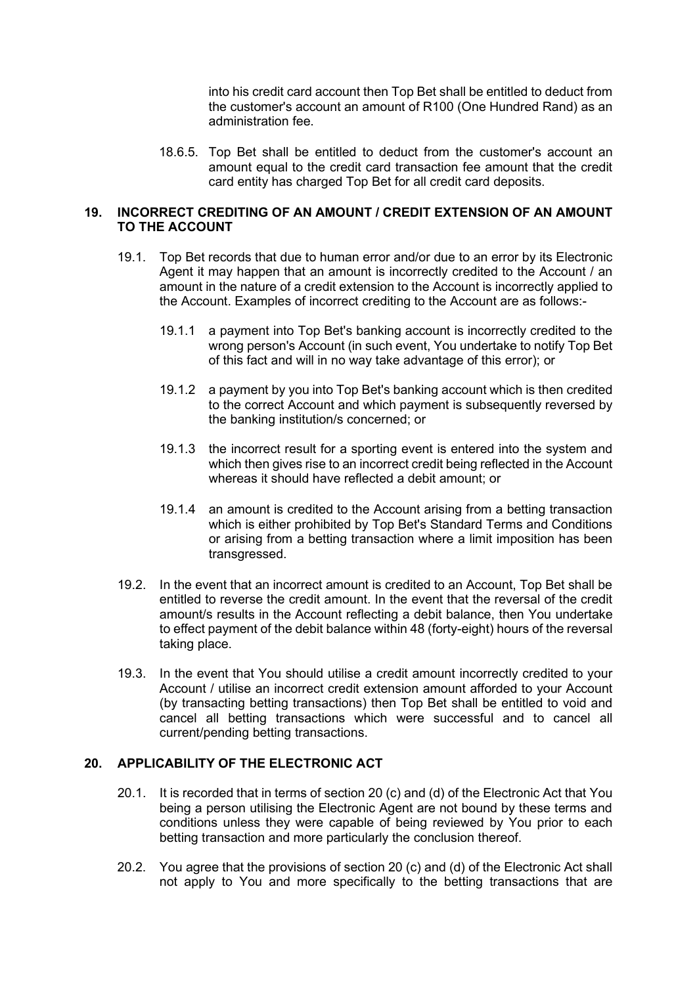into his credit card account then Top Bet shall be entitled to deduct from the customer's account an amount of R100 (One Hundred Rand) as an administration fee.

18.6.5. Top Bet shall be entitled to deduct from the customer's account an amount equal to the credit card transaction fee amount that the credit card entity has charged Top Bet for all credit card deposits.

## **19. INCORRECT CREDITING OF AN AMOUNT / CREDIT EXTENSION OF AN AMOUNT TO THE ACCOUNT**

- 19.1. Top Bet records that due to human error and/or due to an error by its Electronic Agent it may happen that an amount is incorrectly credited to the Account / an amount in the nature of a credit extension to the Account is incorrectly applied to the Account. Examples of incorrect crediting to the Account are as follows:-
	- 19.1.1 a payment into Top Bet's banking account is incorrectly credited to the wrong person's Account (in such event, You undertake to notify Top Bet of this fact and will in no way take advantage of this error); or
	- 19.1.2 a payment by you into Top Bet's banking account which is then credited to the correct Account and which payment is subsequently reversed by the banking institution/s concerned; or
	- 19.1.3 the incorrect result for a sporting event is entered into the system and which then gives rise to an incorrect credit being reflected in the Account whereas it should have reflected a debit amount; or
	- 19.1.4 an amount is credited to the Account arising from a betting transaction which is either prohibited by Top Bet's Standard Terms and Conditions or arising from a betting transaction where a limit imposition has been transgressed.
- 19.2. In the event that an incorrect amount is credited to an Account, Top Bet shall be entitled to reverse the credit amount. In the event that the reversal of the credit amount/s results in the Account reflecting a debit balance, then You undertake to effect payment of the debit balance within 48 (forty-eight) hours of the reversal taking place.
- 19.3. In the event that You should utilise a credit amount incorrectly credited to your Account / utilise an incorrect credit extension amount afforded to your Account (by transacting betting transactions) then Top Bet shall be entitled to void and cancel all betting transactions which were successful and to cancel all current/pending betting transactions.

## **20. APPLICABILITY OF THE ELECTRONIC ACT**

- 20.1. It is recorded that in terms of section 20 (c) and (d) of the Electronic Act that You being a person utilising the Electronic Agent are not bound by these terms and conditions unless they were capable of being reviewed by You prior to each betting transaction and more particularly the conclusion thereof.
- 20.2. You agree that the provisions of section 20 (c) and (d) of the Electronic Act shall not apply to You and more specifically to the betting transactions that are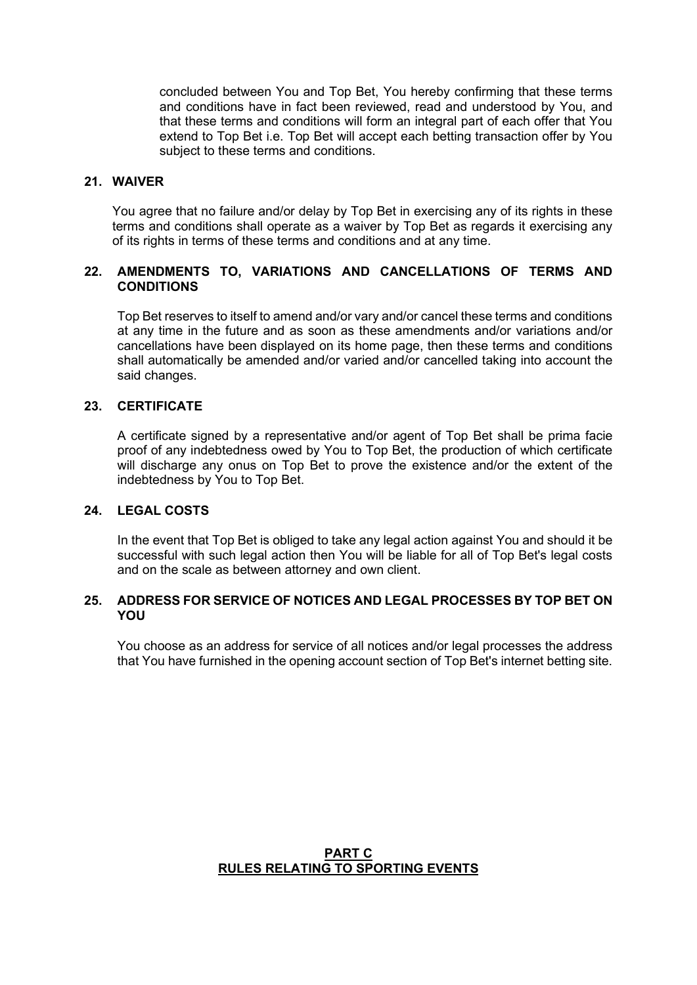concluded between You and Top Bet, You hereby confirming that these terms and conditions have in fact been reviewed, read and understood by You, and that these terms and conditions will form an integral part of each offer that You extend to Top Bet i.e. Top Bet will accept each betting transaction offer by You subject to these terms and conditions.

#### **21. WAIVER**

You agree that no failure and/or delay by Top Bet in exercising any of its rights in these terms and conditions shall operate as a waiver by Top Bet as regards it exercising any of its rights in terms of these terms and conditions and at any time.

### **22. AMENDMENTS TO, VARIATIONS AND CANCELLATIONS OF TERMS AND CONDITIONS**

Top Bet reserves to itself to amend and/or vary and/or cancel these terms and conditions at any time in the future and as soon as these amendments and/or variations and/or cancellations have been displayed on its home page, then these terms and conditions shall automatically be amended and/or varied and/or cancelled taking into account the said changes.

#### **23. CERTIFICATE**

A certificate signed by a representative and/or agent of Top Bet shall be prima facie proof of any indebtedness owed by You to Top Bet, the production of which certificate will discharge any onus on Top Bet to prove the existence and/or the extent of the indebtedness by You to Top Bet.

#### **24. LEGAL COSTS**

In the event that Top Bet is obliged to take any legal action against You and should it be successful with such legal action then You will be liable for all of Top Bet's legal costs and on the scale as between attorney and own client.

#### **25. ADDRESS FOR SERVICE OF NOTICES AND LEGAL PROCESSES BY TOP BET ON YOU**

You choose as an address for service of all notices and/or legal processes the address that You have furnished in the opening account section of Top Bet's internet betting site.

## **PART C RULES RELATING TO SPORTING EVENTS**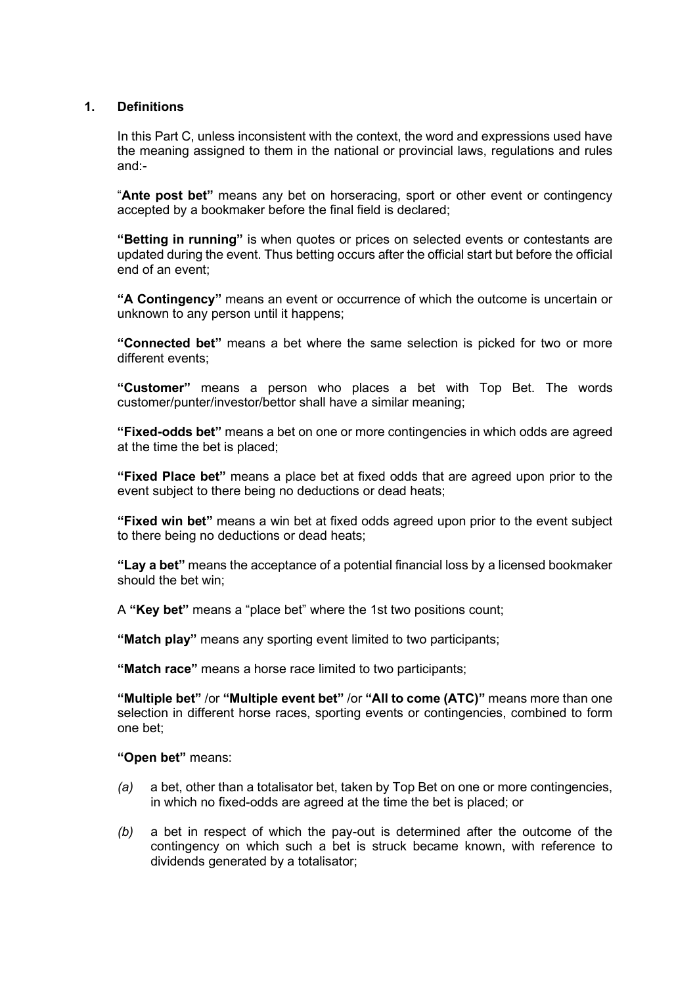#### **1. Definitions**

In this Part C, unless inconsistent with the context, the word and expressions used have the meaning assigned to them in the national or provincial laws, regulations and rules and:-

"**Ante post bet"** means any bet on horseracing, sport or other event or contingency accepted by a bookmaker before the final field is declared;

**"Betting in running"** is when quotes or prices on selected events or contestants are updated during the event. Thus betting occurs after the official start but before the official end of an event;

**"A Contingency"** means an event or occurrence of which the outcome is uncertain or unknown to any person until it happens;

**"Connected bet"** means a bet where the same selection is picked for two or more different events;

**"Customer"** means a person who places a bet with Top Bet. The words customer/punter/investor/bettor shall have a similar meaning;

**"Fixed-odds bet"** means a bet on one or more contingencies in which odds are agreed at the time the bet is placed;

**"Fixed Place bet"** means a place bet at fixed odds that are agreed upon prior to the event subject to there being no deductions or dead heats;

**"Fixed win bet"** means a win bet at fixed odds agreed upon prior to the event subject to there being no deductions or dead heats;

**"Lay a bet"** means the acceptance of a potential financial loss by a licensed bookmaker should the bet win;

A **"Key bet"** means a "place bet" where the 1st two positions count;

**"Match play"** means any sporting event limited to two participants;

**"Match race"** means a horse race limited to two participants;

**"Multiple bet"** /or **"Multiple event bet"** /or **"All to come (ATC)"** means more than one selection in different horse races, sporting events or contingencies, combined to form one bet;

**"Open bet"** means:

- *(a)* a bet, other than a totalisator bet, taken by Top Bet on one or more contingencies, in which no fixed-odds are agreed at the time the bet is placed; or
- *(b)* a bet in respect of which the pay-out is determined after the outcome of the contingency on which such a bet is struck became known, with reference to dividends generated by a totalisator;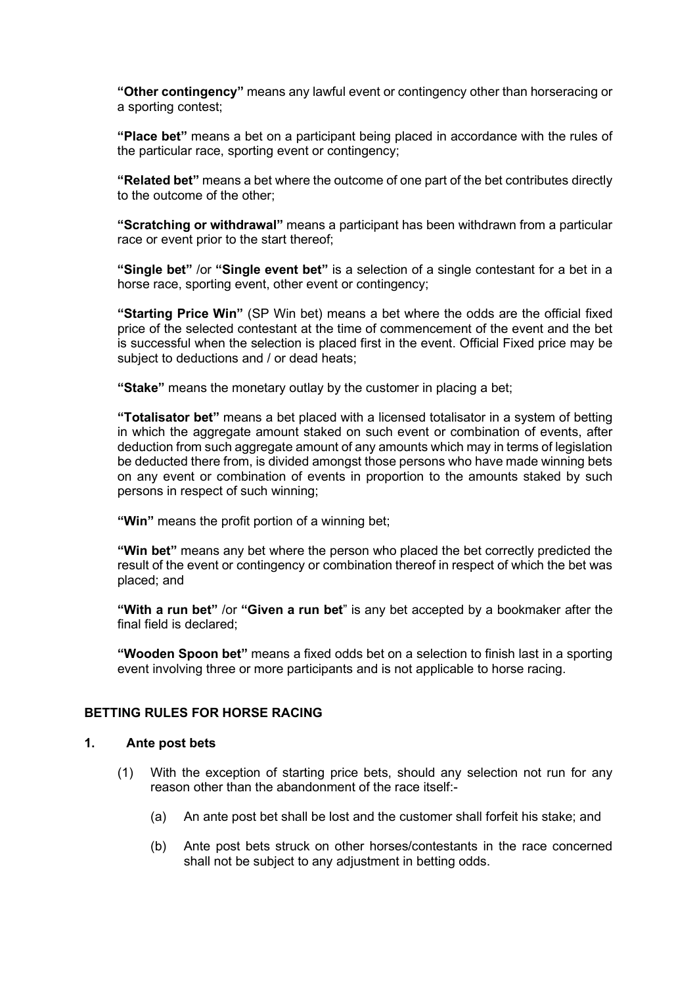**"Other contingency"** means any lawful event or contingency other than horseracing or a sporting contest;

**"Place bet"** means a bet on a participant being placed in accordance with the rules of the particular race, sporting event or contingency;

**"Related bet"** means a bet where the outcome of one part of the bet contributes directly to the outcome of the other;

**"Scratching or withdrawal"** means a participant has been withdrawn from a particular race or event prior to the start thereof;

**"Single bet"** /or **"Single event bet"** is a selection of a single contestant for a bet in a horse race, sporting event, other event or contingency;

**"Starting Price Win"** (SP Win bet) means a bet where the odds are the official fixed price of the selected contestant at the time of commencement of the event and the bet is successful when the selection is placed first in the event. Official Fixed price may be subject to deductions and / or dead heats;

**"Stake"** means the monetary outlay by the customer in placing a bet;

**"Totalisator bet"** means a bet placed with a licensed totalisator in a system of betting in which the aggregate amount staked on such event or combination of events, after deduction from such aggregate amount of any amounts which may in terms of legislation be deducted there from, is divided amongst those persons who have made winning bets on any event or combination of events in proportion to the amounts staked by such persons in respect of such winning;

**"Win"** means the profit portion of a winning bet;

**"Win bet"** means any bet where the person who placed the bet correctly predicted the result of the event or contingency or combination thereof in respect of which the bet was placed; and

**"With a run bet"** /or **"Given a run bet**" is any bet accepted by a bookmaker after the final field is declared;

**"Wooden Spoon bet"** means a fixed odds bet on a selection to finish last in a sporting event involving three or more participants and is not applicable to horse racing.

### **BETTING RULES FOR HORSE RACING**

#### **1. Ante post bets**

- (1) With the exception of starting price bets, should any selection not run for any reason other than the abandonment of the race itself:-
	- (a) An ante post bet shall be lost and the customer shall forfeit his stake; and
	- (b) Ante post bets struck on other horses/contestants in the race concerned shall not be subject to any adjustment in betting odds.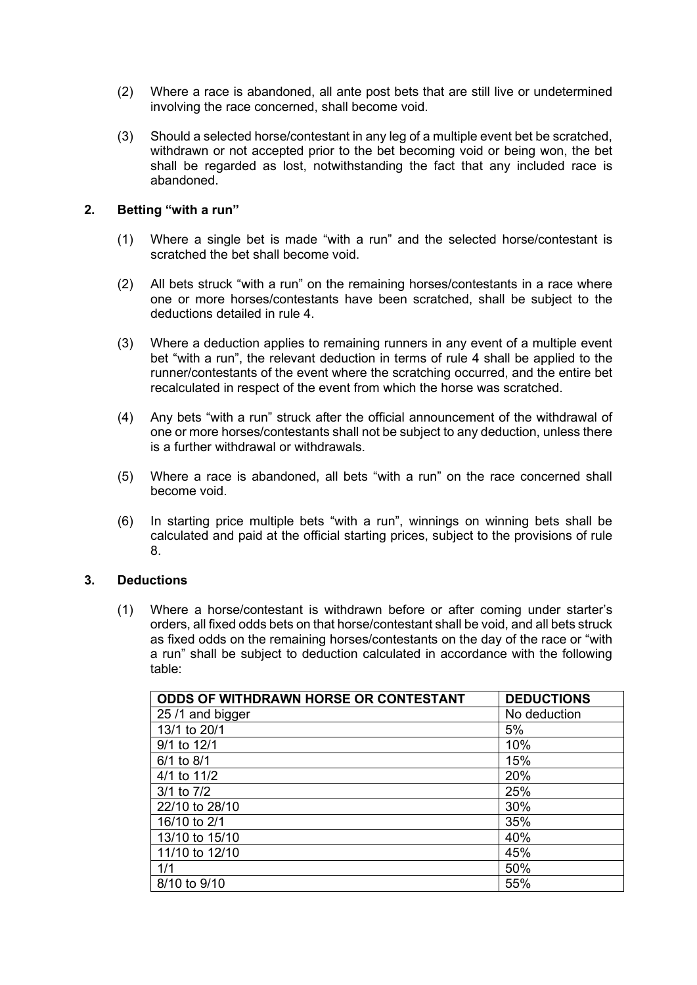- (2) Where a race is abandoned, all ante post bets that are still live or undetermined involving the race concerned, shall become void.
- (3) Should a selected horse/contestant in any leg of a multiple event bet be scratched, withdrawn or not accepted prior to the bet becoming void or being won, the bet shall be regarded as lost, notwithstanding the fact that any included race is abandoned.

#### **2. Betting "with a run"**

- (1) Where a single bet is made "with a run" and the selected horse/contestant is scratched the bet shall become void.
- (2) All bets struck "with a run" on the remaining horses/contestants in a race where one or more horses/contestants have been scratched, shall be subject to the deductions detailed in rule 4.
- (3) Where a deduction applies to remaining runners in any event of a multiple event bet "with a run", the relevant deduction in terms of rule 4 shall be applied to the runner/contestants of the event where the scratching occurred, and the entire bet recalculated in respect of the event from which the horse was scratched.
- (4) Any bets "with a run" struck after the official announcement of the withdrawal of one or more horses/contestants shall not be subject to any deduction, unless there is a further withdrawal or withdrawals.
- (5) Where a race is abandoned, all bets "with a run" on the race concerned shall become void.
- (6) In starting price multiple bets "with a run", winnings on winning bets shall be calculated and paid at the official starting prices, subject to the provisions of rule 8.

#### **3. Deductions**

(1) Where a horse/contestant is withdrawn before or after coming under starter's orders, all fixed odds bets on that horse/contestant shall be void, and all bets struck as fixed odds on the remaining horses/contestants on the day of the race or "with a run" shall be subject to deduction calculated in accordance with the following table:

| ODDS OF WITHDRAWN HORSE OR CONTESTANT | <b>DEDUCTIONS</b> |
|---------------------------------------|-------------------|
| 25/1 and bigger                       | No deduction      |
| 13/1 to 20/1                          | 5%                |
| 9/1 to 12/1                           | 10%               |
| 6/1 to 8/1                            | 15%               |
| 4/1 to 11/2                           | 20%               |
| $3/1$ to $7/2$                        | 25%               |
| 22/10 to 28/10                        | 30%               |
| 16/10 to 2/1                          | 35%               |
| 13/10 to 15/10                        | 40%               |
| 11/10 to 12/10                        | 45%               |
| 1/1                                   | 50%               |
| 8/10 to 9/10                          | 55%               |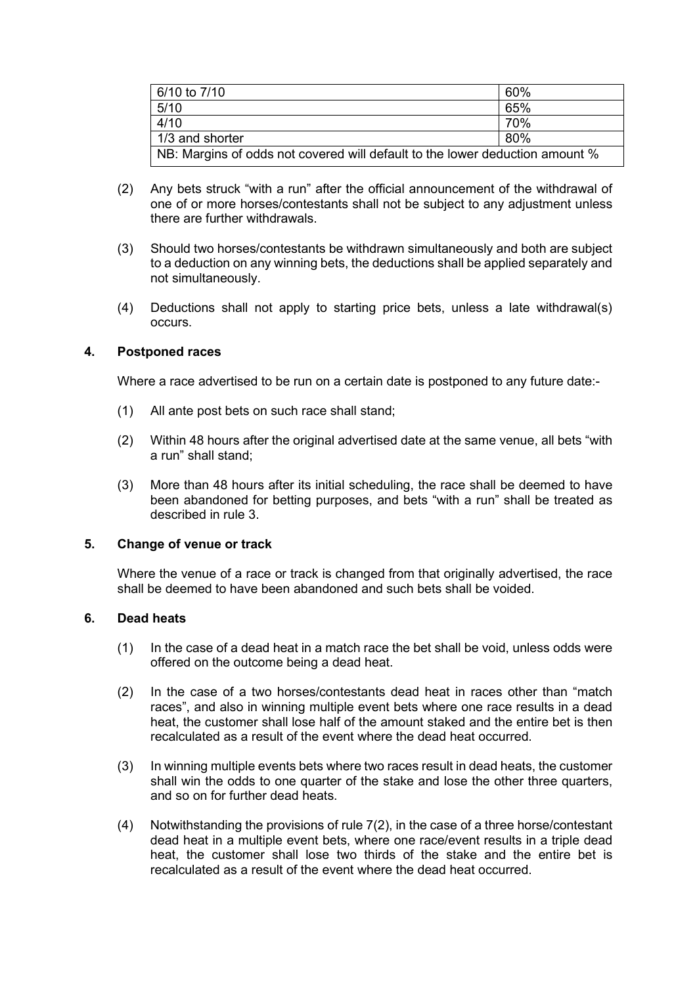| 6/10 to 7/10                                                                           | 60% |
|----------------------------------------------------------------------------------------|-----|
| 5/10                                                                                   | 65% |
| 4/10                                                                                   | 70% |
| 1/3 and shorter                                                                        | 80% |
| $\mid$ NB: Margins of odds not covered will default to the lower deduction amount $\%$ |     |

- (2) Any bets struck "with a run" after the official announcement of the withdrawal of one of or more horses/contestants shall not be subject to any adjustment unless there are further withdrawals.
- (3) Should two horses/contestants be withdrawn simultaneously and both are subject to a deduction on any winning bets, the deductions shall be applied separately and not simultaneously.
- (4) Deductions shall not apply to starting price bets, unless a late withdrawal(s) occurs.

## **4. Postponed races**

Where a race advertised to be run on a certain date is postponed to any future date:-

- (1) All ante post bets on such race shall stand;
- (2) Within 48 hours after the original advertised date at the same venue, all bets "with a run" shall stand;
- (3) More than 48 hours after its initial scheduling, the race shall be deemed to have been abandoned for betting purposes, and bets "with a run" shall be treated as described in rule 3.

#### **5. Change of venue or track**

Where the venue of a race or track is changed from that originally advertised, the race shall be deemed to have been abandoned and such bets shall be voided.

## **6. Dead heats**

- (1) In the case of a dead heat in a match race the bet shall be void, unless odds were offered on the outcome being a dead heat.
- (2) In the case of a two horses/contestants dead heat in races other than "match races", and also in winning multiple event bets where one race results in a dead heat, the customer shall lose half of the amount staked and the entire bet is then recalculated as a result of the event where the dead heat occurred.
- (3) In winning multiple events bets where two races result in dead heats, the customer shall win the odds to one quarter of the stake and lose the other three quarters, and so on for further dead heats.
- (4) Notwithstanding the provisions of rule 7(2), in the case of a three horse/contestant dead heat in a multiple event bets, where one race/event results in a triple dead heat, the customer shall lose two thirds of the stake and the entire bet is recalculated as a result of the event where the dead heat occurred.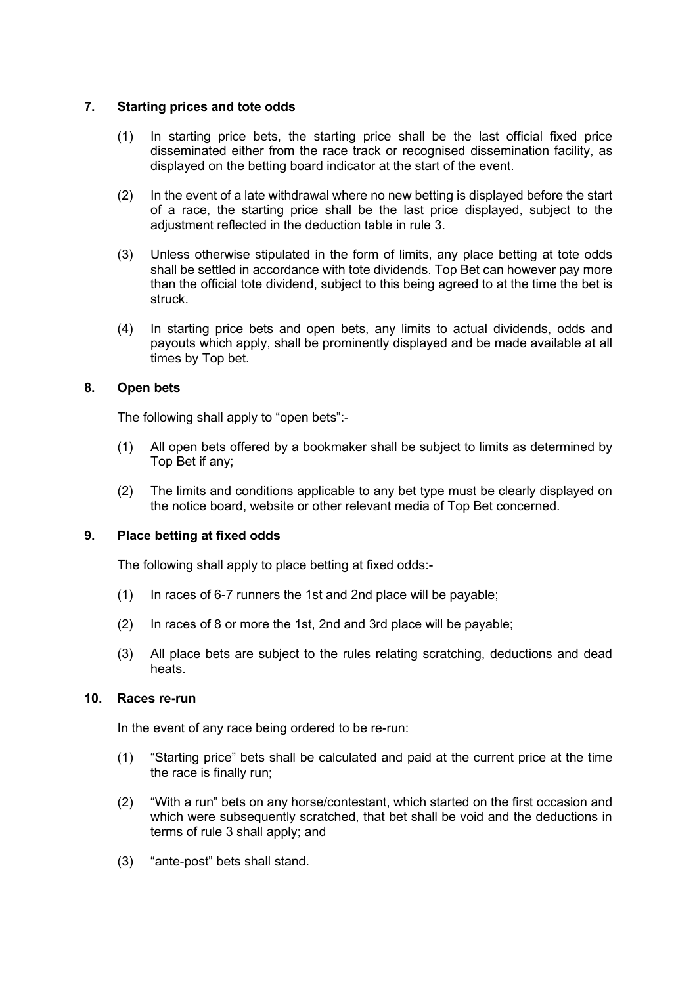### **7. Starting prices and tote odds**

- (1) In starting price bets, the starting price shall be the last official fixed price disseminated either from the race track or recognised dissemination facility, as displayed on the betting board indicator at the start of the event.
- (2) In the event of a late withdrawal where no new betting is displayed before the start of a race, the starting price shall be the last price displayed, subject to the adjustment reflected in the deduction table in rule 3.
- (3) Unless otherwise stipulated in the form of limits, any place betting at tote odds shall be settled in accordance with tote dividends. Top Bet can however pay more than the official tote dividend, subject to this being agreed to at the time the bet is struck.
- (4) In starting price bets and open bets, any limits to actual dividends, odds and payouts which apply, shall be prominently displayed and be made available at all times by Top bet.

## **8. Open bets**

The following shall apply to "open bets":-

- (1) All open bets offered by a bookmaker shall be subject to limits as determined by Top Bet if any;
- (2) The limits and conditions applicable to any bet type must be clearly displayed on the notice board, website or other relevant media of Top Bet concerned.

#### **9. Place betting at fixed odds**

The following shall apply to place betting at fixed odds:-

- (1) In races of 6-7 runners the 1st and 2nd place will be payable;
- (2) In races of 8 or more the 1st, 2nd and 3rd place will be payable;
- (3) All place bets are subject to the rules relating scratching, deductions and dead heats.

### **10. Races re-run**

In the event of any race being ordered to be re-run:

- (1) "Starting price" bets shall be calculated and paid at the current price at the time the race is finally run;
- (2) "With a run" bets on any horse/contestant, which started on the first occasion and which were subsequently scratched, that bet shall be void and the deductions in terms of rule 3 shall apply; and
- (3) "ante-post" bets shall stand.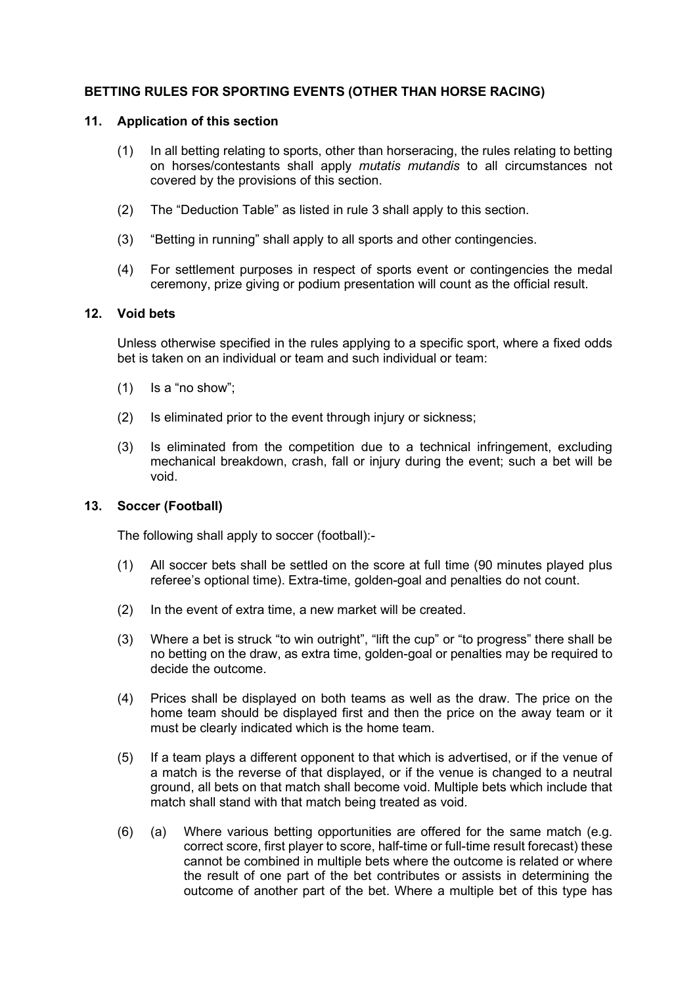# **BETTING RULES FOR SPORTING EVENTS (OTHER THAN HORSE RACING)**

#### **11. Application of this section**

- (1) In all betting relating to sports, other than horseracing, the rules relating to betting on horses/contestants shall apply *mutatis mutandis* to all circumstances not covered by the provisions of this section.
- (2) The "Deduction Table" as listed in rule 3 shall apply to this section.
- (3) "Betting in running" shall apply to all sports and other contingencies.
- (4) For settlement purposes in respect of sports event or contingencies the medal ceremony, prize giving or podium presentation will count as the official result.

#### **12. Void bets**

Unless otherwise specified in the rules applying to a specific sport, where a fixed odds bet is taken on an individual or team and such individual or team:

- (1) Is a "no show";
- (2) Is eliminated prior to the event through injury or sickness;
- (3) Is eliminated from the competition due to a technical infringement, excluding mechanical breakdown, crash, fall or injury during the event; such a bet will be void.

## **13. Soccer (Football)**

The following shall apply to soccer (football):-

- (1) All soccer bets shall be settled on the score at full time (90 minutes played plus referee's optional time). Extra-time, golden-goal and penalties do not count.
- (2) In the event of extra time, a new market will be created.
- (3) Where a bet is struck "to win outright", "lift the cup" or "to progress" there shall be no betting on the draw, as extra time, golden-goal or penalties may be required to decide the outcome.
- (4) Prices shall be displayed on both teams as well as the draw. The price on the home team should be displayed first and then the price on the away team or it must be clearly indicated which is the home team.
- (5) If a team plays a different opponent to that which is advertised, or if the venue of a match is the reverse of that displayed, or if the venue is changed to a neutral ground, all bets on that match shall become void. Multiple bets which include that match shall stand with that match being treated as void.
- (6) (a) Where various betting opportunities are offered for the same match (e.g. correct score, first player to score, half-time or full-time result forecast) these cannot be combined in multiple bets where the outcome is related or where the result of one part of the bet contributes or assists in determining the outcome of another part of the bet. Where a multiple bet of this type has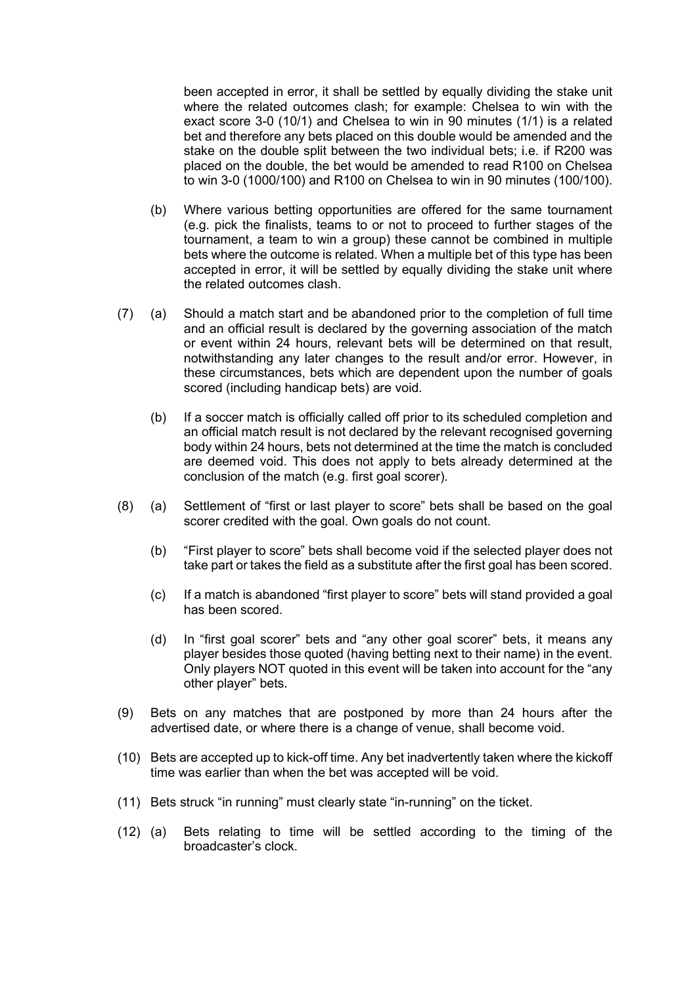been accepted in error, it shall be settled by equally dividing the stake unit where the related outcomes clash; for example: Chelsea to win with the exact score 3-0 (10/1) and Chelsea to win in 90 minutes (1/1) is a related bet and therefore any bets placed on this double would be amended and the stake on the double split between the two individual bets; i.e. if R200 was placed on the double, the bet would be amended to read R100 on Chelsea to win 3-0 (1000/100) and R100 on Chelsea to win in 90 minutes (100/100).

- (b) Where various betting opportunities are offered for the same tournament (e.g. pick the finalists, teams to or not to proceed to further stages of the tournament, a team to win a group) these cannot be combined in multiple bets where the outcome is related. When a multiple bet of this type has been accepted in error, it will be settled by equally dividing the stake unit where the related outcomes clash.
- (7) (a) Should a match start and be abandoned prior to the completion of full time and an official result is declared by the governing association of the match or event within 24 hours, relevant bets will be determined on that result, notwithstanding any later changes to the result and/or error. However, in these circumstances, bets which are dependent upon the number of goals scored (including handicap bets) are void.
	- (b) If a soccer match is officially called off prior to its scheduled completion and an official match result is not declared by the relevant recognised governing body within 24 hours, bets not determined at the time the match is concluded are deemed void. This does not apply to bets already determined at the conclusion of the match (e.g. first goal scorer).
- (8) (a) Settlement of "first or last player to score" bets shall be based on the goal scorer credited with the goal. Own goals do not count.
	- (b) "First player to score" bets shall become void if the selected player does not take part or takes the field as a substitute after the first goal has been scored.
	- (c) If a match is abandoned "first player to score" bets will stand provided a goal has been scored.
	- (d) In "first goal scorer" bets and "any other goal scorer" bets, it means any player besides those quoted (having betting next to their name) in the event. Only players NOT quoted in this event will be taken into account for the "any other player" bets.
- (9) Bets on any matches that are postponed by more than 24 hours after the advertised date, or where there is a change of venue, shall become void.
- (10) Bets are accepted up to kick-off time. Any bet inadvertently taken where the kickoff time was earlier than when the bet was accepted will be void.
- (11) Bets struck "in running" must clearly state "in-running" on the ticket.
- (12) (a) Bets relating to time will be settled according to the timing of the broadcaster's clock.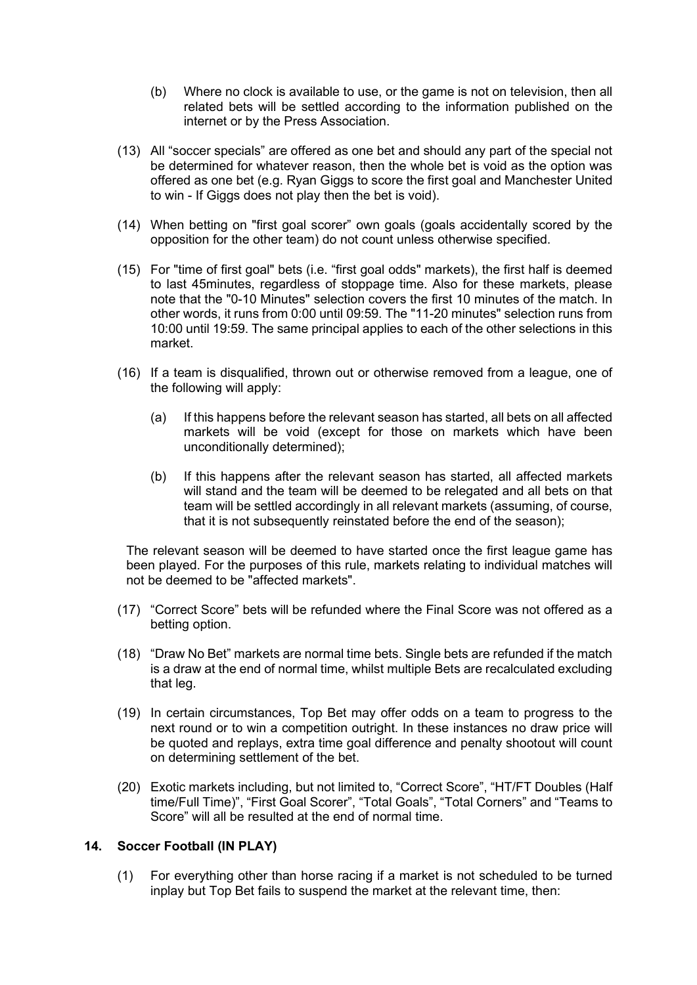- (b) Where no clock is available to use, or the game is not on television, then all related bets will be settled according to the information published on the internet or by the Press Association.
- (13) All "soccer specials" are offered as one bet and should any part of the special not be determined for whatever reason, then the whole bet is void as the option was offered as one bet (e.g. Ryan Giggs to score the first goal and Manchester United to win - If Giggs does not play then the bet is void).
- (14) When betting on "first goal scorer" own goals (goals accidentally scored by the opposition for the other team) do not count unless otherwise specified.
- (15) For "time of first goal" bets (i.e. "first goal odds" markets), the first half is deemed to last 45minutes, regardless of stoppage time. Also for these markets, please note that the "0-10 Minutes" selection covers the first 10 minutes of the match. In other words, it runs from 0:00 until 09:59. The "11-20 minutes" selection runs from 10:00 until 19:59. The same principal applies to each of the other selections in this market.
- (16) If a team is disqualified, thrown out or otherwise removed from a league, one of the following will apply:
	- (a) If this happens before the relevant season has started, all bets on all affected markets will be void (except for those on markets which have been unconditionally determined);
	- (b) If this happens after the relevant season has started, all affected markets will stand and the team will be deemed to be relegated and all bets on that team will be settled accordingly in all relevant markets (assuming, of course, that it is not subsequently reinstated before the end of the season);

The relevant season will be deemed to have started once the first league game has been played. For the purposes of this rule, markets relating to individual matches will not be deemed to be "affected markets".

- (17) "Correct Score" bets will be refunded where the Final Score was not offered as a betting option.
- (18) "Draw No Bet" markets are normal time bets. Single bets are refunded if the match is a draw at the end of normal time, whilst multiple Bets are recalculated excluding that leg.
- (19) In certain circumstances, Top Bet may offer odds on a team to progress to the next round or to win a competition outright. In these instances no draw price will be quoted and replays, extra time goal difference and penalty shootout will count on determining settlement of the bet.
- (20) Exotic markets including, but not limited to, "Correct Score", "HT/FT Doubles (Half time/Full Time)", "First Goal Scorer", "Total Goals", "Total Corners" and "Teams to Score" will all be resulted at the end of normal time.

#### **14. Soccer Football (IN PLAY)**

(1) For everything other than horse racing if a market is not scheduled to be turned inplay but Top Bet fails to suspend the market at the relevant time, then: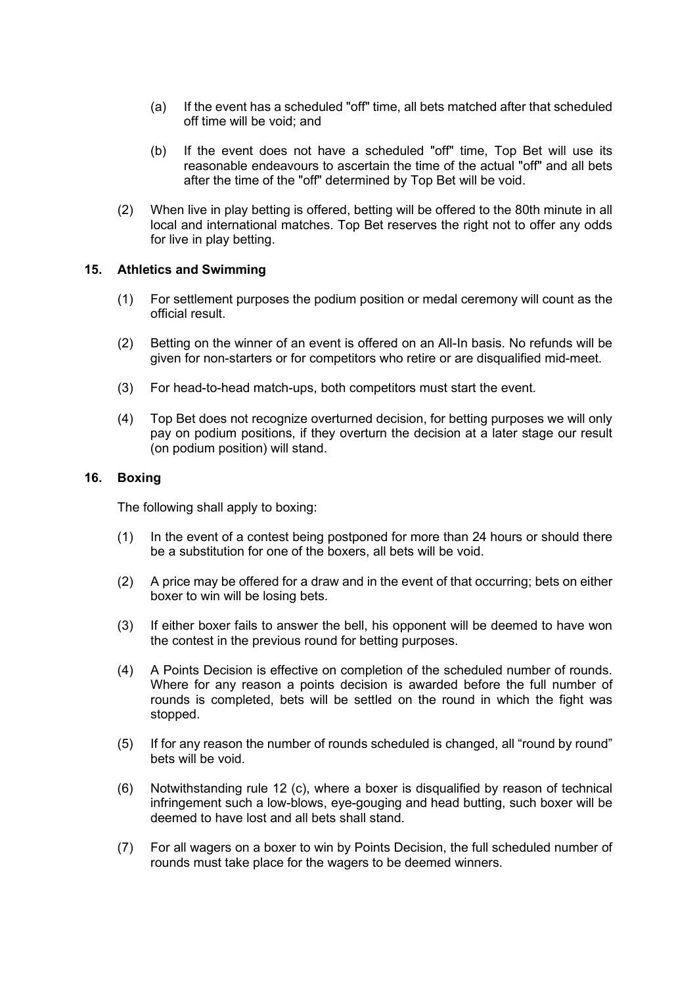- (a) If the event has a scheduled "off" time, all bets matched after that scheduled off time will be void; and
- (b) If the event does not have a scheduled "off" time, Top Bet will use its reasonable endeavours to ascertain the time of the actual "off" and all bets after the time of the "off" determined by Top Bet will be void.
- (2) When live in play betting is offered, betting will be offered to the 80th minute in all local and international matches. Top Bet reserves the right not to offer any odds for live in play betting.

#### **15. Athletics and Swimming**

- (1) For settlement purposes the podium position or medal ceremony will count as the official result.
- (2) Betting on the winner of an event is offered on an All-In basis. No refunds will be given for non-starters or for competitors who retire or are disqualified mid-meet.
- (3) For head-to-head match-ups, both competitors must start the event.
- (4) Top Bet does not recognize overturned decision, for betting purposes we will only pay on podium positions, if they overturn the decision at a later stage our result (on podium position) will stand.

#### **16. Boxing**

The following shall apply to boxing:

- (1) In the event of a contest being postponed for more than 24 hours or should there be a substitution for one of the boxers, all bets will be void.
- (2) A price may be offered for a draw and in the event of that occurring; bets on either boxer to win will be losing bets.
- (3) If either boxer fails to answer the bell, his opponent will be deemed to have won the contest in the previous round for betting purposes.
- (4) A Points Decision is effective on completion of the scheduled number of rounds. Where for any reason a points decision is awarded before the full number of rounds is completed, bets will be settled on the round in which the fight was stopped.
- (5) If for any reason the number of rounds scheduled is changed, all "round by round" bets will be void.
- (6) Notwithstanding rule 12 (c), where a boxer is disqualified by reason of technical infringement such a low-blows, eye-gouging and head butting, such boxer will be deemed to have lost and all bets shall stand.
- (7) For all wagers on a boxer to win by Points Decision, the full scheduled number of rounds must take place for the wagers to be deemed winners.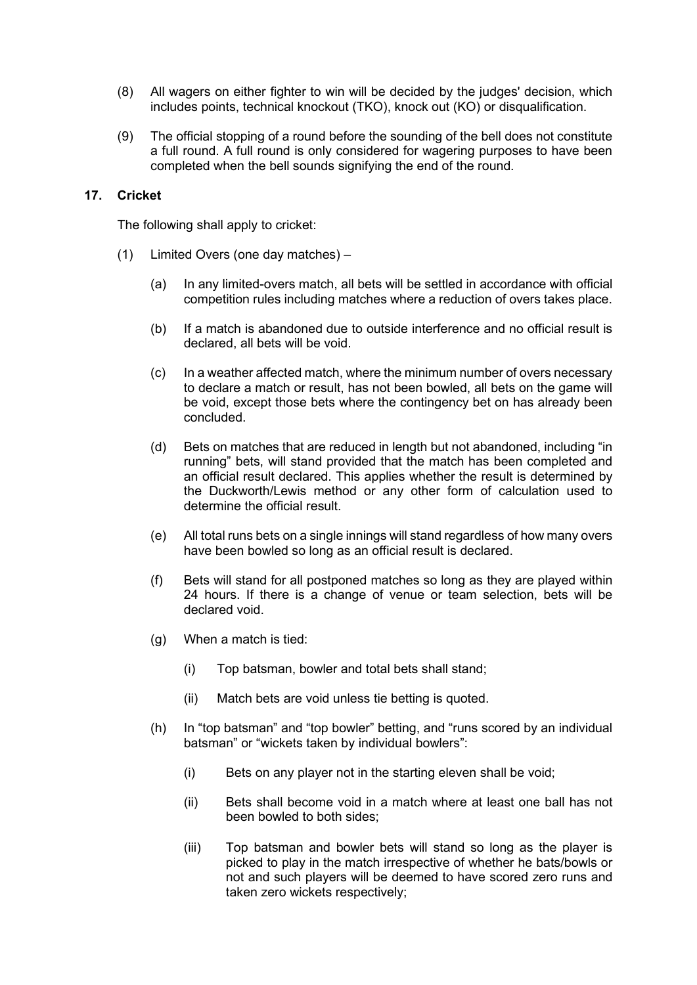- (8) All wagers on either fighter to win will be decided by the judges' decision, which includes points, technical knockout (TKO), knock out (KO) or disqualification.
- (9) The official stopping of a round before the sounding of the bell does not constitute a full round. A full round is only considered for wagering purposes to have been completed when the bell sounds signifying the end of the round.

#### **17. Cricket**

The following shall apply to cricket:

- (1) Limited Overs (one day matches)
	- (a) In any limited-overs match, all bets will be settled in accordance with official competition rules including matches where a reduction of overs takes place.
	- (b) If a match is abandoned due to outside interference and no official result is declared, all bets will be void.
	- (c) In a weather affected match, where the minimum number of overs necessary to declare a match or result, has not been bowled, all bets on the game will be void, except those bets where the contingency bet on has already been concluded.
	- (d) Bets on matches that are reduced in length but not abandoned, including "in running" bets, will stand provided that the match has been completed and an official result declared. This applies whether the result is determined by the Duckworth/Lewis method or any other form of calculation used to determine the official result.
	- (e) All total runs bets on a single innings will stand regardless of how many overs have been bowled so long as an official result is declared.
	- (f) Bets will stand for all postponed matches so long as they are played within 24 hours. If there is a change of venue or team selection, bets will be declared void.
	- (g) When a match is tied:
		- (i) Top batsman, bowler and total bets shall stand;
		- (ii) Match bets are void unless tie betting is quoted.
	- (h) In "top batsman" and "top bowler" betting, and "runs scored by an individual batsman" or "wickets taken by individual bowlers":
		- (i) Bets on any player not in the starting eleven shall be void;
		- (ii) Bets shall become void in a match where at least one ball has not been bowled to both sides;
		- (iii) Top batsman and bowler bets will stand so long as the player is picked to play in the match irrespective of whether he bats/bowls or not and such players will be deemed to have scored zero runs and taken zero wickets respectively;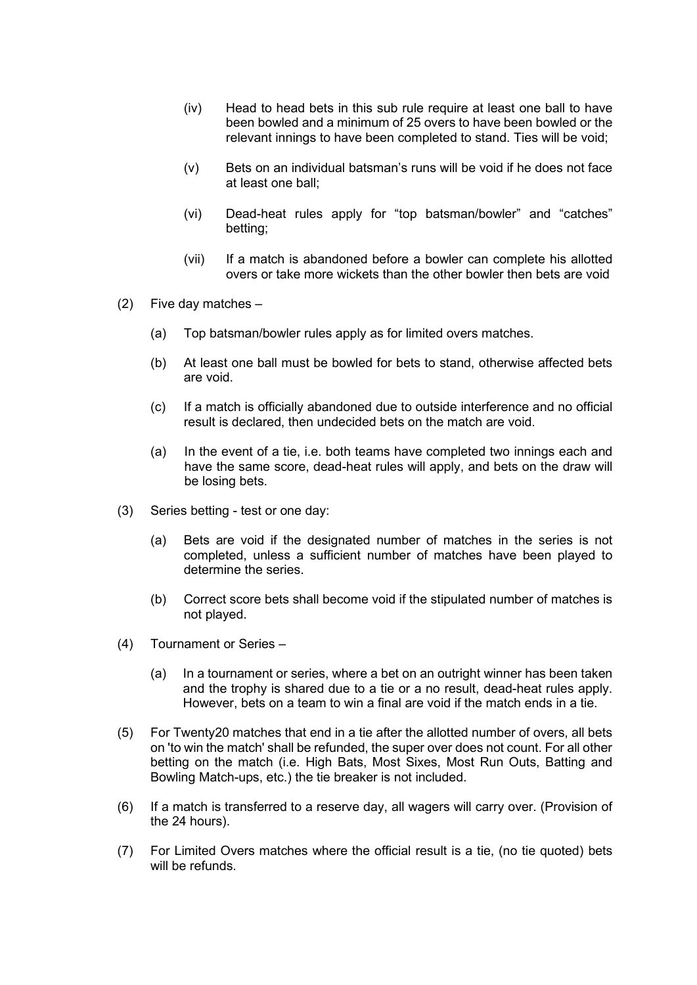- (iv) Head to head bets in this sub rule require at least one ball to have been bowled and a minimum of 25 overs to have been bowled or the relevant innings to have been completed to stand. Ties will be void;
- (v) Bets on an individual batsman's runs will be void if he does not face at least one ball;
- (vi) Dead-heat rules apply for "top batsman/bowler" and "catches" betting;
- (vii) If a match is abandoned before a bowler can complete his allotted overs or take more wickets than the other bowler then bets are void
- (2) Five day matches
	- (a) Top batsman/bowler rules apply as for limited overs matches.
	- (b) At least one ball must be bowled for bets to stand, otherwise affected bets are void.
	- (c) If a match is officially abandoned due to outside interference and no official result is declared, then undecided bets on the match are void.
	- (a) In the event of a tie, i.e. both teams have completed two innings each and have the same score, dead-heat rules will apply, and bets on the draw will be losing bets.
- (3) Series betting test or one day:
	- (a) Bets are void if the designated number of matches in the series is not completed, unless a sufficient number of matches have been played to determine the series.
	- (b) Correct score bets shall become void if the stipulated number of matches is not played.
- (4) Tournament or Series
	- (a) In a tournament or series, where a bet on an outright winner has been taken and the trophy is shared due to a tie or a no result, dead-heat rules apply. However, bets on a team to win a final are void if the match ends in a tie.
- (5) For Twenty20 matches that end in a tie after the allotted number of overs, all bets on 'to win the match' shall be refunded, the super over does not count. For all other betting on the match (i.e. High Bats, Most Sixes, Most Run Outs, Batting and Bowling Match-ups, etc.) the tie breaker is not included.
- (6) If a match is transferred to a reserve day, all wagers will carry over. (Provision of the 24 hours).
- (7) For Limited Overs matches where the official result is a tie, (no tie quoted) bets will be refunds.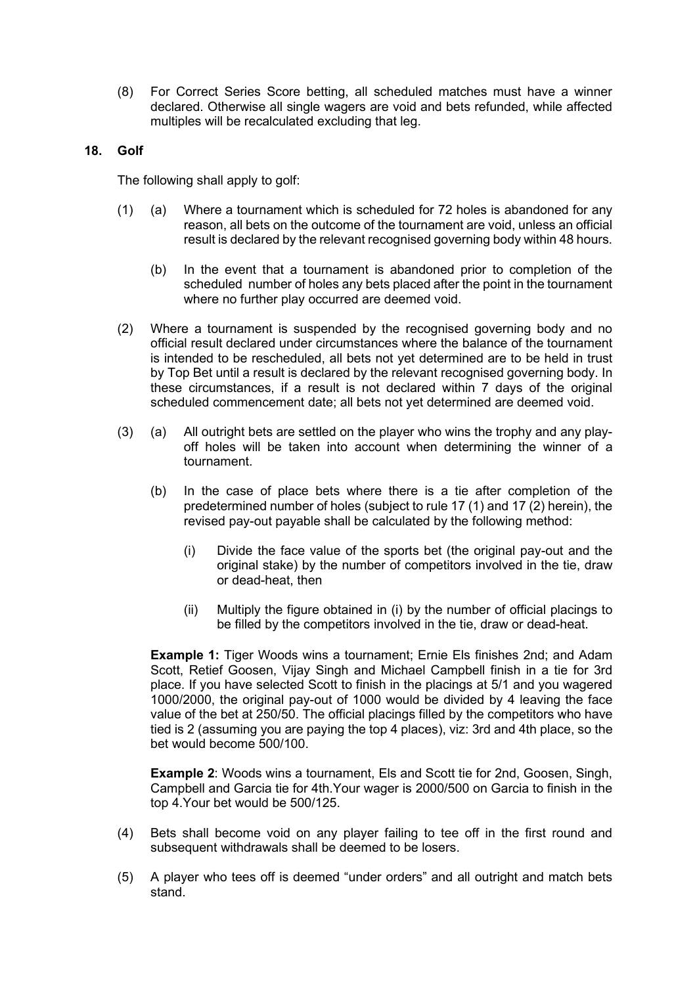(8) For Correct Series Score betting, all scheduled matches must have a winner declared. Otherwise all single wagers are void and bets refunded, while affected multiples will be recalculated excluding that leg.

### **18. Golf**

The following shall apply to golf:

- (1) (a) Where a tournament which is scheduled for 72 holes is abandoned for any reason, all bets on the outcome of the tournament are void, unless an official result is declared by the relevant recognised governing body within 48 hours.
	- (b) In the event that a tournament is abandoned prior to completion of the scheduled number of holes any bets placed after the point in the tournament where no further play occurred are deemed void.
- (2) Where a tournament is suspended by the recognised governing body and no official result declared under circumstances where the balance of the tournament is intended to be rescheduled, all bets not yet determined are to be held in trust by Top Bet until a result is declared by the relevant recognised governing body. In these circumstances, if a result is not declared within 7 days of the original scheduled commencement date; all bets not yet determined are deemed void.
- (3) (a) All outright bets are settled on the player who wins the trophy and any playoff holes will be taken into account when determining the winner of a tournament.
	- (b) In the case of place bets where there is a tie after completion of the predetermined number of holes (subject to rule 17 (1) and 17 (2) herein), the revised pay-out payable shall be calculated by the following method:
		- (i) Divide the face value of the sports bet (the original pay-out and the original stake) by the number of competitors involved in the tie, draw or dead-heat, then
		- (ii) Multiply the figure obtained in (i) by the number of official placings to be filled by the competitors involved in the tie, draw or dead-heat.

**Example 1:** Tiger Woods wins a tournament; Ernie Els finishes 2nd; and Adam Scott, Retief Goosen, Vijay Singh and Michael Campbell finish in a tie for 3rd place. If you have selected Scott to finish in the placings at 5/1 and you wagered 1000/2000, the original pay-out of 1000 would be divided by 4 leaving the face value of the bet at 250/50. The official placings filled by the competitors who have tied is 2 (assuming you are paying the top 4 places), viz: 3rd and 4th place, so the bet would become 500/100.

**Example 2**: Woods wins a tournament, Els and Scott tie for 2nd, Goosen, Singh, Campbell and Garcia tie for 4th.Your wager is 2000/500 on Garcia to finish in the top 4.Your bet would be 500/125.

- (4) Bets shall become void on any player failing to tee off in the first round and subsequent withdrawals shall be deemed to be losers.
- (5) A player who tees off is deemed "under orders" and all outright and match bets stand.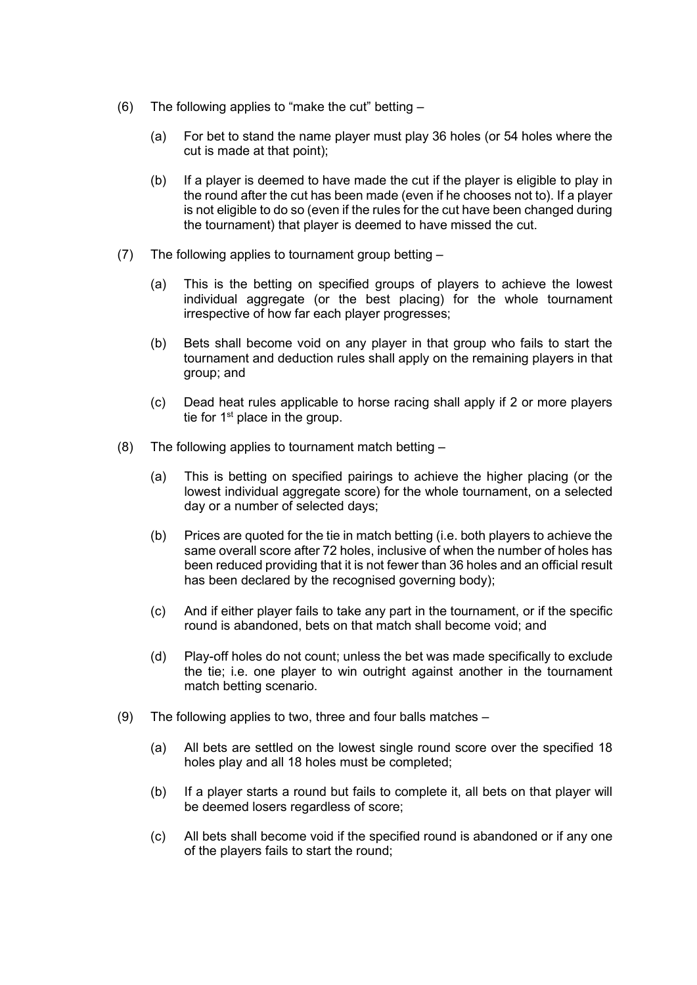- (6) The following applies to "make the cut" betting
	- (a) For bet to stand the name player must play 36 holes (or 54 holes where the cut is made at that point);
	- (b) If a player is deemed to have made the cut if the player is eligible to play in the round after the cut has been made (even if he chooses not to). If a player is not eligible to do so (even if the rules for the cut have been changed during the tournament) that player is deemed to have missed the cut.
- (7) The following applies to tournament group betting
	- (a) This is the betting on specified groups of players to achieve the lowest individual aggregate (or the best placing) for the whole tournament irrespective of how far each player progresses;
	- (b) Bets shall become void on any player in that group who fails to start the tournament and deduction rules shall apply on the remaining players in that group; and
	- (c) Dead heat rules applicable to horse racing shall apply if 2 or more players tie for  $1<sup>st</sup>$  place in the group.
- (8) The following applies to tournament match betting
	- (a) This is betting on specified pairings to achieve the higher placing (or the lowest individual aggregate score) for the whole tournament, on a selected day or a number of selected days;
	- (b) Prices are quoted for the tie in match betting (i.e. both players to achieve the same overall score after 72 holes, inclusive of when the number of holes has been reduced providing that it is not fewer than 36 holes and an official result has been declared by the recognised governing body);
	- (c) And if either player fails to take any part in the tournament, or if the specific round is abandoned, bets on that match shall become void; and
	- (d) Play-off holes do not count; unless the bet was made specifically to exclude the tie; i.e. one player to win outright against another in the tournament match betting scenario.
- (9) The following applies to two, three and four balls matches
	- (a) All bets are settled on the lowest single round score over the specified 18 holes play and all 18 holes must be completed;
	- (b) If a player starts a round but fails to complete it, all bets on that player will be deemed losers regardless of score;
	- (c) All bets shall become void if the specified round is abandoned or if any one of the players fails to start the round;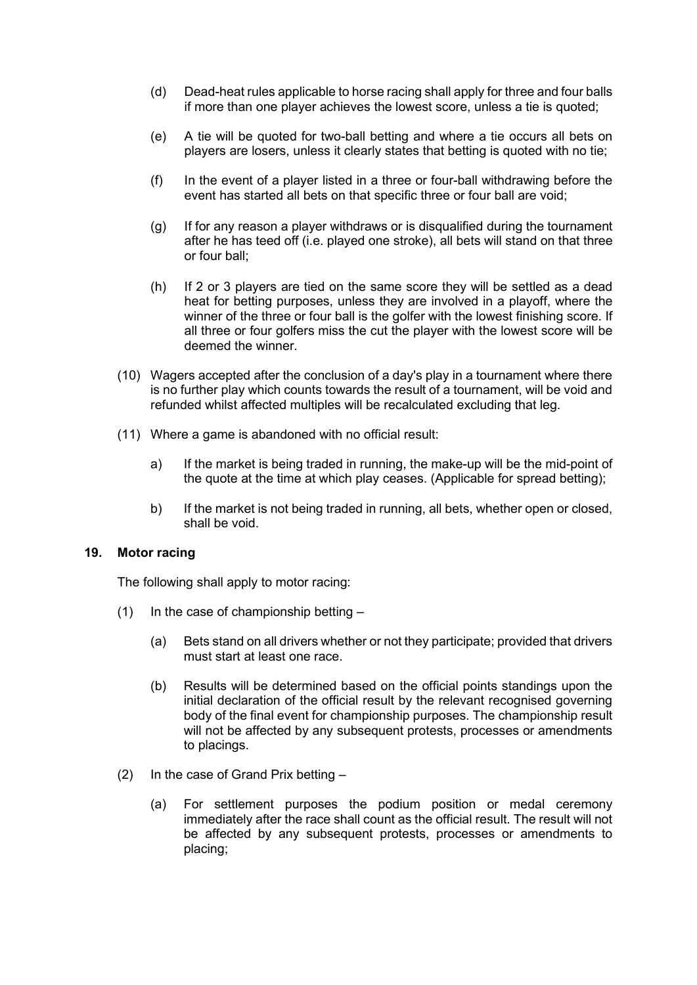- (d) Dead-heat rules applicable to horse racing shall apply for three and four balls if more than one player achieves the lowest score, unless a tie is quoted;
- (e) A tie will be quoted for two-ball betting and where a tie occurs all bets on players are losers, unless it clearly states that betting is quoted with no tie;
- (f) In the event of a player listed in a three or four-ball withdrawing before the event has started all bets on that specific three or four ball are void;
- (g) If for any reason a player withdraws or is disqualified during the tournament after he has teed off (i.e. played one stroke), all bets will stand on that three or four ball;
- (h) If 2 or 3 players are tied on the same score they will be settled as a dead heat for betting purposes, unless they are involved in a playoff, where the winner of the three or four ball is the golfer with the lowest finishing score. If all three or four golfers miss the cut the player with the lowest score will be deemed the winner.
- (10) Wagers accepted after the conclusion of a day's play in a tournament where there is no further play which counts towards the result of a tournament, will be void and refunded whilst affected multiples will be recalculated excluding that leg.
- (11) Where a game is abandoned with no official result:
	- a) If the market is being traded in running, the make-up will be the mid-point of the quote at the time at which play ceases. (Applicable for spread betting);
	- b) If the market is not being traded in running, all bets, whether open or closed, shall be void.

#### **19. Motor racing**

The following shall apply to motor racing:

- (1) In the case of championship betting  $-$ 
	- (a) Bets stand on all drivers whether or not they participate; provided that drivers must start at least one race.
	- (b) Results will be determined based on the official points standings upon the initial declaration of the official result by the relevant recognised governing body of the final event for championship purposes. The championship result will not be affected by any subsequent protests, processes or amendments to placings.
- (2) In the case of Grand Prix betting
	- (a) For settlement purposes the podium position or medal ceremony immediately after the race shall count as the official result. The result will not be affected by any subsequent protests, processes or amendments to placing;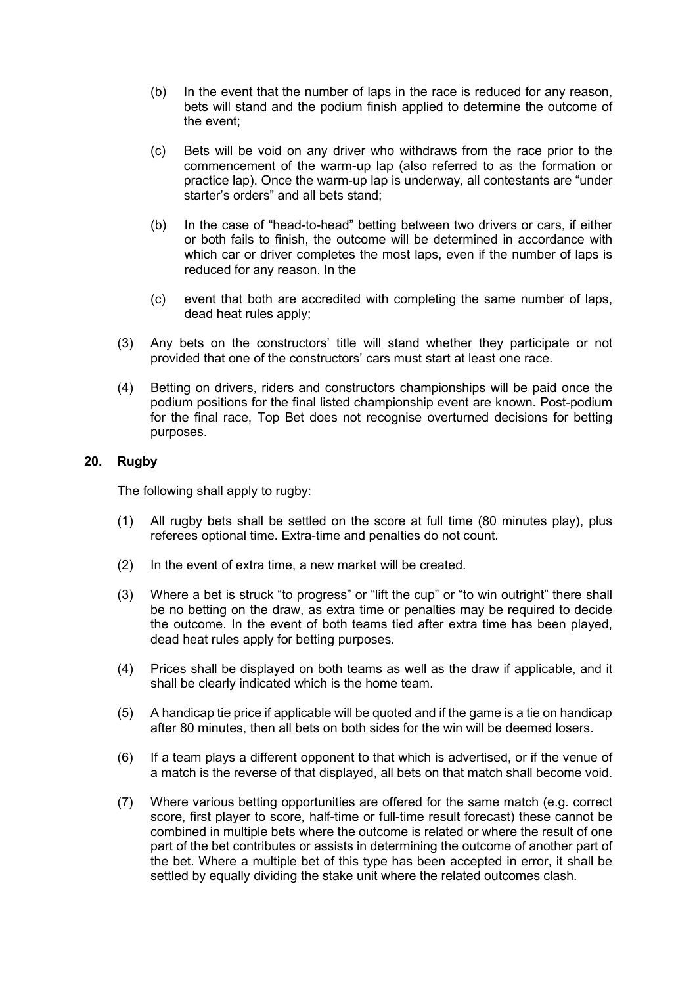- (b) In the event that the number of laps in the race is reduced for any reason, bets will stand and the podium finish applied to determine the outcome of the event;
- (c) Bets will be void on any driver who withdraws from the race prior to the commencement of the warm-up lap (also referred to as the formation or practice lap). Once the warm-up lap is underway, all contestants are "under starter's orders" and all bets stand;
- (b) In the case of "head-to-head" betting between two drivers or cars, if either or both fails to finish, the outcome will be determined in accordance with which car or driver completes the most laps, even if the number of laps is reduced for any reason. In the
- (c) event that both are accredited with completing the same number of laps, dead heat rules apply;
- (3) Any bets on the constructors' title will stand whether they participate or not provided that one of the constructors' cars must start at least one race.
- (4) Betting on drivers, riders and constructors championships will be paid once the podium positions for the final listed championship event are known. Post-podium for the final race, Top Bet does not recognise overturned decisions for betting purposes.

#### **20. Rugby**

The following shall apply to rugby:

- (1) All rugby bets shall be settled on the score at full time (80 minutes play), plus referees optional time. Extra-time and penalties do not count.
- (2) In the event of extra time, a new market will be created.
- (3) Where a bet is struck "to progress" or "lift the cup" or "to win outright" there shall be no betting on the draw, as extra time or penalties may be required to decide the outcome. In the event of both teams tied after extra time has been played, dead heat rules apply for betting purposes.
- (4) Prices shall be displayed on both teams as well as the draw if applicable, and it shall be clearly indicated which is the home team.
- (5) A handicap tie price if applicable will be quoted and if the game is a tie on handicap after 80 minutes, then all bets on both sides for the win will be deemed losers.
- (6) If a team plays a different opponent to that which is advertised, or if the venue of a match is the reverse of that displayed, all bets on that match shall become void.
- (7) Where various betting opportunities are offered for the same match (e.g. correct score, first player to score, half-time or full-time result forecast) these cannot be combined in multiple bets where the outcome is related or where the result of one part of the bet contributes or assists in determining the outcome of another part of the bet. Where a multiple bet of this type has been accepted in error, it shall be settled by equally dividing the stake unit where the related outcomes clash.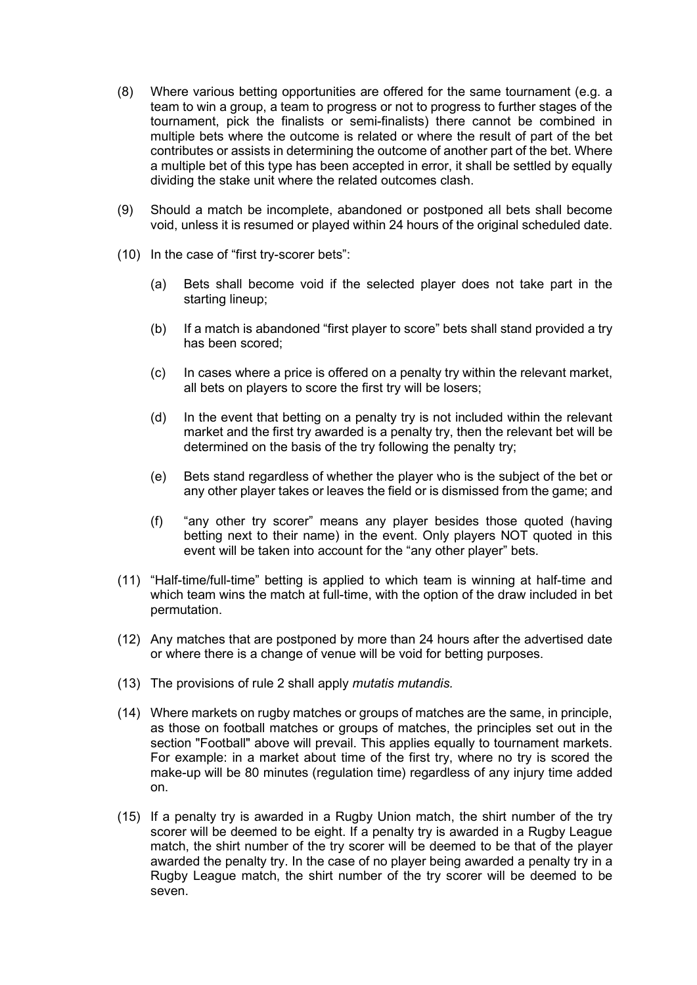- (8) Where various betting opportunities are offered for the same tournament (e.g. a team to win a group, a team to progress or not to progress to further stages of the tournament, pick the finalists or semi-finalists) there cannot be combined in multiple bets where the outcome is related or where the result of part of the bet contributes or assists in determining the outcome of another part of the bet. Where a multiple bet of this type has been accepted in error, it shall be settled by equally dividing the stake unit where the related outcomes clash.
- (9) Should a match be incomplete, abandoned or postponed all bets shall become void, unless it is resumed or played within 24 hours of the original scheduled date.
- (10) In the case of "first try-scorer bets":
	- (a) Bets shall become void if the selected player does not take part in the starting lineup;
	- (b) If a match is abandoned "first player to score" bets shall stand provided a try has been scored;
	- (c) In cases where a price is offered on a penalty try within the relevant market, all bets on players to score the first try will be losers;
	- (d) In the event that betting on a penalty try is not included within the relevant market and the first try awarded is a penalty try, then the relevant bet will be determined on the basis of the try following the penalty try;
	- (e) Bets stand regardless of whether the player who is the subject of the bet or any other player takes or leaves the field or is dismissed from the game; and
	- (f) "any other try scorer" means any player besides those quoted (having betting next to their name) in the event. Only players NOT quoted in this event will be taken into account for the "any other player" bets.
- (11) "Half-time/full-time" betting is applied to which team is winning at half-time and which team wins the match at full-time, with the option of the draw included in bet permutation.
- (12) Any matches that are postponed by more than 24 hours after the advertised date or where there is a change of venue will be void for betting purposes.
- (13) The provisions of rule 2 shall apply *mutatis mutandis.*
- (14) Where markets on rugby matches or groups of matches are the same, in principle, as those on football matches or groups of matches, the principles set out in the section "Football" above will prevail. This applies equally to tournament markets. For example: in a market about time of the first try, where no try is scored the make-up will be 80 minutes (regulation time) regardless of any injury time added on.
- (15) If a penalty try is awarded in a Rugby Union match, the shirt number of the try scorer will be deemed to be eight. If a penalty try is awarded in a Rugby League match, the shirt number of the try scorer will be deemed to be that of the player awarded the penalty try. In the case of no player being awarded a penalty try in a Rugby League match, the shirt number of the try scorer will be deemed to be seven.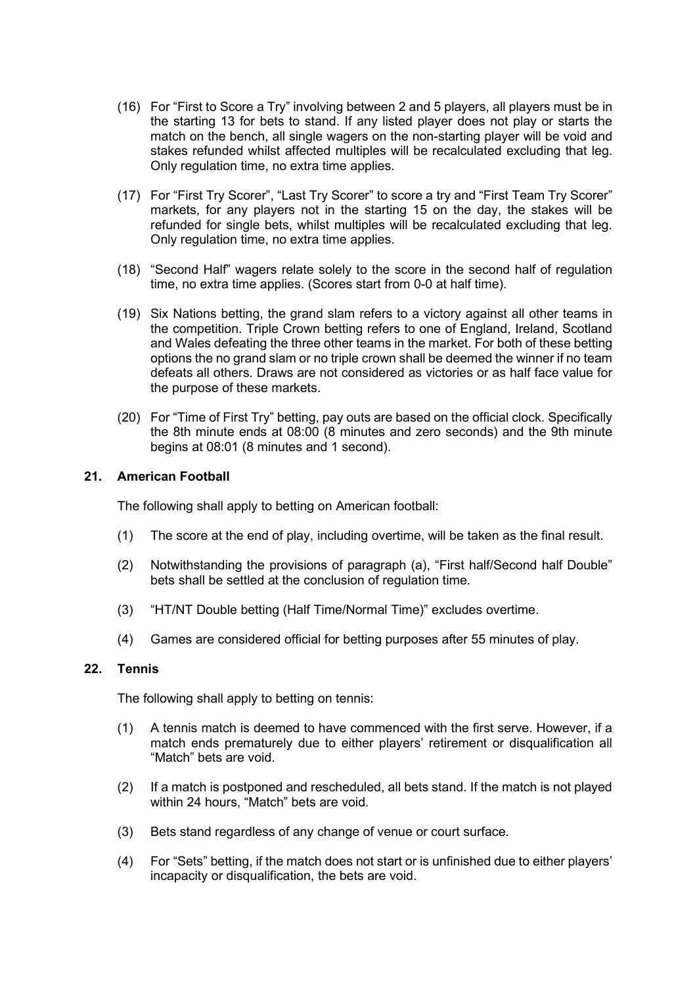- (16) For "First to Score a Try" involving between 2 and 5 players, all players must be in the starting 13 for bets to stand. If any listed player does not play or starts the match on the bench, all single wagers on the non-starting player will be void and stakes refunded whilst affected multiples will be recalculated excluding that leg. Only regulation time, no extra time applies.
- (17) For "First Try Scorer", "Last Try Scorer" to score a try and "First Team Try Scorer" markets, for any players not in the starting 15 on the day, the stakes will be refunded for single bets, whilst multiples will be recalculated excluding that leg. Only regulation time, no extra time applies.
- (18) "Second Half" wagers relate solely to the score in the second half of regulation time, no extra time applies. (Scores start from 0-0 at half time).
- (19) Six Nations betting, the grand slam refers to a victory against all other teams in the competition. Triple Crown betting refers to one of England, Ireland, Scotland and Wales defeating the three other teams in the market. For both of these betting options the no grand slam or no triple crown shall be deemed the winner if no team defeats all others. Draws are not considered as victories or as half face value for the purpose of these markets.
- (20) For "Time of First Try" betting, pay outs are based on the official clock. Specifically the 8th minute ends at 08:00 (8 minutes and zero seconds) and the 9th minute begins at 08:01 (8 minutes and 1 second).

## **21. American Football**

The following shall apply to betting on American football:

- (1) The score at the end of play, including overtime, will be taken as the final result.
- (2) Notwithstanding the provisions of paragraph (a), "First half/Second half Double" bets shall be settled at the conclusion of regulation time.
- (3) "HT/NT Double betting (Half Time/Normal Time)" excludes overtime.
- (4) Games are considered official for betting purposes after 55 minutes of play.

#### **22. Tennis**

The following shall apply to betting on tennis:

- (1) A tennis match is deemed to have commenced with the first serve. However, if a match ends prematurely due to either players' retirement or disqualification all "Match" bets are void.
- (2) If a match is postponed and rescheduled, all bets stand. If the match is not played within 24 hours, "Match" bets are void.
- (3) Bets stand regardless of any change of venue or court surface.
- (4) For "Sets" betting, if the match does not start or is unfinished due to either players' incapacity or disqualification, the bets are void.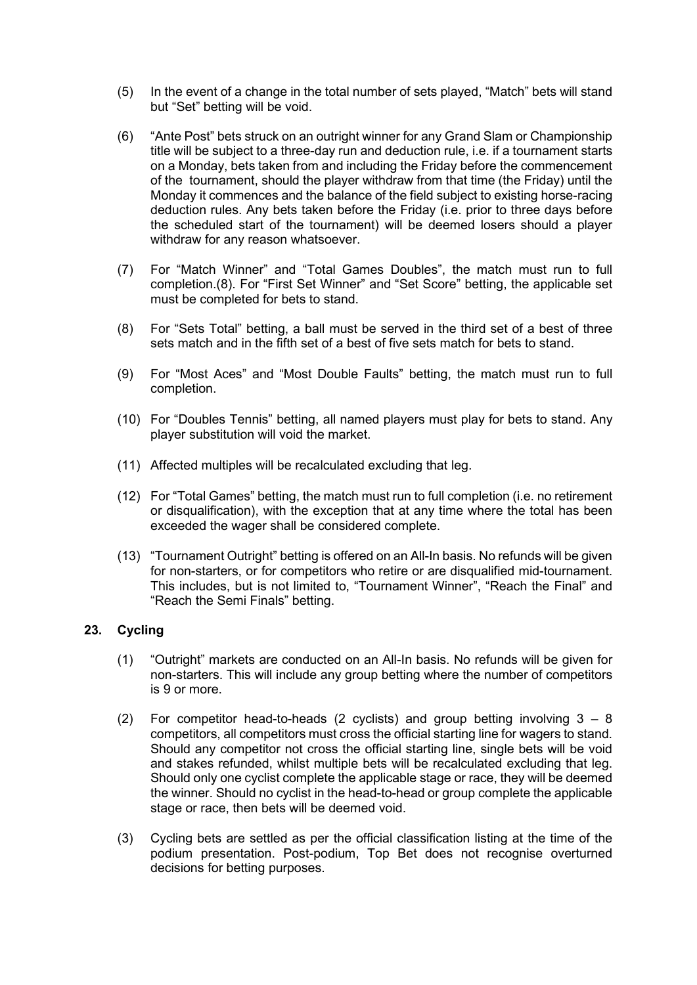- (5) In the event of a change in the total number of sets played, "Match" bets will stand but "Set" betting will be void.
- (6) "Ante Post" bets struck on an outright winner for any Grand Slam or Championship title will be subject to a three-day run and deduction rule, i.e. if a tournament starts on a Monday, bets taken from and including the Friday before the commencement of the tournament, should the player withdraw from that time (the Friday) until the Monday it commences and the balance of the field subject to existing horse-racing deduction rules. Any bets taken before the Friday (i.e. prior to three days before the scheduled start of the tournament) will be deemed losers should a player withdraw for any reason whatsoever.
- (7) For "Match Winner" and "Total Games Doubles", the match must run to full completion.(8). For "First Set Winner" and "Set Score" betting, the applicable set must be completed for bets to stand.
- (8) For "Sets Total" betting, a ball must be served in the third set of a best of three sets match and in the fifth set of a best of five sets match for bets to stand.
- (9) For "Most Aces" and "Most Double Faults" betting, the match must run to full completion.
- (10) For "Doubles Tennis" betting, all named players must play for bets to stand. Any player substitution will void the market.
- (11) Affected multiples will be recalculated excluding that leg.
- (12) For "Total Games" betting, the match must run to full completion (i.e. no retirement or disqualification), with the exception that at any time where the total has been exceeded the wager shall be considered complete.
- (13) "Tournament Outright" betting is offered on an All-In basis. No refunds will be given for non-starters, or for competitors who retire or are disqualified mid-tournament. This includes, but is not limited to, "Tournament Winner", "Reach the Final" and "Reach the Semi Finals" betting.

## **23. Cycling**

- (1) "Outright" markets are conducted on an All-In basis. No refunds will be given for non-starters. This will include any group betting where the number of competitors is 9 or more.
- (2) For competitor head-to-heads (2 cyclists) and group betting involving  $3 8$ competitors, all competitors must cross the official starting line for wagers to stand. Should any competitor not cross the official starting line, single bets will be void and stakes refunded, whilst multiple bets will be recalculated excluding that leg. Should only one cyclist complete the applicable stage or race, they will be deemed the winner. Should no cyclist in the head-to-head or group complete the applicable stage or race, then bets will be deemed void.
- (3) Cycling bets are settled as per the official classification listing at the time of the podium presentation. Post-podium, Top Bet does not recognise overturned decisions for betting purposes.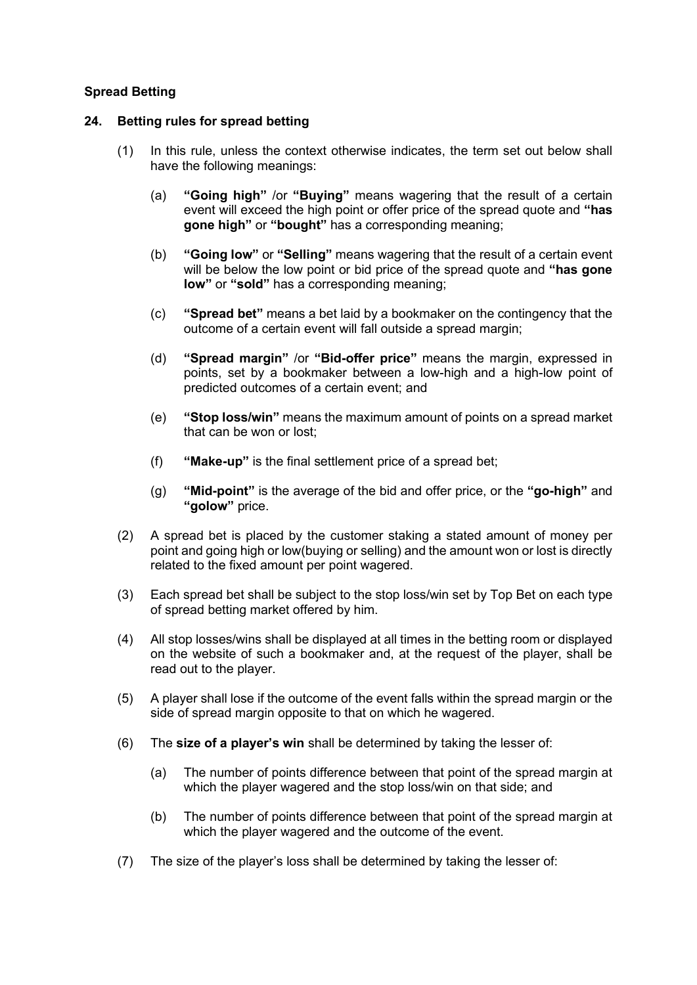# **Spread Betting**

### **24. Betting rules for spread betting**

- (1) In this rule, unless the context otherwise indicates, the term set out below shall have the following meanings:
	- (a) **"Going high"** /or **"Buying"** means wagering that the result of a certain event will exceed the high point or offer price of the spread quote and **"has gone high"** or **"bought"** has a corresponding meaning;
	- (b) **"Going low"** or **"Selling"** means wagering that the result of a certain event will be below the low point or bid price of the spread quote and **"has gone low"** or **"sold"** has a corresponding meaning;
	- (c) **"Spread bet"** means a bet laid by a bookmaker on the contingency that the outcome of a certain event will fall outside a spread margin;
	- (d) **"Spread margin"** /or **"Bid-offer price"** means the margin, expressed in points, set by a bookmaker between a low-high and a high-low point of predicted outcomes of a certain event; and
	- (e) **"Stop loss/win"** means the maximum amount of points on a spread market that can be won or lost;
	- (f) **"Make-up"** is the final settlement price of a spread bet;
	- (g) **"Mid-point"** is the average of the bid and offer price, or the **"go-high"** and **"golow"** price.
- (2) A spread bet is placed by the customer staking a stated amount of money per point and going high or low(buying or selling) and the amount won or lost is directly related to the fixed amount per point wagered.
- (3) Each spread bet shall be subject to the stop loss/win set by Top Bet on each type of spread betting market offered by him.
- (4) All stop losses/wins shall be displayed at all times in the betting room or displayed on the website of such a bookmaker and, at the request of the player, shall be read out to the player.
- (5) A player shall lose if the outcome of the event falls within the spread margin or the side of spread margin opposite to that on which he wagered.
- (6) The **size of a player's win** shall be determined by taking the lesser of:
	- (a) The number of points difference between that point of the spread margin at which the player wagered and the stop loss/win on that side; and
	- (b) The number of points difference between that point of the spread margin at which the player wagered and the outcome of the event.
- (7) The size of the player's loss shall be determined by taking the lesser of: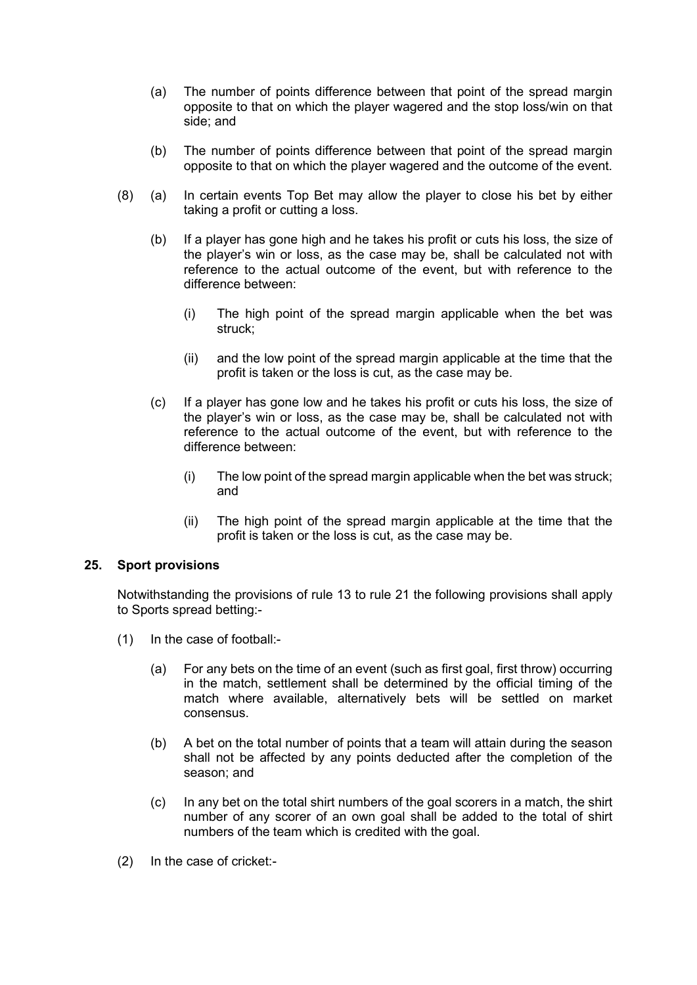- (a) The number of points difference between that point of the spread margin opposite to that on which the player wagered and the stop loss/win on that side; and
- (b) The number of points difference between that point of the spread margin opposite to that on which the player wagered and the outcome of the event.
- (8) (a) In certain events Top Bet may allow the player to close his bet by either taking a profit or cutting a loss.
	- (b) If a player has gone high and he takes his profit or cuts his loss, the size of the player's win or loss, as the case may be, shall be calculated not with reference to the actual outcome of the event, but with reference to the difference between:
		- (i) The high point of the spread margin applicable when the bet was struck;
		- (ii) and the low point of the spread margin applicable at the time that the profit is taken or the loss is cut, as the case may be.
	- (c) If a player has gone low and he takes his profit or cuts his loss, the size of the player's win or loss, as the case may be, shall be calculated not with reference to the actual outcome of the event, but with reference to the difference between:
		- (i) The low point of the spread margin applicable when the bet was struck; and
		- (ii) The high point of the spread margin applicable at the time that the profit is taken or the loss is cut, as the case may be.

# **25. Sport provisions**

Notwithstanding the provisions of rule 13 to rule 21 the following provisions shall apply to Sports spread betting:-

- (1) In the case of football:-
	- (a) For any bets on the time of an event (such as first goal, first throw) occurring in the match, settlement shall be determined by the official timing of the match where available, alternatively bets will be settled on market consensus.
	- (b) A bet on the total number of points that a team will attain during the season shall not be affected by any points deducted after the completion of the season; and
	- (c) In any bet on the total shirt numbers of the goal scorers in a match, the shirt number of any scorer of an own goal shall be added to the total of shirt numbers of the team which is credited with the goal.
- (2) In the case of cricket:-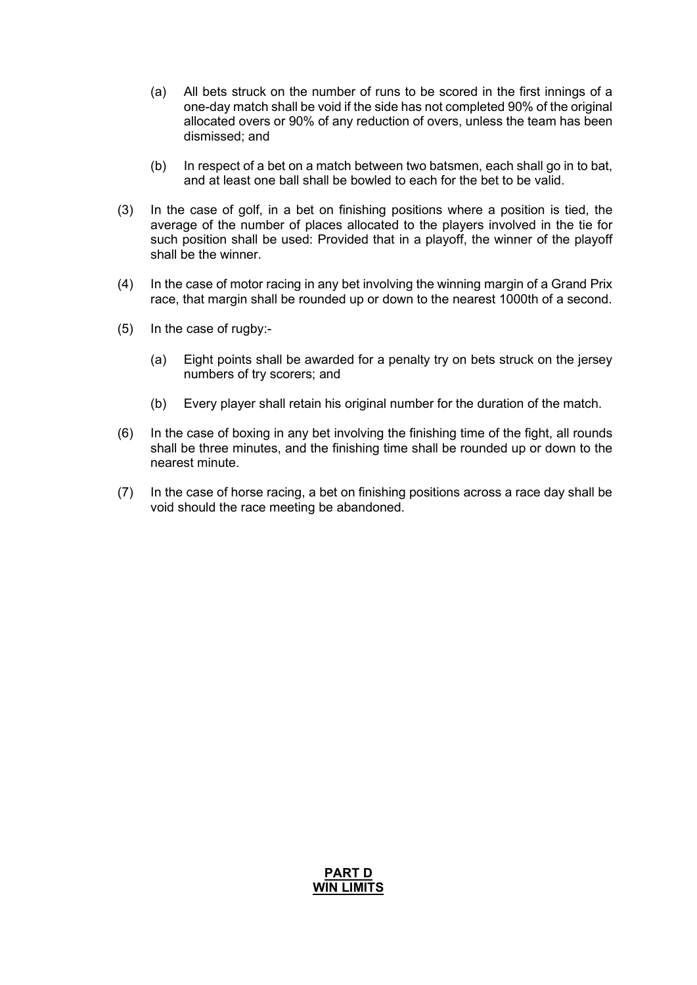- (a) All bets struck on the number of runs to be scored in the first innings of a one-day match shall be void if the side has not completed 90% of the original allocated overs or 90% of any reduction of overs, unless the team has been dismissed; and
- (b) In respect of a bet on a match between two batsmen, each shall go in to bat, and at least one ball shall be bowled to each for the bet to be valid.
- (3) In the case of golf, in a bet on finishing positions where a position is tied, the average of the number of places allocated to the players involved in the tie for such position shall be used: Provided that in a playoff, the winner of the playoff shall be the winner.
- (4) In the case of motor racing in any bet involving the winning margin of a Grand Prix race, that margin shall be rounded up or down to the nearest 1000th of a second.
- (5) In the case of rugby:-
	- (a) Eight points shall be awarded for a penalty try on bets struck on the jersey numbers of try scorers; and
	- (b) Every player shall retain his original number for the duration of the match.
- (6) In the case of boxing in any bet involving the finishing time of the fight, all rounds shall be three minutes, and the finishing time shall be rounded up or down to the nearest minute.
- (7) In the case of horse racing, a bet on finishing positions across a race day shall be void should the race meeting be abandoned.

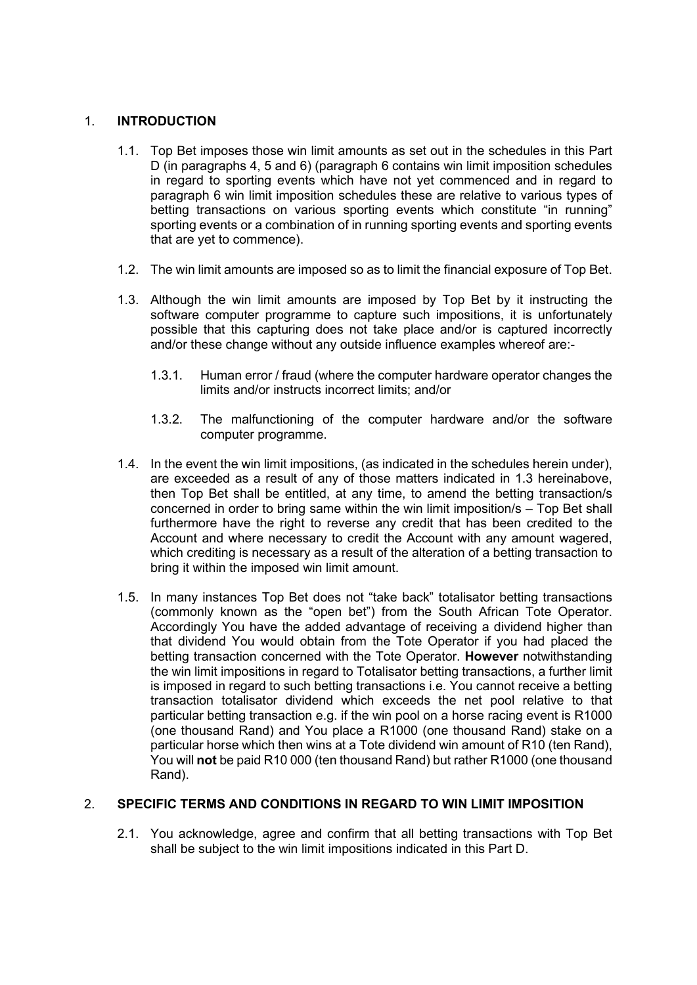# 1. **INTRODUCTION**

- 1.1. Top Bet imposes those win limit amounts as set out in the schedules in this Part D (in paragraphs 4, 5 and 6) (paragraph 6 contains win limit imposition schedules in regard to sporting events which have not yet commenced and in regard to paragraph 6 win limit imposition schedules these are relative to various types of betting transactions on various sporting events which constitute "in running" sporting events or a combination of in running sporting events and sporting events that are yet to commence).
- 1.2. The win limit amounts are imposed so as to limit the financial exposure of Top Bet.
- 1.3. Although the win limit amounts are imposed by Top Bet by it instructing the software computer programme to capture such impositions, it is unfortunately possible that this capturing does not take place and/or is captured incorrectly and/or these change without any outside influence examples whereof are:-
	- 1.3.1. Human error / fraud (where the computer hardware operator changes the limits and/or instructs incorrect limits; and/or
	- 1.3.2. The malfunctioning of the computer hardware and/or the software computer programme.
- 1.4. In the event the win limit impositions, (as indicated in the schedules herein under), are exceeded as a result of any of those matters indicated in 1.3 hereinabove, then Top Bet shall be entitled, at any time, to amend the betting transaction/s concerned in order to bring same within the win limit imposition/s – Top Bet shall furthermore have the right to reverse any credit that has been credited to the Account and where necessary to credit the Account with any amount wagered, which crediting is necessary as a result of the alteration of a betting transaction to bring it within the imposed win limit amount.
- 1.5. In many instances Top Bet does not "take back" totalisator betting transactions (commonly known as the "open bet") from the South African Tote Operator. Accordingly You have the added advantage of receiving a dividend higher than that dividend You would obtain from the Tote Operator if you had placed the betting transaction concerned with the Tote Operator. **However** notwithstanding the win limit impositions in regard to Totalisator betting transactions, a further limit is imposed in regard to such betting transactions i.e. You cannot receive a betting transaction totalisator dividend which exceeds the net pool relative to that particular betting transaction e.g. if the win pool on a horse racing event is R1000 (one thousand Rand) and You place a R1000 (one thousand Rand) stake on a particular horse which then wins at a Tote dividend win amount of R10 (ten Rand), You will **not** be paid R10 000 (ten thousand Rand) but rather R1000 (one thousand Rand).

# 2. **SPECIFIC TERMS AND CONDITIONS IN REGARD TO WIN LIMIT IMPOSITION**

2.1. You acknowledge, agree and confirm that all betting transactions with Top Bet shall be subject to the win limit impositions indicated in this Part D.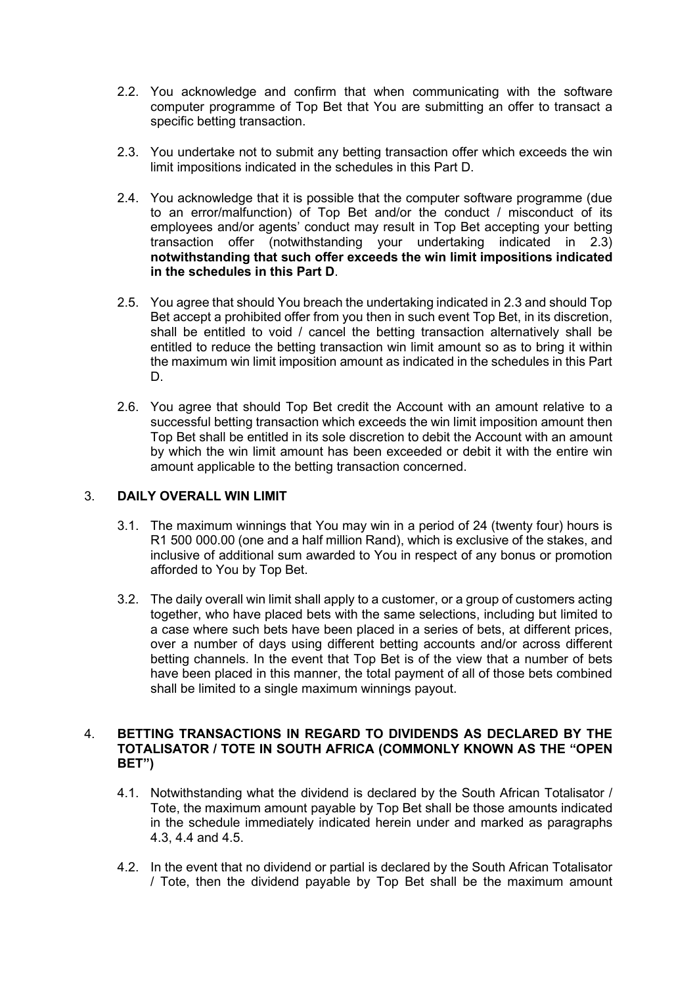- 2.2. You acknowledge and confirm that when communicating with the software computer programme of Top Bet that You are submitting an offer to transact a specific betting transaction.
- 2.3. You undertake not to submit any betting transaction offer which exceeds the win limit impositions indicated in the schedules in this Part D.
- 2.4. You acknowledge that it is possible that the computer software programme (due to an error/malfunction) of Top Bet and/or the conduct / misconduct of its employees and/or agents' conduct may result in Top Bet accepting your betting transaction offer (notwithstanding your undertaking indicated in 2.3) **notwithstanding that such offer exceeds the win limit impositions indicated in the schedules in this Part D**.
- 2.5. You agree that should You breach the undertaking indicated in 2.3 and should Top Bet accept a prohibited offer from you then in such event Top Bet, in its discretion, shall be entitled to void / cancel the betting transaction alternatively shall be entitled to reduce the betting transaction win limit amount so as to bring it within the maximum win limit imposition amount as indicated in the schedules in this Part D.
- 2.6. You agree that should Top Bet credit the Account with an amount relative to a successful betting transaction which exceeds the win limit imposition amount then Top Bet shall be entitled in its sole discretion to debit the Account with an amount by which the win limit amount has been exceeded or debit it with the entire win amount applicable to the betting transaction concerned.

# 3. **DAILY OVERALL WIN LIMIT**

- 3.1. The maximum winnings that You may win in a period of 24 (twenty four) hours is R1 500 000.00 (one and a half million Rand), which is exclusive of the stakes, and inclusive of additional sum awarded to You in respect of any bonus or promotion afforded to You by Top Bet.
- 3.2. The daily overall win limit shall apply to a customer, or a group of customers acting together, who have placed bets with the same selections, including but limited to a case where such bets have been placed in a series of bets, at different prices, over a number of days using different betting accounts and/or across different betting channels. In the event that Top Bet is of the view that a number of bets have been placed in this manner, the total payment of all of those bets combined shall be limited to a single maximum winnings payout.

# 4. **BETTING TRANSACTIONS IN REGARD TO DIVIDENDS AS DECLARED BY THE TOTALISATOR / TOTE IN SOUTH AFRICA (COMMONLY KNOWN AS THE "OPEN BET")**

- 4.1. Notwithstanding what the dividend is declared by the South African Totalisator / Tote, the maximum amount payable by Top Bet shall be those amounts indicated in the schedule immediately indicated herein under and marked as paragraphs 4.3, 4.4 and 4.5.
- 4.2. In the event that no dividend or partial is declared by the South African Totalisator / Tote, then the dividend payable by Top Bet shall be the maximum amount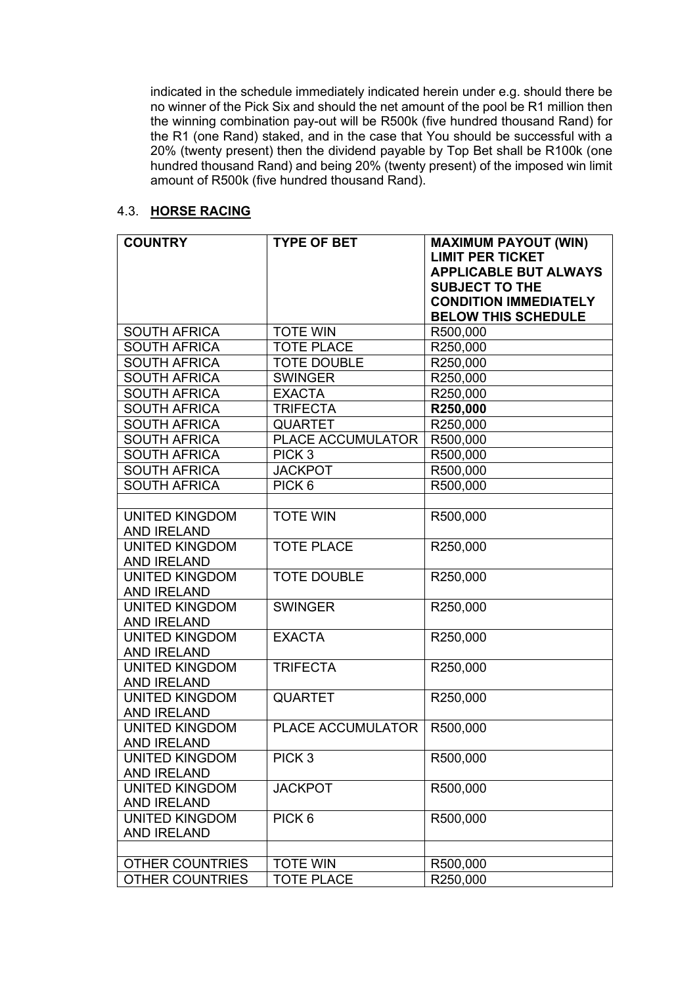indicated in the schedule immediately indicated herein under e.g. should there be no winner of the Pick Six and should the net amount of the pool be R1 million then the winning combination pay-out will be R500k (five hundred thousand Rand) for the R1 (one Rand) staked, and in the case that You should be successful with a 20% (twenty present) then the dividend payable by Top Bet shall be R100k (one hundred thousand Rand) and being 20% (twenty present) of the imposed win limit amount of R500k (five hundred thousand Rand).

#### 4.3. **HORSE RACING**

| <b>COUNTRY</b>                       | <b>TYPE OF BET</b>       | <b>MAXIMUM PAYOUT (WIN)</b><br><b>LIMIT PER TICKET</b><br><b>APPLICABLE BUT ALWAYS</b><br><b>SUBJECT TO THE</b> |
|--------------------------------------|--------------------------|-----------------------------------------------------------------------------------------------------------------|
|                                      |                          | <b>CONDITION IMMEDIATELY</b><br><b>BELOW THIS SCHEDULE</b>                                                      |
| <b>SOUTH AFRICA</b>                  | <b>TOTE WIN</b>          | R500,000                                                                                                        |
| <b>SOUTH AFRICA</b>                  | <b>TOTE PLACE</b>        | R250,000                                                                                                        |
| <b>SOUTH AFRICA</b>                  | <b>TOTE DOUBLE</b>       | R250,000                                                                                                        |
| <b>SOUTH AFRICA</b>                  | <b>SWINGER</b>           | R250,000                                                                                                        |
| <b>SOUTH AFRICA</b>                  | <b>EXACTA</b>            | R250,000                                                                                                        |
| <b>SOUTH AFRICA</b>                  | <b>TRIFECTA</b>          | R250,000                                                                                                        |
| <b>SOUTH AFRICA</b>                  | <b>QUARTET</b>           | R250,000                                                                                                        |
| <b>SOUTH AFRICA</b>                  | PLACE ACCUMULATOR        | R500,000                                                                                                        |
| <b>SOUTH AFRICA</b>                  | PICK <sub>3</sub>        | R500,000                                                                                                        |
| <b>SOUTH AFRICA</b>                  | <b>JACKPOT</b>           | R500,000                                                                                                        |
| <b>SOUTH AFRICA</b>                  | PICK <sub>6</sub>        | R500,000                                                                                                        |
|                                      |                          |                                                                                                                 |
| <b>UNITED KINGDOM</b>                | <b>TOTE WIN</b>          | R500,000                                                                                                        |
| <b>AND IRELAND</b>                   |                          |                                                                                                                 |
| <b>UNITED KINGDOM</b>                | <b>TOTE PLACE</b>        | R250,000                                                                                                        |
| <b>AND IRELAND</b>                   |                          |                                                                                                                 |
| <b>UNITED KINGDOM</b>                | <b>TOTE DOUBLE</b>       | R250,000                                                                                                        |
| <b>AND IRELAND</b>                   |                          |                                                                                                                 |
| <b>UNITED KINGDOM</b>                | <b>SWINGER</b>           | R250,000                                                                                                        |
| <b>AND IRELAND</b>                   |                          |                                                                                                                 |
| <b>UNITED KINGDOM</b>                | <b>EXACTA</b>            | R250,000                                                                                                        |
| <b>AND IRELAND</b>                   |                          |                                                                                                                 |
| <b>UNITED KINGDOM</b>                | <b>TRIFECTA</b>          | R250,000                                                                                                        |
| <b>AND IRELAND</b>                   |                          |                                                                                                                 |
| <b>UNITED KINGDOM</b>                | <b>QUARTET</b>           | R250,000                                                                                                        |
| <b>AND IRELAND</b>                   | <b>PLACE ACCUMULATOR</b> |                                                                                                                 |
| <b>UNITED KINGDOM</b>                |                          | R500,000                                                                                                        |
| <b>AND IRELAND</b>                   |                          |                                                                                                                 |
| UNITED KINGDOM<br><b>AND IRELAND</b> | PICK <sub>3</sub>        | R500,000                                                                                                        |
| <b>UNITED KINGDOM</b>                | <b>JACKPOT</b>           | R500,000                                                                                                        |
| <b>AND IRELAND</b>                   |                          |                                                                                                                 |
| <b>UNITED KINGDOM</b>                | PICK <sub>6</sub>        | R500,000                                                                                                        |
| <b>AND IRELAND</b>                   |                          |                                                                                                                 |
|                                      |                          |                                                                                                                 |
| <b>OTHER COUNTRIES</b>               | <b>TOTE WIN</b>          | R500,000                                                                                                        |
| <b>OTHER COUNTRIES</b>               | <b>TOTE PLACE</b>        | R250,000                                                                                                        |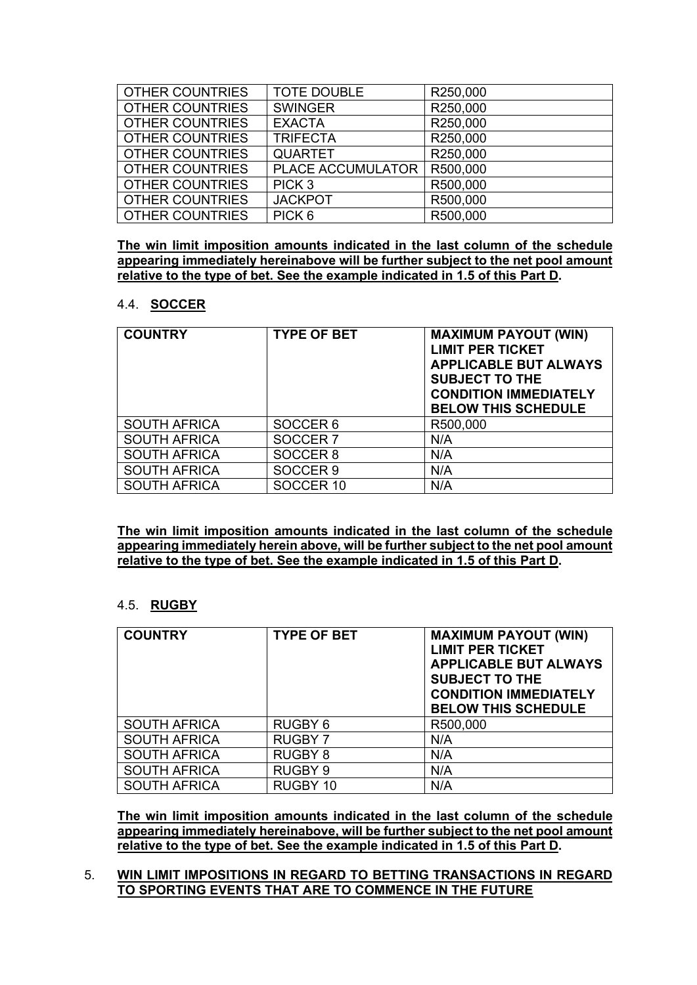| <b>OTHER COUNTRIES</b> | <b>TOTE DOUBLE</b> | R250,000 |
|------------------------|--------------------|----------|
| <b>OTHER COUNTRIES</b> | <b>SWINGER</b>     | R250,000 |
| <b>OTHER COUNTRIES</b> | <b>EXACTA</b>      | R250,000 |
| <b>OTHER COUNTRIES</b> | <b>TRIFECTA</b>    | R250,000 |
| <b>OTHER COUNTRIES</b> | <b>QUARTET</b>     | R250,000 |
| <b>OTHER COUNTRIES</b> | PLACE ACCUMULATOR  | R500,000 |
| <b>OTHER COUNTRIES</b> | PICK <sub>3</sub>  | R500,000 |
| <b>OTHER COUNTRIES</b> | <b>JACKPOT</b>     | R500,000 |
| <b>OTHER COUNTRIES</b> | PICK <sub>6</sub>  | R500,000 |

**The win limit imposition amounts indicated in the last column of the schedule appearing immediately hereinabove will be further subject to the net pool amount relative to the type of bet. See the example indicated in 1.5 of this Part D.**

#### 4.4. **SOCCER**

| <b>COUNTRY</b>      | <b>TYPE OF BET</b>  | <b>MAXIMUM PAYOUT (WIN)</b><br><b>LIMIT PER TICKET</b><br><b>APPLICABLE BUT ALWAYS</b><br><b>SUBJECT TO THE</b><br><b>CONDITION IMMEDIATELY</b><br><b>BELOW THIS SCHEDULE</b> |
|---------------------|---------------------|-------------------------------------------------------------------------------------------------------------------------------------------------------------------------------|
| <b>SOUTH AFRICA</b> | SOCCER <sub>6</sub> | R500,000                                                                                                                                                                      |
| <b>SOUTH AFRICA</b> | SOCCER <sub>7</sub> | N/A                                                                                                                                                                           |
| <b>SOUTH AFRICA</b> | SOCCER <sub>8</sub> | N/A                                                                                                                                                                           |
| <b>SOUTH AFRICA</b> | SOCCER <sub>9</sub> | N/A                                                                                                                                                                           |
| <b>SOUTH AFRICA</b> | SOCCER 10           | N/A                                                                                                                                                                           |

**The win limit imposition amounts indicated in the last column of the schedule appearing immediately herein above, will be further subject to the net pool amount relative to the type of bet. See the example indicated in 1.5 of this Part D.**

#### 4.5. **RUGBY**

| <b>COUNTRY</b>      | <b>TYPE OF BET</b> | <b>MAXIMUM PAYOUT (WIN)</b><br><b>LIMIT PER TICKET</b><br><b>APPLICABLE BUT ALWAYS</b><br><b>SUBJECT TO THE</b><br><b>CONDITION IMMEDIATELY</b><br><b>BELOW THIS SCHEDULE</b> |
|---------------------|--------------------|-------------------------------------------------------------------------------------------------------------------------------------------------------------------------------|
| <b>SOUTH AFRICA</b> | RUGBY 6            | R500,000                                                                                                                                                                      |
| <b>SOUTH AFRICA</b> | <b>RUGBY 7</b>     | N/A                                                                                                                                                                           |
| <b>SOUTH AFRICA</b> | <b>RUGBY 8</b>     | N/A                                                                                                                                                                           |
| <b>SOUTH AFRICA</b> | <b>RUGBY 9</b>     | N/A                                                                                                                                                                           |
| <b>SOUTH AFRICA</b> | RUGBY 10           | N/A                                                                                                                                                                           |

**The win limit imposition amounts indicated in the last column of the schedule appearing immediately hereinabove, will be further subject to the net pool amount relative to the type of bet. See the example indicated in 1.5 of this Part D.**

5. **WIN LIMIT IMPOSITIONS IN REGARD TO BETTING TRANSACTIONS IN REGARD TO SPORTING EVENTS THAT ARE TO COMMENCE IN THE FUTURE**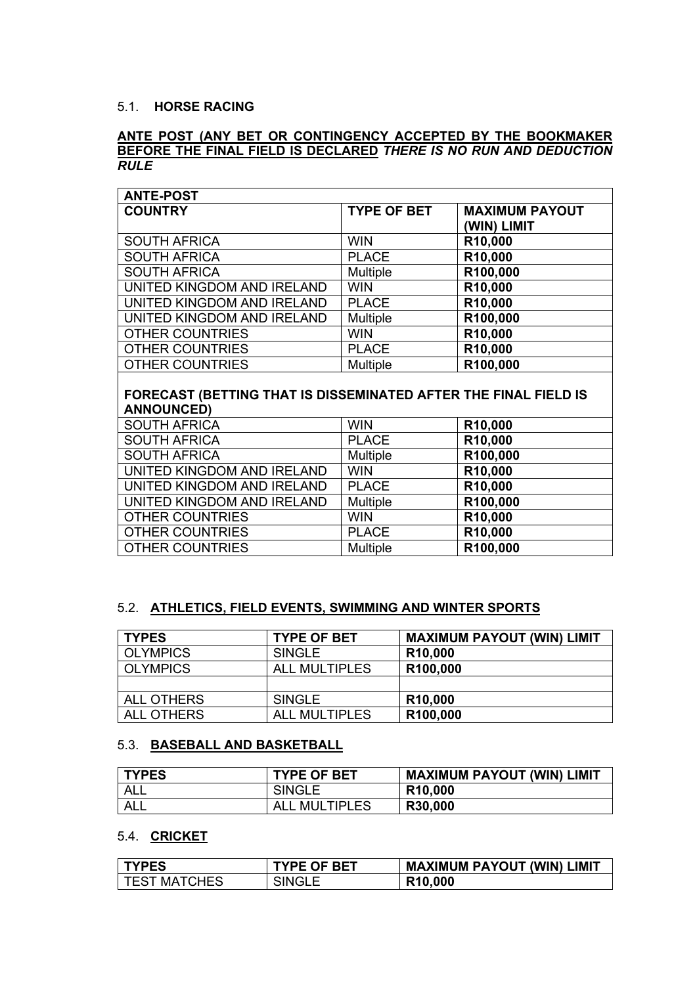#### 5.1. **HORSE RACING**

## **ANTE POST (ANY BET OR CONTINGENCY ACCEPTED BY THE BOOKMAKER BEFORE THE FINAL FIELD IS DECLARED** *THERE IS NO RUN AND DEDUCTION RULE*

| <b>ANTE-POST</b>           |                    |                                      |
|----------------------------|--------------------|--------------------------------------|
| <b>COUNTRY</b>             | <b>TYPE OF BET</b> | <b>MAXIMUM PAYOUT</b><br>(WIN) LIMIT |
| <b>SOUTH AFRICA</b>        | <b>WIN</b>         | R10,000                              |
| <b>SOUTH AFRICA</b>        | <b>PLACE</b>       | R10,000                              |
| <b>SOUTH AFRICA</b>        | <b>Multiple</b>    | R100,000                             |
| UNITED KINGDOM AND IRELAND | <b>WIN</b>         | R10,000                              |
| UNITED KINGDOM AND IRELAND | <b>PLACE</b>       | R10,000                              |
| UNITED KINGDOM AND IRELAND | <b>Multiple</b>    | R100,000                             |
| <b>OTHER COUNTRIES</b>     | <b>WIN</b>         | R10,000                              |
| <b>OTHER COUNTRIES</b>     | <b>PLACE</b>       | R10,000                              |
| <b>OTHER COUNTRIES</b>     | <b>Multiple</b>    | R100,000                             |

# **FORECAST (BETTING THAT IS DISSEMINATED AFTER THE FINAL FIELD IS ANNOUNCED)**

| <b>SOUTH AFRICA</b>        | <b>WIN</b>      | R10,000  |
|----------------------------|-----------------|----------|
| <b>SOUTH AFRICA</b>        | <b>PLACE</b>    | R10,000  |
| <b>SOUTH AFRICA</b>        | <b>Multiple</b> | R100,000 |
| UNITED KINGDOM AND IRELAND | <b>WIN</b>      | R10,000  |
| UNITED KINGDOM AND IRELAND | <b>PLACE</b>    | R10,000  |
| UNITED KINGDOM AND IRELAND | Multiple        | R100,000 |
| <b>OTHER COUNTRIES</b>     | <b>WIN</b>      | R10,000  |
| <b>OTHER COUNTRIES</b>     | <b>PLACE</b>    | R10,000  |
| <b>OTHER COUNTRIES</b>     | <b>Multiple</b> | R100,000 |

#### 5.2. **ATHLETICS, FIELD EVENTS, SWIMMING AND WINTER SPORTS**

| <b>TYPES</b>      | <b>TYPE OF BET</b>   | <b>MAXIMUM PAYOUT (WIN) LIMIT</b> |
|-------------------|----------------------|-----------------------------------|
| <b>OLYMPICS</b>   | <b>SINGLE</b>        | R <sub>10</sub> ,000              |
| OLYMPICS          | <b>ALL MULTIPLES</b> | R100,000                          |
|                   |                      |                                   |
| <b>ALL OTHERS</b> | <b>SINGLE</b>        | R <sub>10</sub> ,000              |
| ALL OTHERS        | <b>ALL MULTIPLES</b> | R100,000                          |

## 5.3. **BASEBALL AND BASKETBALL**

| <b>TYPES</b> | <b>TYPE OF BET</b>   | <b>MAXIMUM PAYOUT (WIN) LIMIT</b> |
|--------------|----------------------|-----------------------------------|
| <b>ALL</b>   | <b>SINGLE</b>        | R <sub>10</sub> ,000              |
| <b>ALL</b>   | <b>ALL MULTIPLES</b> | R30,000                           |

# 5.4. **CRICKET**

| l TYPES             | <b>TYPE OF BET</b> | <b>MAXIMUM PAYOUT (WIN) LIMIT</b> |
|---------------------|--------------------|-----------------------------------|
| <b>TEST MATCHES</b> | SINGLE             | R <sub>10</sub> ,000              |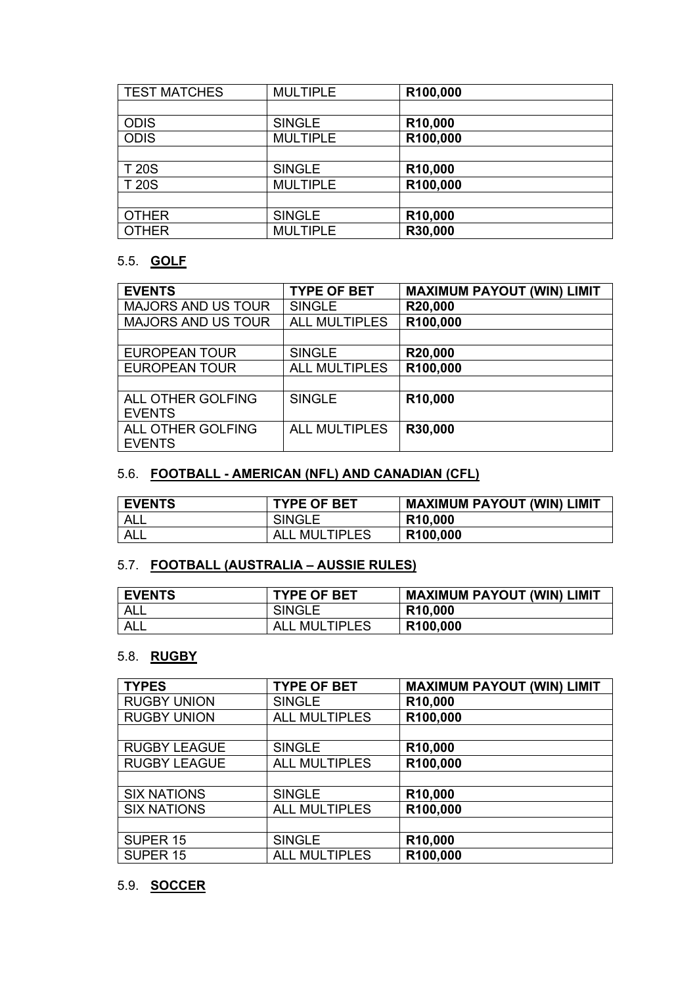| <b>TEST MATCHES</b> | <b>MULTIPLE</b> | R100,000 |
|---------------------|-----------------|----------|
|                     |                 |          |
| <b>ODIS</b>         | <b>SINGLE</b>   | R10,000  |
| <b>ODIS</b>         | <b>MULTIPLE</b> | R100,000 |
|                     |                 |          |
| <b>T20S</b>         | <b>SINGLE</b>   | R10,000  |
| <b>T20S</b>         | <b>MULTIPLE</b> | R100,000 |
|                     |                 |          |
| <b>OTHER</b>        | <b>SINGLE</b>   | R10,000  |
| <b>OTHER</b>        | <b>MULTIPLE</b> | R30,000  |
|                     |                 |          |

# 5.5. **GOLF**

| <b>EVENTS</b>             | <b>TYPE OF BET</b>   | <b>MAXIMUM PAYOUT (WIN) LIMIT</b> |
|---------------------------|----------------------|-----------------------------------|
| <b>MAJORS AND US TOUR</b> | <b>SINGLE</b>        | R20,000                           |
| <b>MAJORS AND US TOUR</b> | <b>ALL MULTIPLES</b> | R100,000                          |
|                           |                      |                                   |
| <b>EUROPEAN TOUR</b>      | <b>SINGLE</b>        | R20,000                           |
| <b>EUROPEAN TOUR</b>      | <b>ALL MULTIPLES</b> | R100,000                          |
|                           |                      |                                   |
| <b>ALL OTHER GOLFING</b>  | <b>SINGLE</b>        | R <sub>10</sub> ,000              |
| <b>EVENTS</b>             |                      |                                   |
| <b>ALL OTHER GOLFING</b>  | <b>ALL MULTIPLES</b> | R30,000                           |
| <b>EVENTS</b>             |                      |                                   |

# 5.6. **FOOTBALL - AMERICAN (NFL) AND CANADIAN (CFL)**

| <b>EVENTS</b> | <b>TYPE OF BET</b>   | <b>MAXIMUM PAYOUT (WIN) LIMIT</b> |
|---------------|----------------------|-----------------------------------|
| <b>ALL</b>    | <b>SINGLE</b>        | R <sub>10</sub> ,000              |
| ALL           | <b>ALL MULTIPLES</b> | R <sub>100,000</sub>              |

# 5.7. **FOOTBALL (AUSTRALIA – AUSSIE RULES)**

| <b>EVENTS</b> | <b>TYPE OF BET</b>   | <b>MAXIMUM PAYOUT (WIN) LIMIT</b> |
|---------------|----------------------|-----------------------------------|
| ALL           | <b>SINGLE</b>        | R <sub>10</sub> ,000              |
| <b>ALL</b>    | <b>ALL MULTIPLES</b> | R <sub>100,000</sub>              |

# 5.8. **RUGBY**

| <b>TYPES</b>        | <b>TYPE OF BET</b>   | <b>MAXIMUM PAYOUT (WIN) LIMIT</b> |
|---------------------|----------------------|-----------------------------------|
| <b>RUGBY UNION</b>  | <b>SINGLE</b>        | R10,000                           |
| <b>RUGBY UNION</b>  | <b>ALL MULTIPLES</b> | R100,000                          |
|                     |                      |                                   |
| <b>RUGBY LEAGUE</b> | <b>SINGLE</b>        | R10,000                           |
| <b>RUGBY LEAGUE</b> | <b>ALL MULTIPLES</b> | R100,000                          |
|                     |                      |                                   |
| <b>SIX NATIONS</b>  | <b>SINGLE</b>        | R10,000                           |
| <b>SIX NATIONS</b>  | <b>ALL MULTIPLES</b> | R100,000                          |
|                     |                      |                                   |
| SUPER <sub>15</sub> | <b>SINGLE</b>        | R10,000                           |
| SUPER <sub>15</sub> | <b>ALL MULTIPLES</b> | R100,000                          |

# 5.9. **SOCCER**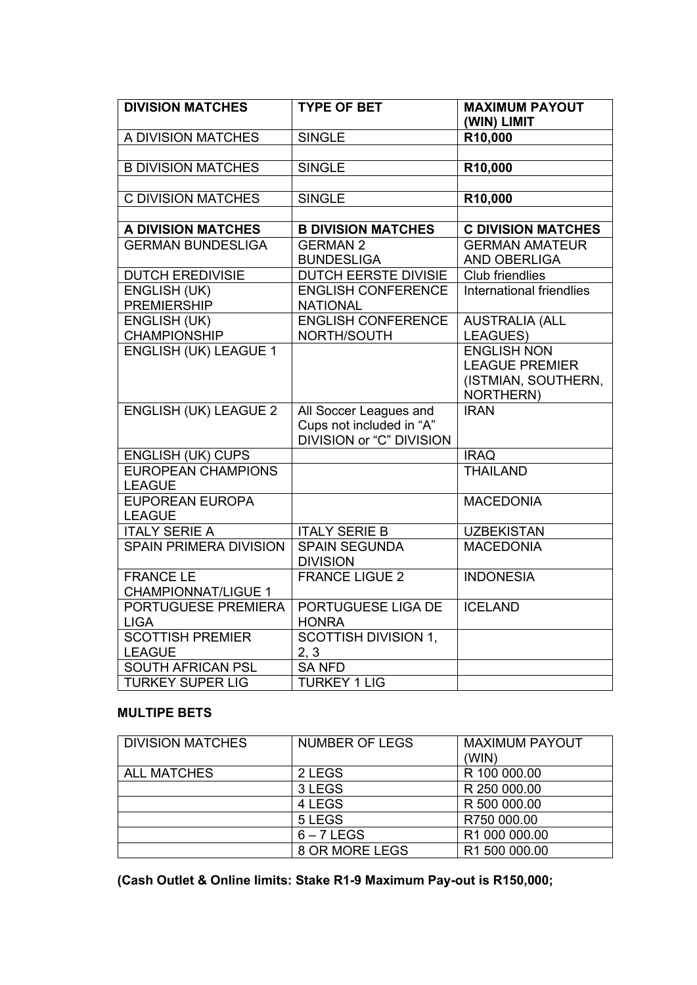| <b>DIVISION MATCHES</b>                        | <b>TYPE OF BET</b>                                                                    | <b>MAXIMUM PAYOUT</b><br>(WIN) LIMIT                                            |
|------------------------------------------------|---------------------------------------------------------------------------------------|---------------------------------------------------------------------------------|
| A DIVISION MATCHES                             | <b>SINGLE</b>                                                                         | R10,000                                                                         |
|                                                |                                                                                       |                                                                                 |
| <b>B DIVISION MATCHES</b>                      | <b>SINGLE</b>                                                                         | R <sub>10</sub> ,000                                                            |
|                                                |                                                                                       |                                                                                 |
| <b>C DIVISION MATCHES</b>                      | <b>SINGLE</b>                                                                         | R10,000                                                                         |
|                                                |                                                                                       |                                                                                 |
| <b>A DIVISION MATCHES</b>                      | <b>B DIVISION MATCHES</b>                                                             | <b>C DIVISION MATCHES</b>                                                       |
| <b>GERMAN BUNDESLIGA</b>                       | <b>GERMAN 2</b><br><b>BUNDESLIGA</b>                                                  | <b>GERMAN AMATEUR</b><br>AND OBERLIGA                                           |
| <b>DUTCH EREDIVISIE</b>                        | <b>DUTCH EERSTE DIVISIE</b>                                                           | <b>Club friendlies</b>                                                          |
| <b>ENGLISH (UK)</b>                            | <b>ENGLISH CONFERENCE</b>                                                             | International friendlies                                                        |
| <b>PREMIERSHIP</b>                             | <b>NATIONAL</b>                                                                       |                                                                                 |
| <b>ENGLISH (UK)</b>                            | <b>ENGLISH CONFERENCE</b>                                                             | <b>AUSTRALIA (ALL</b>                                                           |
| <b>CHAMPIONSHIP</b>                            | NORTH/SOUTH                                                                           | LEAGUES)                                                                        |
| <b>ENGLISH (UK) LEAGUE 1</b>                   |                                                                                       | <b>ENGLISH NON</b><br><b>LEAGUE PREMIER</b><br>(ISTMIAN, SOUTHERN,<br>NORTHERN) |
| <b>ENGLISH (UK) LEAGUE 2</b>                   | All Soccer Leagues and<br>Cups not included in "A"<br><b>DIVISION or "C" DIVISION</b> | <b>IRAN</b>                                                                     |
| <b>ENGLISH (UK) CUPS</b>                       |                                                                                       | <b>IRAQ</b>                                                                     |
| <b>EUROPEAN CHAMPIONS</b><br><b>LEAGUE</b>     |                                                                                       | <b>THAILAND</b>                                                                 |
| <b>EUPOREAN EUROPA</b><br><b>LEAGUE</b>        |                                                                                       | <b>MACEDONIA</b>                                                                |
| <b>ITALY SERIE A</b>                           | <b>ITALY SERIE B</b>                                                                  | <b>UZBEKISTAN</b>                                                               |
| <b>SPAIN PRIMERA DIVISION</b>                  | <b>SPAIN SEGUNDA</b><br><b>DIVISION</b>                                               | <b>MACEDONIA</b>                                                                |
| <b>FRANCE LE</b><br><b>CHAMPIONNAT/LIGUE 1</b> | <b>FRANCE LIGUE 2</b>                                                                 | <b>INDONESIA</b>                                                                |
| PORTUGUESE PREMIERA<br><b>LIGA</b>             | PORTUGUESE LIGA DE<br><b>HONRA</b>                                                    | <b>ICELAND</b>                                                                  |
| <b>SCOTTISH PREMIER</b><br><b>LEAGUE</b>       | <b>SCOTTISH DIVISION 1,</b><br>2, 3                                                   |                                                                                 |
| <b>SOUTH AFRICAN PSL</b>                       | <b>SANFD</b>                                                                          |                                                                                 |
| <b>TURKEY SUPER LIG</b>                        | <b>TURKEY 1 LIG</b>                                                                   |                                                                                 |

# **MULTIPE BETS**

| <b>DIVISION MATCHES</b> | <b>NUMBER OF LEGS</b> | <b>MAXIMUM PAYOUT</b> |
|-------------------------|-----------------------|-----------------------|
|                         |                       | (WIN)                 |
| <b>ALL MATCHES</b>      | 2 LEGS                | R 100 000.00          |
|                         | 3 LEGS                | R 250 000.00          |
|                         | 4 LEGS                | R 500 000.00          |
|                         | 5 LEGS                | R750 000.00           |
|                         | $6 - 7$ LEGS          | R1 000 000.00         |
|                         | 8 OR MORE LEGS        | R1 500 000.00         |

**(Cash Outlet & Online limits: Stake R1-9 Maximum Pay-out is R150,000;**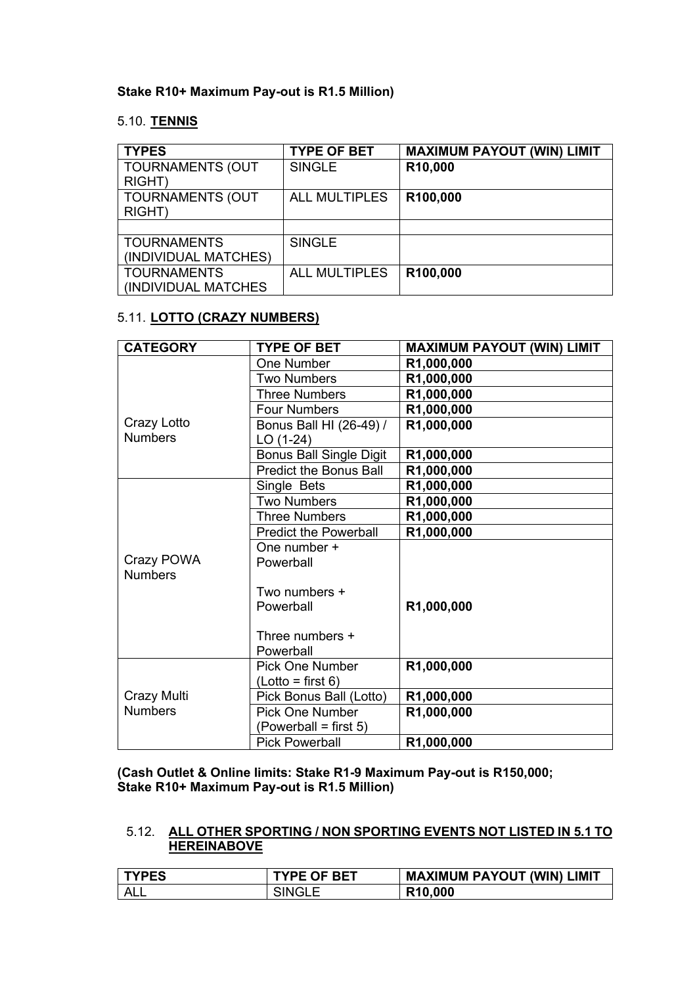### **Stake R10+ Maximum Pay-out is R1.5 Million)**

#### 5.10. **TENNIS**

| <b>TYPES</b>                               | <b>TYPE OF BET</b>   | <b>MAXIMUM PAYOUT (WIN) LIMIT</b> |
|--------------------------------------------|----------------------|-----------------------------------|
| <b>TOURNAMENTS (OUT</b><br>RIGHT)          | <b>SINGLE</b>        | R10,000                           |
| <b>TOURNAMENTS (OUT</b><br>RIGHT)          | <b>ALL MULTIPLES</b> | R100,000                          |
|                                            |                      |                                   |
| <b>TOURNAMENTS</b><br>(INDIVIDUAL MATCHES) | <b>SINGLE</b>        |                                   |
| <b>TOURNAMENTS</b><br>(INDIVIDUAL MATCHES) | <b>ALL MULTIPLES</b> | R100,000                          |

# 5.11. **LOTTO (CRAZY NUMBERS)**

| <b>CATEGORY</b> | <b>TYPE OF BET</b>             | <b>MAXIMUM PAYOUT (WIN) LIMIT</b> |
|-----------------|--------------------------------|-----------------------------------|
|                 | One Number                     | R1,000,000                        |
|                 | <b>Two Numbers</b>             | R1,000,000                        |
|                 | <b>Three Numbers</b>           | R1,000,000                        |
|                 | <b>Four Numbers</b>            | R1,000,000                        |
| Crazy Lotto     | Bonus Ball HI (26-49) /        | R1,000,000                        |
| <b>Numbers</b>  | LO (1-24)                      |                                   |
|                 | <b>Bonus Ball Single Digit</b> | R1,000,000                        |
|                 | <b>Predict the Bonus Ball</b>  | R1,000,000                        |
|                 | Single Bets                    | R1,000,000                        |
|                 | <b>Two Numbers</b>             | R1,000,000                        |
|                 | <b>Three Numbers</b>           | R1,000,000                        |
|                 | <b>Predict the Powerball</b>   | R1,000,000                        |
|                 | One number +                   |                                   |
| Crazy POWA      | Powerball                      |                                   |
| <b>Numbers</b>  |                                |                                   |
|                 | Two numbers +                  |                                   |
|                 | Powerball                      | R1,000,000                        |
|                 |                                |                                   |
|                 | Three numbers +                |                                   |
|                 | Powerball                      |                                   |
|                 | <b>Pick One Number</b>         | R1,000,000                        |
|                 | (Lotto = first 6)              |                                   |
| Crazy Multi     | Pick Bonus Ball (Lotto)        | R1,000,000                        |
| <b>Numbers</b>  | <b>Pick One Number</b>         | R1,000,000                        |
|                 | (Powerball = first 5)          |                                   |
|                 | <b>Pick Powerball</b>          | R1,000,000                        |

**(Cash Outlet & Online limits: Stake R1-9 Maximum Pay-out is R150,000; Stake R10+ Maximum Pay-out is R1.5 Million)**

# 5.12. **ALL OTHER SPORTING / NON SPORTING EVENTS NOT LISTED IN 5.1 TO HEREINABOVE**

| <b>TYPES</b> | <b>TYPE OF BET</b> | <b>MAXIMUM PAYOUT (WIN) LIMIT</b> |
|--------------|--------------------|-----------------------------------|
| ALL          | <b>SINGLE</b>      | R <sub>10</sub> ,000              |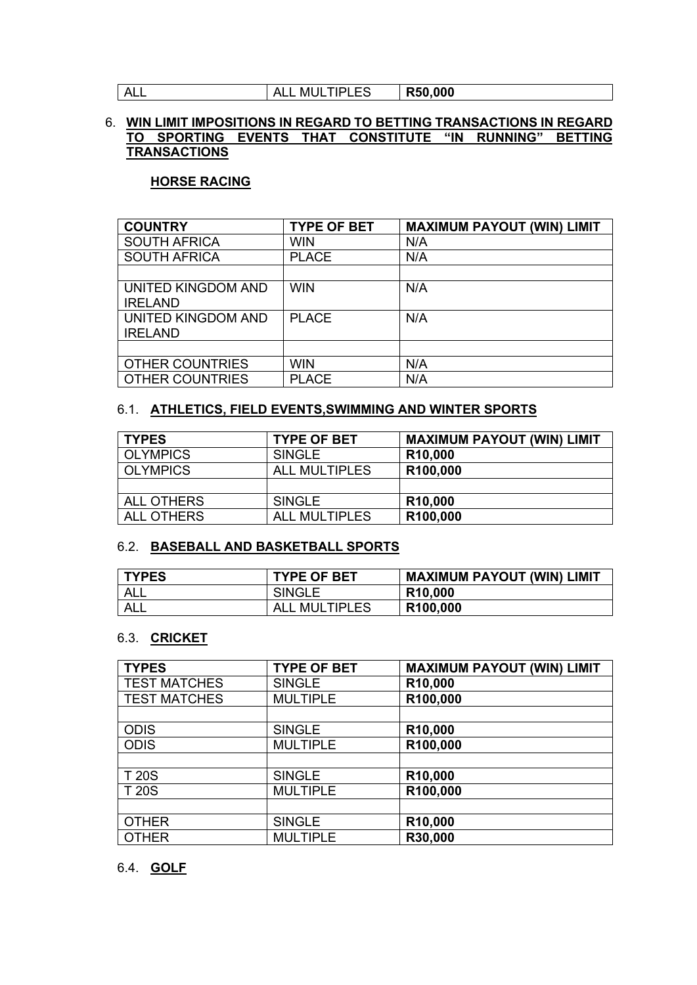ALL ALL MULTIPLES **R50,000**

## 6. **WIN LIMIT IMPOSITIONS IN REGARD TO BETTING TRANSACTIONS IN REGARD TO SPORTING EVENTS THAT CONSTITUTE "IN RUNNING" BETTING TRANSACTIONS**

# **HORSE RACING**

| <b>COUNTRY</b>         | <b>TYPE OF BET</b> | <b>MAXIMUM PAYOUT (WIN) LIMIT</b> |
|------------------------|--------------------|-----------------------------------|
| <b>SOUTH AFRICA</b>    | <b>WIN</b>         | N/A                               |
| <b>SOUTH AFRICA</b>    | <b>PLACE</b>       | N/A                               |
|                        |                    |                                   |
| UNITED KINGDOM AND     | <b>WIN</b>         | N/A                               |
| <b>IRELAND</b>         |                    |                                   |
| UNITED KINGDOM AND     | <b>PLACE</b>       | N/A                               |
| <b>IRELAND</b>         |                    |                                   |
|                        |                    |                                   |
| <b>OTHER COUNTRIES</b> | <b>WIN</b>         | N/A                               |
| <b>OTHER COUNTRIES</b> | <b>PLACE</b>       | N/A                               |

## 6.1. **ATHLETICS, FIELD EVENTS,SWIMMING AND WINTER SPORTS**

| <b>TYPES</b>      | <b>TYPE OF BET</b>   | <b>MAXIMUM PAYOUT (WIN) LIMIT</b> |
|-------------------|----------------------|-----------------------------------|
| <b>OLYMPICS</b>   | <b>SINGLE</b>        | R <sub>10</sub> ,000              |
| <b>OLYMPICS</b>   | <b>ALL MULTIPLES</b> | R100,000                          |
|                   |                      |                                   |
| <b>ALL OTHERS</b> | <b>SINGLE</b>        | R <sub>10</sub> ,000              |
| <b>ALL OTHERS</b> | <b>ALL MULTIPLES</b> | R100,000                          |

## 6.2. **BASEBALL AND BASKETBALL SPORTS**

| <b>TYPES</b> | <b>TYPE OF BET</b>   | <b>MAXIMUM PAYOUT (WIN) LIMIT</b> |
|--------------|----------------------|-----------------------------------|
| <b>ALL</b>   | <b>SINGLE</b>        | R <sub>10</sub> ,000              |
| ALL          | <b>ALL MULTIPLES</b> | R <sub>100,000</sub>              |

### 6.3. **CRICKET**

| <b>TYPES</b>        | <b>TYPE OF BET</b> | <b>MAXIMUM PAYOUT (WIN) LIMIT</b> |
|---------------------|--------------------|-----------------------------------|
| <b>TEST MATCHES</b> | <b>SINGLE</b>      | R10,000                           |
| <b>TEST MATCHES</b> | <b>MULTIPLE</b>    | R100,000                          |
|                     |                    |                                   |
| <b>ODIS</b>         | <b>SINGLE</b>      | R10,000                           |
| <b>ODIS</b>         | <b>MULTIPLE</b>    | R100,000                          |
|                     |                    |                                   |
| <b>T20S</b>         | <b>SINGLE</b>      | R10,000                           |
| <b>T20S</b>         | <b>MULTIPLE</b>    | R100,000                          |
|                     |                    |                                   |
| <b>OTHER</b>        | <b>SINGLE</b>      | R <sub>10</sub> ,000              |
| <b>OTHER</b>        | <b>MULTIPLE</b>    | R30,000                           |
|                     |                    |                                   |

## 6.4. **GOLF**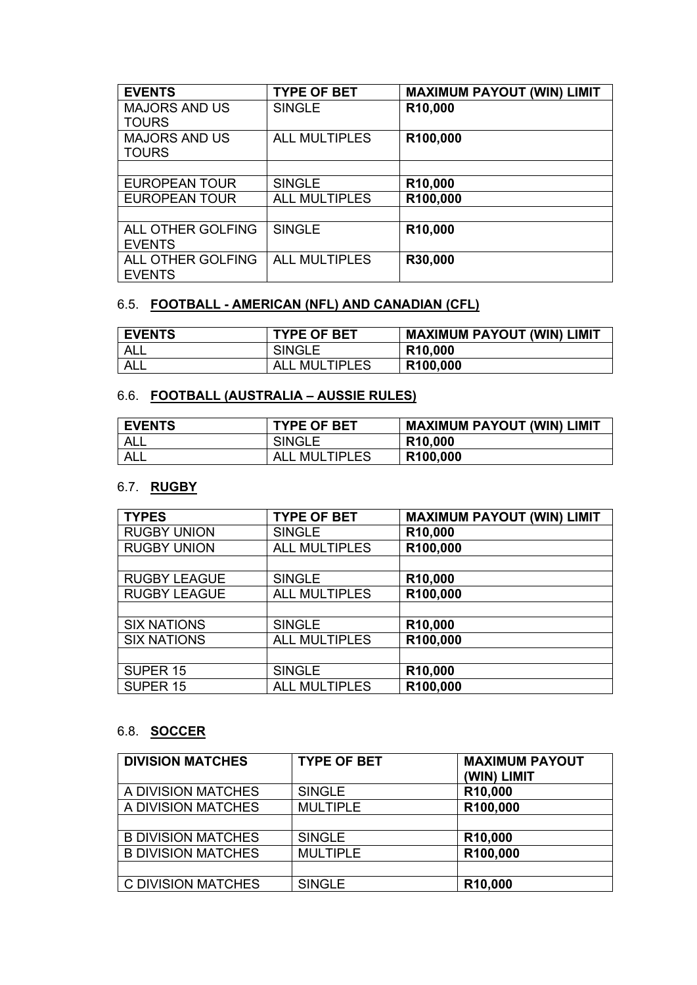| <b>EVENTS</b>        | <b>TYPE OF BET</b>   | <b>MAXIMUM PAYOUT (WIN) LIMIT</b> |
|----------------------|----------------------|-----------------------------------|
| <b>MAJORS AND US</b> | <b>SINGLE</b>        | R10,000                           |
| <b>TOURS</b>         |                      |                                   |
| <b>MAJORS AND US</b> | <b>ALL MULTIPLES</b> | R100,000                          |
| <b>TOURS</b>         |                      |                                   |
|                      |                      |                                   |
| <b>EUROPEAN TOUR</b> | <b>SINGLE</b>        | R10,000                           |
| <b>EUROPEAN TOUR</b> | <b>ALL MULTIPLES</b> | R100,000                          |
|                      |                      |                                   |
| ALL OTHER GOLFING    | <b>SINGLE</b>        | R10,000                           |
| <b>EVENTS</b>        |                      |                                   |
| ALL OTHER GOLFING    | <b>ALL MULTIPLES</b> | R30,000                           |
| <b>EVENTS</b>        |                      |                                   |

# 6.5. **FOOTBALL - AMERICAN (NFL) AND CANADIAN (CFL)**

| <b>EVENTS</b> | <b>TYPE OF BET</b> | <b>MAXIMUM PAYOUT (WIN) LIMIT</b> |
|---------------|--------------------|-----------------------------------|
| ALL           | <b>SINGLE</b>      | R <sub>10</sub> ,000              |
| ALL           | . MULTIPLES<br>ALL | R <sub>100,000</sub>              |

# 6.6. **FOOTBALL (AUSTRALIA – AUSSIE RULES)**

| <b>EVENTS</b> | <b>TYPE OF BET</b> | <b>MAXIMUM PAYOUT (WIN) LIMIT</b> |
|---------------|--------------------|-----------------------------------|
| ALL           | <b>SINGLE</b>      | R <sub>10</sub> ,000              |
| ALL           | . MULTIPLES        | R <sub>100</sub> ,000             |

# 6.7. **RUGBY**

| <b>TYPES</b>        | <b>TYPE OF BET</b>   | <b>MAXIMUM PAYOUT (WIN) LIMIT</b> |
|---------------------|----------------------|-----------------------------------|
| <b>RUGBY UNION</b>  | <b>SINGLE</b>        | R <sub>10</sub> ,000              |
| <b>RUGBY UNION</b>  | <b>ALL MULTIPLES</b> | R100,000                          |
|                     |                      |                                   |
| <b>RUGBY LEAGUE</b> | <b>SINGLE</b>        | R10,000                           |
| <b>RUGBY LEAGUE</b> | <b>ALL MULTIPLES</b> | R100,000                          |
|                     |                      |                                   |
| <b>SIX NATIONS</b>  | <b>SINGLE</b>        | R10,000                           |
| <b>SIX NATIONS</b>  | <b>ALL MULTIPLES</b> | R100,000                          |
|                     |                      |                                   |
| SUPER <sub>15</sub> | <b>SINGLE</b>        | R10,000                           |
| SUPER <sub>15</sub> | <b>ALL MULTIPLES</b> | R100,000                          |

# 6.8. **SOCCER**

| <b>DIVISION MATCHES</b>   | <b>TYPE OF BET</b> | <b>MAXIMUM PAYOUT</b><br>(WIN) LIMIT |
|---------------------------|--------------------|--------------------------------------|
| A DIVISION MATCHES        | <b>SINGLE</b>      | R10,000                              |
| A DIVISION MATCHES        | <b>MULTIPLE</b>    | R100,000                             |
|                           |                    |                                      |
| <b>B DIVISION MATCHES</b> | <b>SINGLE</b>      | R <sub>10</sub> ,000                 |
| <b>B DIVISION MATCHES</b> | <b>MULTIPLE</b>    | R100,000                             |
|                           |                    |                                      |
| C DIVISION MATCHES        | <b>SINGLE</b>      | R10,000                              |